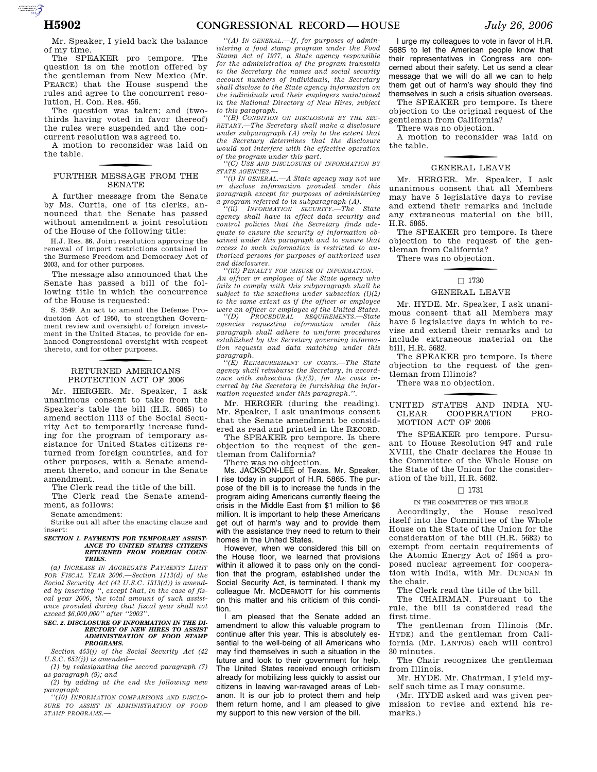Mr. Speaker, I yield back the balance of my time.

The SPEAKER pro tempore. The question is on the motion offered by the gentleman from New Mexico (Mr. PEARCE) that the House suspend the rules and agree to the concurrent resolution, H. Con. Res. 456.

The question was taken; and (twothirds having voted in favor thereof) the rules were suspended and the concurrent resolution was agreed to.

A motion to reconsider was laid on the table.

## f FURTHER MESSAGE FROM THE SENATE

A further message from the Senate by Ms. Curtis, one of its clerks, announced that the Senate has passed without amendment a joint resolution of the House of the following title:

H.J. Res. 86. Joint resolution approving the renewal of import restrictions contained in the Burmese Freedom and Democracy Act of 2003, and for other purposes.

The message also announced that the Senate has passed a bill of the following title in which the concurrence of the House is requested:

S. 3549. An act to amend the Defense Production Act of 1950, to strengthen Government review and oversight of foreign investment in the United States, to provide for enhanced Congressional oversight with respect thereto, and for other purposes.

## RETURNED AMERICANS PROTECTION ACT OF 2006

Mr. HERGER. Mr. Speaker, I ask unanimous consent to take from the Speaker's table the bill (H.R. 5865) to amend section 1113 of the Social Security Act to temporarily increase funding for the program of temporary assistance for United States citizens returned from foreign countries, and for other purposes, with a Senate amendment thereto, and concur in the Senate amendment.

The Clerk read the title of the bill. The Clerk read the Senate amendment, as follows:

Senate amendment:

Strike out all after the enacting clause and insert:

## *SECTION 1. PAYMENTS FOR TEMPORARY ASSIST-ANCE TO UNITED STATES CITIZENS RETURNED FROM FOREIGN COUN-TRIES.*

*(a) INCREASE IN AGGREGATE PAYMENTS LIMIT FOR FISCAL YEAR 2006.—Section 1113(d) of the Social Security Act (42 U.S.C. 1313(d)) is amended by inserting '', except that, in the case of fiscal year 2006, the total amount of such assistance provided during that fiscal year shall not exceed \$6,000,000'' after ''2003''.* 

#### *SEC. 2. DISCLOSURE OF INFORMATION IN THE DI-RECTORY OF NEW HIRES TO ASSIST ADMINISTRATION OF FOOD STAMP PROGRAMS.*

*Section 453(j) of the Social Security Act (42 U.S.C. 653(j)) is amended—*

*(1) by redesignating the second paragraph (7) as paragraph (9); and* 

*(2) by adding at the end the following new paragraph* 

*''(10) INFORMATION COMPARISONS AND DISCLO-SURE TO ASSIST IN ADMINISTRATION OF FOOD STAMP PROGRAMS.—*

*''(A) IN GENERAL.—If, for purposes of administering a food stamp program under the Food Stamp Act of 1977, a State agency responsible for the administration of the program transmits to the Secretary the names and social security account numbers of individuals, the Secretary shall disclose to the State agency information on the individuals and their employers maintained in the National Directory of New Hires, subject to this paragraph.* 

*''(B) CONDITION ON DISCLOSURE BY THE SEC-RETARY.—The Secretary shall make a disclosure under subparagraph (A) only to the extent that the Secretary determines that the disclosure would not interfere with the effective operation of the program under this part.* 

*''(C) USE AND DISCLOSURE OF INFORMATION BY STATE AGENCIES.— ''(i) IN GENERAL.—A State agency may not use* 

*or disclose information provided under this paragraph except for purposes of administering a program referred to in subparagraph (A).* 

*''(ii) INFORMATION SECURITY.—The State agency shall have in effect data security and control policies that the Secretary finds adequate to ensure the security of information obtained under this paragraph and to ensure that access to such information is restricted to authorized persons for purposes of authorized uses and disclosures.* 

*''(iii) PENALTY FOR MISUSE OF INFORMATION.— An officer or employee of the State agency who fails to comply with this subparagraph shall be subject to the sanctions under subsection (l)(2) to the same extent as if the officer or employee were an officer or employee of the United States.* 

*''(D) PROCEDURAL REQUIREMENTS.—State agencies requesting information under this paragraph shall adhere to uniform procedures established by the Secretary governing information requests and data matching under this paragraph.* 

*''(E) REIMBURSEMENT OF COSTS.—The State agency shall reimburse the Secretary, in accordance with subsection (k)(3), for the costs incurred by the Secretary in furnishing the information requested under this paragraph.''.* 

Mr. HERGER (during the reading). Mr. Speaker, I ask unanimous consent that the Senate amendment be considered as read and printed in the RECORD.

The SPEAKER pro tempore. Is there objection to the request of the gentleman from California?

There was no objection.

Ms. JACKSON-LEE of Texas. Mr. Speaker, I rise today in support of H.R. 5865. The purpose of the bill is to increase the funds in the program aiding Americans currently fleeing the crisis in the Middle East from \$1 million to \$6 million. It is important to help these Americans get out of harm's way and to provide them with the assistance they need to return to their homes in the United States.

However, when we considered this bill on the House floor, we learned that provisions within it allowed it to pass only on the condition that the program, established under the Social Security Act, is terminated. I thank my colleague Mr. MCDERMOTT for his comments on this matter and his criticism of this condition.

I am pleased that the Senate added an amendment to allow this valuable program to continue after this year. This is absolutely essential to the well-being of all Americans who may find themselves in such a situation in the future and look to their government for help. The United States received enough criticism already for mobilizing less quickly to assist our citizens in leaving war-ravaged areas of Lebanon. It is our job to protect them and help them return home, and I am pleased to give my support to this new version of the bill.

I urge my colleagues to vote in favor of H.R. 5685 to let the American people know that their representatives in Congress are concerned about their safety. Let us send a clear message that we will do all we can to help them get out of harm's way should they find themselves in such a crisis situation overseas.

The SPEAKER pro tempore. Is there objection to the original request of the gentleman from California?

There was no objection. A motion to reconsider was laid on

the table.

## GENERAL LEAVE

Mr. HERGER. Mr. Speaker, I ask unanimous consent that all Members may have 5 legislative days to revise and extend their remarks and include any extraneous material on the bill, H.R. 5865.

The SPEAKER pro tempore. Is there objection to the request of the gentleman from California?

There was no objection.

# $\begin{array}{c}\n\Box 1730 \\
\Box 1730\n\end{array}$

#### GENERAL LEAVE

Mr. HYDE. Mr. Speaker, I ask unanimous consent that all Members may have 5 legislative days in which to revise and extend their remarks and to include extraneous material on the bill, H.R. 5682.

The SPEAKER pro tempore. Is there objection to the request of the gentleman from Illinois?

There was no objection.

## f UNITED STATES AND INDIA NU-CLEAR COOPERATION PRO-MOTION ACT OF 2006

The SPEAKER pro tempore. Pursuant to House Resolution 947 and rule XVIII, the Chair declares the House in the Committee of the Whole House on the State of the Union for the consideration of the bill, H.R. 5682.

### $\Box$  1731

#### IN THE COMMITTEE OF THE WHOLE

Accordingly, the House resolved itself into the Committee of the Whole House on the State of the Union for the consideration of the bill (H.R. 5682) to exempt from certain requirements of the Atomic Energy Act of 1954 a proposed nuclear agreement for cooperation with India, with Mr. DUNCAN in the chair.

The Clerk read the title of the bill.

The CHAIRMAN. Pursuant to the rule, the bill is considered read the first time.

The gentleman from Illinois (Mr. HYDE) and the gentleman from California (Mr. LANTOS) each will control 30 minutes.

The Chair recognizes the gentleman from Illinois.

Mr. HYDE. Mr. Chairman, I yield myself such time as I may consume.

(Mr. HYDE asked and was given permission to revise and extend his remarks.)

AUTOROTOMICALE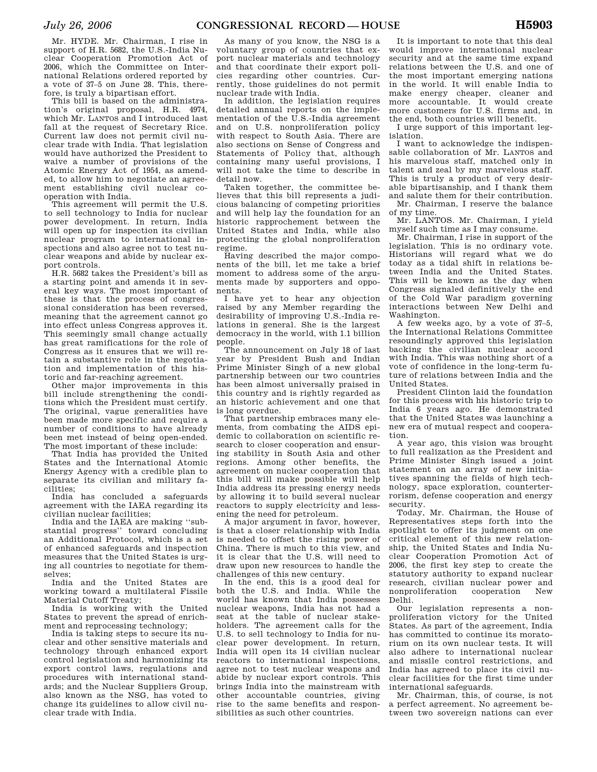Mr. HYDE. Mr. Chairman, I rise in support of H.R. 5682, the U.S.-India Nuclear Cooperation Promotion Act of 2006, which the Committee on International Relations ordered reported by a vote of 37–5 on June 28. This, therefore, is truly a bipartisan effort.

This bill is based on the administration's original proposal, H.R. 4974, which Mr. LANTOS and I introduced last fall at the request of Secretary Rice. Current law does not permit civil nuclear trade with India. That legislation would have authorized the President to waive a number of provisions of the Atomic Energy Act of 1954, as amended, to allow him to negotiate an agreement establishing civil nuclear cooperation with India.

This agreement will permit the U.S. to sell technology to India for nuclear power development. In return, India will open up for inspection its civilian nuclear program to international inspections and also agree not to test nuclear weapons and abide by nuclear export controls.

H.R. 5682 takes the President's bill as a starting point and amends it in several key ways. The most important of these is that the process of congressional consideration has been reversed, meaning that the agreement cannot go into effect unless Congress approves it. This seemingly small change actually has great ramifications for the role of Congress as it ensures that we will retain a substantive role in the negotiation and implementation of this historic and far-reaching agreement.

Other major improvements in this bill include strengthening the conditions which the President must certify. The original, vague generalities have been made more specific and require a number of conditions to have already been met instead of being open-ended. The most important of these include:

That India has provided the United States and the International Atomic Energy Agency with a credible plan to separate its civilian and military facilities;

India has concluded a safeguards agreement with the IAEA regarding its civilian nuclear facilities;

India and the IAEA are making ''substantial progress'' toward concluding an Additional Protocol, which is a set of enhanced safeguards and inspection measures that the United States is urging all countries to negotiate for themselves;

India and the United States are working toward a multilateral Fissile Material Cutoff Treaty;

India is working with the United States to prevent the spread of enrichment and reprocessing technology;

India is taking steps to secure its nuclear and other sensitive materials and technology through enhanced export control legislation and harmonizing its export control laws, regulations and procedures with international standards; and the Nuclear Suppliers Group, also known as the NSG, has voted to change its guidelines to allow civil nuclear trade with India.

As many of you know, the NSG is a voluntary group of countries that export nuclear materials and technology and that coordinate their export policies regarding other countries. Currently, those guidelines do not permit nuclear trade with India.

In addition, the legislation requires detailed annual reports on the implementation of the U.S.-India agreement and on U.S. nonproliferation policy with respect to South Asia. There are also sections on Sense of Congress and Statements of Policy that, although containing many useful provisions, I will not take the time to describe in detail now.

Taken together, the committee believes that this bill represents a judicious balancing of competing priorities and will help lay the foundation for an historic rapprochement between the United States and India, while also protecting the global nonproliferation regime.

Having described the major components of the bill, let me take a brief moment to address some of the arguments made by supporters and opponents.

I have yet to hear any objection raised by any Member regarding the desirability of improving U.S.-India relations in general. She is the largest democracy in the world, with 1.1 billion people.

The announcement on July 18 of last year by President Bush and Indian Prime Minister Singh of a new global partnership between our two countries has been almost universally praised in this country and is rightly regarded as an historic achievement and one that is long overdue.

That partnership embraces many elements, from combating the AIDS epidemic to collaboration on scientific research to closer cooperation and ensuring stability in South Asia and other regions. Among other benefits, the agreement on nuclear cooperation that this bill will make possible will help India address its pressing energy needs by allowing it to build several nuclear reactors to supply electricity and lessening the need for petroleum.

A major argument in favor, however, is that a closer relationship with India is needed to offset the rising power of China. There is much to this view, and it is clear that the U.S. will need to draw upon new resources to handle the challenges of this new century.

In the end, this is a good deal for both the U.S. and India. While the world has known that India possesses nuclear weapons, India has not had a seat at the table of nuclear stakeholders. The agreement calls for the U.S. to sell technology to India for nuclear power development. In return, India will open its 14 civilian nuclear reactors to international inspections, agree not to test nuclear weapons and abide by nuclear export controls. This brings India into the mainstream with other accountable countries, giving rise to the same benefits and responsibilities as such other countries.

It is important to note that this deal would improve international nuclear security and at the same time expand relations between the U.S. and one of the most important emerging nations in the world. It will enable India to make energy cheaper, cleaner and more accountable. It would create more customers for U.S. firms and, in the end, both countries will benefit.

I urge support of this important legislation.

I want to acknowledge the indispensable collaboration of Mr. LANTOS and his marvelous staff, matched only in talent and zeal by my marvelous staff. This is truly a product of very desirable bipartisanship, and I thank them and salute them for their contribution.

Mr. Chairman, I reserve the balance of my time.

Mr. LANTOS. Mr. Chairman, I yield myself such time as I may consume.

Mr. Chairman, I rise in support of the legislation. This is no ordinary vote. Historians will regard what we do today as a tidal shift in relations between India and the United States. This will be known as the day when Congress signaled definitively the end of the Cold War paradigm governing interactions between New Delhi and Washington.

A few weeks ago, by a vote of 37–5, the International Relations Committee resoundingly approved this legislation backing the civilian nuclear accord with India. This was nothing short of a vote of confidence in the long-term future of relations between India and the United States.

President Clinton laid the foundation for this process with his historic trip to India 6 years ago. He demonstrated that the United States was launching a new era of mutual respect and cooperation.

A year ago, this vision was brought to full realization as the President and Prime Minister Singh issued a joint statement on an array of new initiatives spanning the fields of high technology, space exploration, counterterrorism, defense cooperation and energy security.

Today, Mr. Chairman, the House of Representatives steps forth into the spotlight to offer its judgment on one critical element of this new relationship, the United States and India Nuclear Cooperation Promotion Act of 2006, the first key step to create the statutory authority to expand nuclear research, civilian nuclear power and nonproliferation cooperation New Delhi.

Our legislation represents a nonproliferation victory for the United States. As part of the agreement, India has committed to continue its moratorium on its own nuclear tests. It will also adhere to international nuclear and missile control restrictions, and India has agreed to place its civil nuclear facilities for the first time under international safeguards.

Mr. Chairman, this, of course, is not a perfect agreement. No agreement between two sovereign nations can ever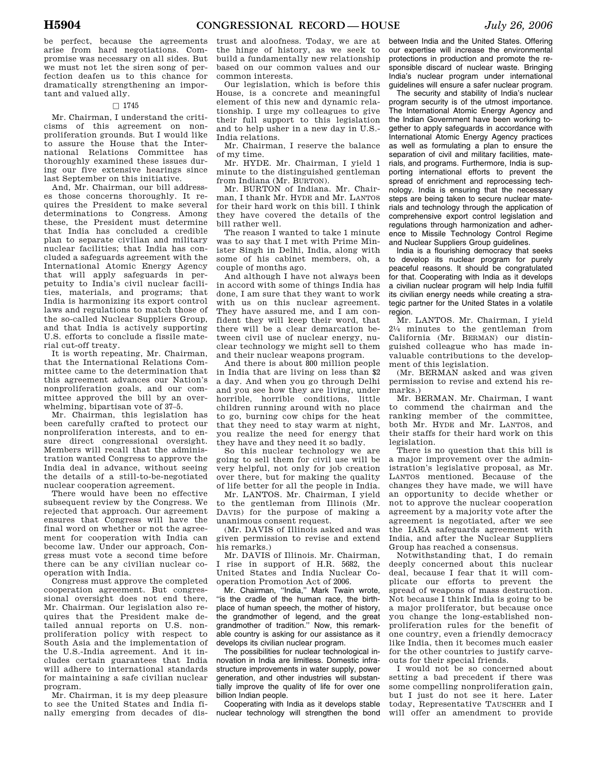be perfect, because the agreements arise from hard negotiations. Compromise was necessary on all sides. But we must not let the siren song of perfection deafen us to this chance for dramatically strengthening an important and valued ally.

## $\Box$  1745

Mr. Chairman, I understand the criticisms of this agreement on nonproliferation grounds. But I would like to assure the House that the International Relations Committee has thoroughly examined these issues during our five extensive hearings since last September on this initiative.

And, Mr. Chairman, our bill addresses those concerns thoroughly. It requires the President to make several determinations to Congress. Among these, the President must determine that India has concluded a credible plan to separate civilian and military nuclear facilities; that India has concluded a safeguards agreement with the International Atomic Energy Agency that will apply safeguards in perpetuity to India's civil nuclear facilities, materials, and programs; that India is harmonizing its export control laws and regulations to match those of the so-called Nuclear Suppliers Group, and that India is actively supporting U.S. efforts to conclude a fissile material cut-off treaty.

It is worth repeating, Mr. Chairman, that the International Relations Committee came to the determination that this agreement advances our Nation's nonproliferation goals, and our committee approved the bill by an overwhelming, bipartisan vote of 37–5.

Mr. Chairman, this legislation has been carefully crafted to protect our nonproliferation interests, and to ensure direct congressional oversight. Members will recall that the administration wanted Congress to approve the India deal in advance, without seeing the details of a still-to-be-negotiated nuclear cooperation agreement.

There would have been no effective subsequent review by the Congress. We rejected that approach. Our agreement ensures that Congress will have the final word on whether or not the agreement for cooperation with India can become law. Under our approach, Congress must vote a second time before there can be any civilian nuclear cooperation with India.

Congress must approve the completed cooperation agreement. But congressional oversight does not end there, Mr. Chairman. Our legislation also requires that the President make detailed annual reports on U.S. nonproliferation policy with respect to South Asia and the implementation of the U.S.-India agreement. And it includes certain guarantees that India will adhere to international standards for maintaining a safe civilian nuclear program.

Mr. Chairman, it is my deep pleasure to see the United States and India finally emerging from decades of dis-

trust and aloofness. Today, we are at the hinge of history, as we seek to build a fundamentally new relationship based on our common values and our common interests.

Our legislation, which is before this House, is a concrete and meaningful element of this new and dynamic relationship. I urge my colleagues to give their full support to this legislation and to help usher in a new day in U.S.- India relations.

Mr. Chairman, I reserve the balance of my time.

Mr. HYDE. Mr. Chairman, I yield 1 minute to the distinguished gentleman from Indiana (Mr. BURTON).

Mr. BURTON of Indiana. Mr. Chairman, I thank Mr. HYDE and Mr. LANTOS for their hard work on this bill. I think they have covered the details of the bill rather well.

The reason I wanted to take 1 minute was to say that I met with Prime Minister Singh in Delhi, India, along with some of his cabinet members, oh, a couple of months ago.

And although I have not always been in accord with some of things India has done, I am sure that they want to work with us on this nuclear agreement. They have assured me, and I am confident they will keep their word, that there will be a clear demarcation between civil use of nuclear energy, nuclear technology we might sell to them and their nuclear weapons program.

And there is about 800 million people in India that are living on less than \$2 a day. And when you go through Delhi and you see how they are living, under horrible, horrible conditions, little children running around with no place to go, burning cow chips for the heat that they need to stay warm at night, you realize the need for energy that they have and they need it so badly.

So this nuclear technology we are going to sell them for civil use will be very helpful, not only for job creation over there, but for making the quality of life better for all the people in India.

Mr. LANTOS. Mr. Chairman, I yield to the gentleman from Illinois (Mr. DAVIS) for the purpose of making a unanimous consent request.

(Mr. DAVIS of Illinois asked and was given permission to revise and extend his remarks.)

Mr. DAVIS of Illinois. Mr. Chairman, I rise in support of H.R. 5682, the United States and India Nuclear Cooperation Promotion Act of 2006.

Mr. Chairman, "India," Mark Twain wrote, ''is the cradle of the human race, the birthplace of human speech, the mother of history, the grandmother of legend, and the great grandmother of tradition.'' Now, this remarkable country is asking for our assistance as it develops its civilian nuclear program.

The possibilities for nuclear technological innovation in India are limitless. Domestic infrastructure improvements in water supply, power generation, and other industries will substantially improve the quality of life for over one billion Indian people.

Cooperating with India as it develops stable nuclear technology will strengthen the bond between India and the United States. Offering our expertise will increase the environmental protections in production and promote the responsible discard of nuclear waste. Bringing India's nuclear program under international guidelines will ensure a safer nuclear program.

The security and stability of India's nuclear program security is of the utmost importance. The International Atomic Energy Agency and the Indian Government have been working together to apply safeguards in accordance with International Atomic Energy Agency practices as well as formulating a plan to ensure the separation of civil and military facilities, materials, and programs. Furthermore, India is supporting international efforts to prevent the spread of enrichment and reprocessing technology. India is ensuring that the necessary steps are being taken to secure nuclear materials and technology through the application of comprehensive export control legislation and regulations through harmonization and adherence to Missile Technology Control Regime and Nuclear Suppliers Group guidelines.

India is a flourishing democracy that seeks to develop its nuclear program for purely peaceful reasons. It should be congratulated for that. Cooperating with India as it develops a civilian nuclear program will help India fulfill its civilian energy needs while creating a strategic partner for the United States in a volatile region.

Mr. LANTOS. Mr. Chairman, I yield 21⁄4 minutes to the gentleman from California (Mr. BERMAN) our distinguished colleague who has made invaluable contributions to the development of this legislation.

(Mr. BERMAN asked and was given permission to revise and extend his remarks)

Mr. BERMAN. Mr. Chairman, I want to commend the chairman and the ranking member of the committee, both Mr. HYDE and Mr. LANTOS, and their staffs for their hard work on this legislation.

There is no question that this bill is a major improvement over the administration's legislative proposal, as Mr. LANTOS mentioned. Because of the changes they have made, we will have an opportunity to decide whether or not to approve the nuclear cooperation agreement by a majority vote after the agreement is negotiated, after we see the IAEA safeguards agreement with India, and after the Nuclear Suppliers Group has reached a consensus.

Notwithstanding that, I do remain deeply concerned about this nuclear deal, because I fear that it will complicate our efforts to prevent the spread of weapons of mass destruction. Not because I think India is going to be a major proliferator, but because once you change the long-established nonproliferation rules for the benefit of one country, even a friendly democracy like India, then it becomes much easier for the other countries to justify carveouts for their special friends.

I would not be so concerned about setting a bad precedent if there was some compelling nonproliferation gain, but I just do not see it here. Later today, Representative TAUSCHER and I will offer an amendment to provide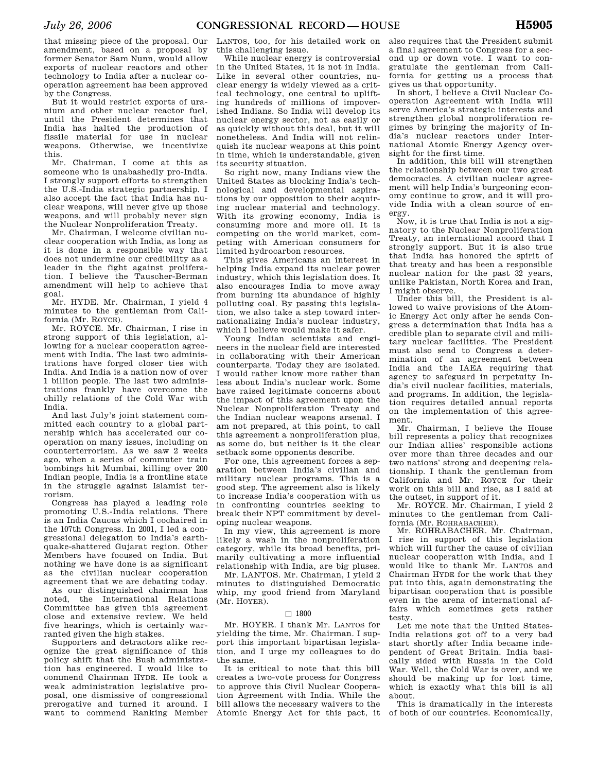that missing piece of the proposal. Our amendment, based on a proposal by former Senator Sam Nunn, would allow exports of nuclear reactors and other technology to India after a nuclear cooperation agreement has been approved by the Congress.

But it would restrict exports of uranium and other nuclear reactor fuel, until the President determines that India has halted the production of fissile material for use in nuclear weapons. Otherwise, we incentivize this.

Mr. Chairman, I come at this as someone who is unabashedly pro-India. I strongly support efforts to strengthen the U.S.-India strategic partnership. I also accept the fact that India has nuclear weapons, will never give up those weapons, and will probably never sign the Nuclear Nonproliferation Treaty.

Mr. Chairman, I welcome civilian nuclear cooperation with India, as long as it is done in a responsible way that does not undermine our credibility as a leader in the fight against proliferation. I believe the Tauscher-Berman amendment will help to achieve that goal.

Mr. HYDE. Mr. Chairman, I yield 4 minutes to the gentleman from California (Mr. ROYCE).

Mr. ROYCE. Mr. Chairman, I rise in strong support of this legislation, allowing for a nuclear cooperation agreement with India. The last two administrations have forged closer ties with India. And India is a nation now of over 1 billion people. The last two administrations frankly have overcome the chilly relations of the Cold War with India.

And last July's joint statement committed each country to a global partnership which has accelerated our cooperation on many issues, including on counterterrorism. As we saw 2 weeks ago, when a series of commuter train bombings hit Mumbai, killing over 200 Indian people, India is a frontline state in the struggle against Islamist terrorism.

Congress has played a leading role promoting U.S.-India relations. There is an India Caucus which I cochaired in the 107th Congress. In 2001, I led a congressional delegation to India's earthquake-shattered Gujarat region. Other Members have focused on India. But nothing we have done is as significant as the civilian nuclear cooperation agreement that we are debating today.

As our distinguished chairman has noted, the International Relations Committee has given this agreement close and extensive review. We held five hearings, which is certainly warranted given the high stakes.

Supporters and detractors alike recognize the great significance of this policy shift that the Bush administration has engineered. I would like to commend Chairman HYDE. He took a weak administration legislative proposal, one dismissive of congressional prerogative and turned it around. I want to commend Ranking Member

LANTOS, too, for his detailed work on this challenging issue.

While nuclear energy is controversial in the United States, it is not in India. Like in several other countries, nuclear energy is widely viewed as a critical technology, one central to uplifting hundreds of millions of impoverished Indians. So India will develop its nuclear energy sector, not as easily or as quickly without this deal, but it will nonetheless. And India will not relinquish its nuclear weapons at this point in time, which is understandable, given its security situation.

So right now, many Indians view the United States as blocking India's technological and developmental aspirations by our opposition to their acquiring nuclear material and technology. With its growing economy, India is consuming more and more oil. It is competing on the world market, competing with American consumers for limited hydrocarbon resources.

This gives Americans an interest in helping India expand its nuclear power industry, which this legislation does. It also encourages India to move away from burning its abundance of highly polluting coal. By passing this legislation, we also take a step toward internationalizing India's nuclear industry, which I believe would make it safer.

Young Indian scientists and engineers in the nuclear field are interested in collaborating with their American counterparts. Today they are isolated. I would rather know more rather than less about India's nuclear work. Some have raised legitimate concerns about the impact of this agreement upon the Nuclear Nonproliferation Treaty and the Indian nuclear weapons arsenal. I am not prepared, at this point, to call this agreement a nonproliferation plus, as some do, but neither is it the clear setback some opponents describe.

For one, this agreement forces a separation between India's civilian and military nuclear programs. This is a good step. The agreement also is likely to increase India's cooperation with us in confronting countries seeking to break their NPT commitment by developing nuclear weapons.

In my view, this agreement is more likely a wash in the nonproliferation category, while its broad benefits, primarily cultivating a more influential relationship with India, are big pluses.

Mr. LANTOS. Mr. Chairman, I yield 2 minutes to distinguished Democratic whip, my good friend from Maryland (Mr. HOYER).

#### $\Box$  1800

Mr. HOYER. I thank Mr. LANTOS for yielding the time, Mr. Chairman. I support this important bipartisan legislation, and I urge my colleagues to do the same.

It is critical to note that this bill creates a two-vote process for Congress to approve this Civil Nuclear Cooperation Agreement with India. While the bill allows the necessary waivers to the Atomic Energy Act for this pact, it

also requires that the President submit a final agreement to Congress for a second up or down vote. I want to congratulate the gentleman from California for getting us a process that gives us that opportunity.

In short, I believe a Civil Nuclear Cooperation Agreement with India will serve America's strategic interests and strengthen global nonproliferation regimes by bringing the majority of India's nuclear reactors under International Atomic Energy Agency oversight for the first time.

In addition, this bill will strengthen the relationship between our two great democracies. A civilian nuclear agreement will help India's burgeoning economy continue to grow, and it will provide India with a clean source of energy.

Now, it is true that India is not a signatory to the Nuclear Nonproliferation Treaty, an international accord that I strongly support. But it is also true that India has honored the spirit of that treaty and has been a responsible nuclear nation for the past 32 years, unlike Pakistan, North Korea and Iran, I might observe.

Under this bill, the President is allowed to waive provisions of the Atomic Energy Act only after he sends Congress a determination that India has a credible plan to separate civil and military nuclear facilities. The President must also send to Congress a determination of an agreement between India and the IAEA requiring that agency to safeguard in perpetuity India's civil nuclear facilities, materials, and programs. In addition, the legislation requires detailed annual reports on the implementation of this agreement.

Mr. Chairman, I believe the House bill represents a policy that recognizes our Indian allies' responsible actions over more than three decades and our two nations' strong and deepening relationship. I thank the gentleman from California and Mr. ROYCE for their work on this bill and rise, as I said at the outset, in support of it.

Mr. ROYCE. Mr. Chairman, I yield 2 minutes to the gentleman from California (Mr. ROHRABACHER).

Mr. ROHRABACHER. Mr. Chairman, I rise in support of this legislation which will further the cause of civilian nuclear cooperation with India, and I would like to thank Mr. LANTOS and Chairman HYDE for the work that they put into this, again demonstrating the bipartisan cooperation that is possible even in the arena of international affairs which sometimes gets rather testy.

Let me note that the United States-India relations got off to a very bad start shortly after India became independent of Great Britain. India basically sided with Russia in the Cold War. Well, the Cold War is over, and we should be making up for lost time, which is exactly what this bill is all about.

This is dramatically in the interests of both of our countries. Economically,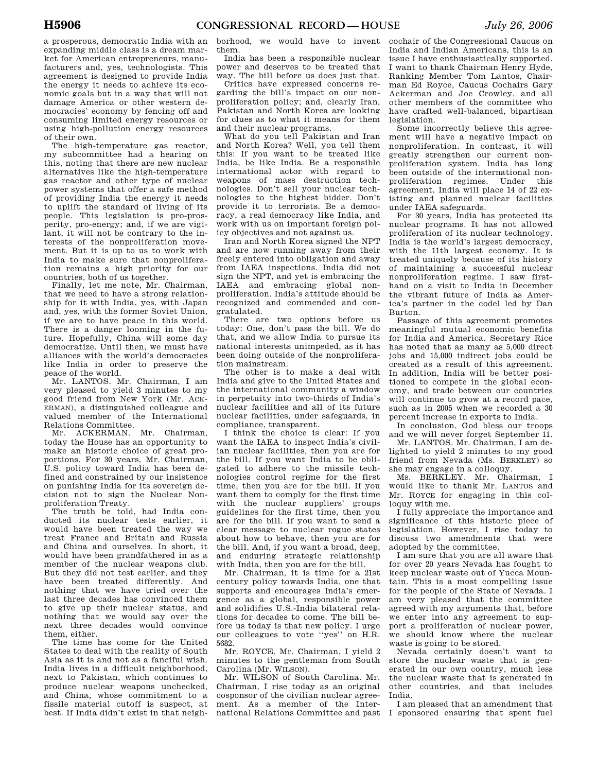a prosperous, democratic India with an expanding middle class is a dream market for American entrepreneurs, manufacturers and, yes, technologists. This agreement is designed to provide India the energy it needs to achieve its economic goals but in a way that will not damage America or other western democracies' economy by fencing off and consuming limited energy resources or using high-pollution energy resources of their own.

The high-temperature gas reactor, my subcommittee had a hearing on this, noting that there are new nuclear alternatives like the high-temperature gas reactor and other type of nuclear power systems that offer a safe method of providing India the energy it needs to uplift the standard of living of its people. This legislation is pro-prosperity, pro-energy; and, if we are vigilant, it will not be contrary to the interests of the nonproliferation movement. But it is up to us to work with India to make sure that nonproliferation remains a high priority for our countries, both of us together.

Finally, let me note, Mr. Chairman, that we need to have a strong relationship for it with India, yes, with Japan and, yes, with the former Soviet Union, if we are to have peace in this world. There is a danger looming in the future. Hopefully, China will some day democratize. Until then, we must have alliances with the world's democracies like India in order to preserve the peace of the world.

Mr. LANTOS. Mr. Chairman, I am very pleased to yield 3 minutes to my good friend from New York (Mr. ACK-ERMAN), a distinguished colleague and valued member of the International Relations Committee.

Mr. ACKERMAN. Mr. Chairman, today the House has an opportunity to make an historic choice of great proportions. For 30 years, Mr. Chairman, U.S. policy toward India has been defined and constrained by our insistence on punishing India for its sovereign decision not to sign the Nuclear Nonproliferation Treaty.

The truth be told, had India conducted its nuclear tests earlier, it would have been treated the way we treat France and Britain and Russia and China and ourselves. In short, it would have been grandfathered in as a member of the nuclear weapons club. But they did not test earlier, and they have been treated differently. And nothing that we have tried over the last three decades has convinced them to give up their nuclear status, and nothing that we would say over the next three decades would convince them, either.

The time has come for the United States to deal with the reality of South Asia as it is and not as a fanciful wish. India lives in a difficult neighborhood, next to Pakistan, which continues to produce nuclear weapons unchecked, and China, whose commitment to a fissile material cutoff is suspect, at best. If India didn't exist in that neigh-

borhood, we would have to invent them.

India has been a responsible nuclear power and deserves to be treated that way. The bill before us does just that.

Critics have expressed concerns regarding the bill's impact on our nonproliferation policy; and, clearly Iran, Pakistan and North Korea are looking for clues as to what it means for them and their nuclear programs.

What do you tell Pakistan and Iran and North Korea? Well, you tell them this: If you want to be treated like India, be like India. Be a responsible international actor with regard to weapons of mass destruction technologies. Don't sell your nuclear technologies to the highest bidder. Don't provide it to terrorists. Be a democracy, a real democracy like India, and work with us on important foreign policy objectives and not against us.

Iran and North Korea signed the NPT and are now running away from their freely entered into obligation and away from IAEA inspections. India did not sign the NPT, and yet is embracing the IAEA and embracing global nonproliferation. India's attitude should be recognized and commended and congratulated.

There are two options before us today: One, don't pass the bill. We do that, and we allow India to pursue its national interests unimpeded, as it has been doing outside of the nonproliferation mainstream.

The other is to make a deal with India and give to the United States and the international community a window in perpetuity into two-thirds of India's nuclear facilities and all of its future nuclear facilities, under safeguards, in compliance, transparent.

I think the choice is clear: If you want the IAEA to inspect India's civilian nuclear facilities, then you are for the bill. If you want India to be obligated to adhere to the missile technologies control regime for the first time, then you are for the bill. If you want them to comply for the first time with the nuclear suppliers' groups guidelines for the first time, then you are for the bill. If you want to send a clear message to nuclear rogue states about how to behave, then you are for the bill. And, if you want a broad, deep, and enduring strategic relationship with India, then you are for the bill.

Mr. Chairman, it is time for a 21st century policy towards India, one that supports and encourages India's emergence as a global, responsible power and solidifies U.S.-India bilateral relations for decades to come. The bill before us today is that new policy. I urge our colleagues to vote ''yes'' on H.R. 5682.

Mr. ROYCE. Mr. Chairman, I yield 2 minutes to the gentleman from South Carolina (Mr. WILSON).

Mr. WILSON of South Carolina. Mr. Chairman, I rise today as an original cosponsor of the civilian nuclear agreement. As a member of the Inter-

cochair of the Congressional Caucus on India and Indian Americans, this is an issue I have enthusiastically supported. I want to thank Chairman Henry Hyde, Ranking Member Tom Lantos, Chairman Ed Royce, Caucus Cochairs Gary Ackerman and Joe Crowley, and all other members of the committee who have crafted well-balanced, bipartisan legislation.

Some incorrectly believe this agreement will have a negative impact on nonproliferation. In contrast, it will greatly strengthen our current nonproliferation system. India has long been outside of the international non-<br>proliferation regimes Under this proliferation regimes. Under agreement, India will place 14 of 22 existing and planned nuclear facilities under IAEA safeguards.

For 30 years, India has protected its nuclear programs. It has not allowed proliferation of its nuclear technology. India is the world's largest democracy, with the 11th largest economy. It is treated uniquely because of its history of maintaining a successful nuclear nonproliferation regime. I saw firsthand on a visit to India in December the vibrant future of India as America's partner in the codel led by Dan Burton.

Passage of this agreement promotes meaningful mutual economic benefits for India and America. Secretary Rice has noted that as many as 5,000 direct jobs and 15,000 indirect jobs could be created as a result of this agreement. In addition, India will be better positioned to compete in the global economy, and trade between our countries will continue to grow at a record pace. such as in 2005 when we recorded a 30 percent increase in exports to India.

In conclusion, God bless our troops and we will never forget September 11.

Mr. LANTOS. Mr. Chairman, I am delighted to yield 2 minutes to my good friend from Nevada (Ms. BERKLEY) so she may engage in a colloquy.

Ms. BERKLEY. Mr. Chairman, I would like to thank Mr. LANTOS and Mr. ROYCE for engaging in this colloquy with me.

I fully appreciate the importance and significance of this historic piece of legislation. However, I rise today to discuss two amendments that were adopted by the committee.

I am sure that you are all aware that for over 20 years Nevada has fought to keep nuclear waste out of Yucca Mountain. This is a most compelling issue for the people of the State of Nevada. I am very pleased that the committee agreed with my arguments that, before we enter into any agreement to support a proliferation of nuclear power, we should know where the nuclear waste is going to be stored.

Nevada certainly doesn't want to store the nuclear waste that is generated in our own country, much less the nuclear waste that is generated in other countries, and that includes India.

national Relations Committee and past I sponsored ensuring that spent fuel I am pleased that an amendment that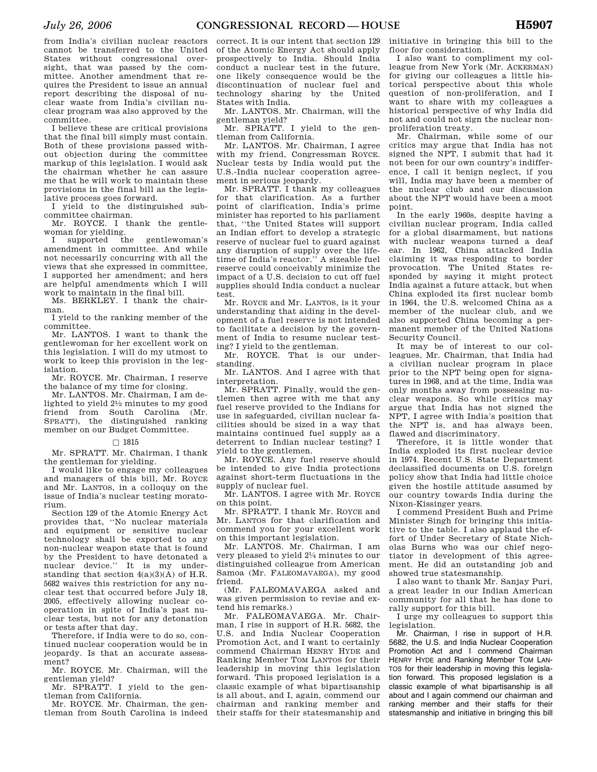from India's civilian nuclear reactors cannot be transferred to the United States without congressional oversight, that was passed by the committee. Another amendment that requires the President to issue an annual report describing the disposal of nuclear waste from India's civilian nuclear program was also approved by the committee.

I believe these are critical provisions that the final bill simply must contain. Both of these provisions passed without objection during the committee markup of this legislation. I would ask the chairman whether he can assure me that he will work to maintain these provisions in the final bill as the legislative process goes forward.

I yield to the distinguished subcommittee chairman.

Mr. ROYCE. I thank the gentlewoman for yielding.<br>I supported the

I supported the gentlewoman's amendment in committee. And while not necessarily concurring with all the views that she expressed in committee, I supported her amendment; and hers are helpful amendments which I will work to maintain in the final bill.

Ms. BERKLEY. I thank the chairman.

I yield to the ranking member of the committee.

Mr. LANTOS. I want to thank the gentlewoman for her excellent work on this legislation. I will do my utmost to work to keep this provision in the legislation.

Mr. ROYCE. Mr. Chairman, I reserve the balance of my time for closing.

Mr. LANTOS. Mr. Chairman, I am delighted to yield 21⁄2 minutes to my good friend from South Carolina (Mr. SPRATT), the distinguished ranking member on our Budget Committee.

#### $\Box$  1815

Mr. SPRATT. Mr. Chairman, I thank the gentleman for yielding.

I would like to engage my colleagues and managers of this bill, Mr. ROYCE and Mr. LANTOS, in a colloquy on the issue of India's nuclear testing moratorium.

Section 129 of the Atomic Energy Act provides that, ''No nuclear materials and equipment or sensitive nuclear technology shall be exported to any non-nuclear weapon state that is found by the President to have detonated a nuclear device.'' It is my understanding that section  $4(a)(3)(A)$  of H.R. 5682 waives this restriction for any nuclear test that occurred before July 18, 2005, effectively allowing nuclear cooperation in spite of India's past nuclear tests, but not for any detonation or tests after that day.

Therefore, if India were to do so, continued nuclear cooperation would be in jeopardy. Is that an accurate assessment?

Mr. ROYCE. Mr. Chairman, will the gentleman yield?

Mr. SPRATT. I yield to the gentleman from California.

Mr. ROYCE. Mr. Chairman, the gentleman from South Carolina is indeed correct. It is our intent that section 129 of the Atomic Energy Act should apply prospectively to India. Should India conduct a nuclear test in the future, one likely consequence would be the discontinuation of nuclear fuel and technology sharing by the United States with India.

Mr. LANTOS. Mr. Chairman, will the gentleman yield?

Mr. SPRATT. I yield to the gentleman from California.

Mr. LANTOS. Mr. Chairman, I agree with my friend, Congressman ROYCE. Nuclear tests by India would put the U.S.-India nuclear cooperation agreement in serious jeopardy.

Mr. SPRATT. I thank my colleagues for that clarification. As a further point of clarification, India's prime minister has reported to his parliament that, ''the United States will support an Indian effort to develop a strategic reserve of nuclear fuel to guard against any disruption of supply over the lifetime of India's reactor.'' A sizeable fuel reserve could conceivably minimize the impact of a U.S. decision to cut off fuel supplies should India conduct a nuclear test.

Mr. ROYCE and Mr. LANTOS, is it your understanding that aiding in the development of a fuel reserve is not intended to facilitate a decision by the government of India to resume nuclear testing? I yield to the gentleman.

Mr. ROYCE. That is our understanding.

Mr. LANTOS. And I agree with that interpretation.

Mr. SPRATT. Finally, would the gentlemen then agree with me that any fuel reserve provided to the Indians for use in safeguarded, civilian nuclear facilities should be sized in a way that maintains continued fuel supply as a deterrent to Indian nuclear testing? I yield to the gentlemen.

Mr. ROYCE. Any fuel reserve should be intended to give India protections against short-term fluctuations in the supply of nuclear fuel.

Mr. LANTOS. I agree with Mr. ROYCE on this point.

Mr. SPRATT. I thank Mr. ROYCE and Mr. LANTOS for that clarification and commend you for your excellent work on this important legislation.

Mr. LANTOS. Mr. Chairman, I am very pleased to yield 21⁄4 minutes to our distinguished colleague from American Samoa (Mr. FALEOMAVAEGA), my good friend.

(Mr. FALEOMAVAEGA asked and was given permission to revise and extend his remarks.)

Mr. FALEOMAVAEGA. Mr. Chairman, I rise in support of H.R. 5682, the U.S. and India Nuclear Cooperation Promotion Act, and I want to certainly commend Chairman HENRY HYDE and Ranking Member TOM LANTOS for their leadership in moving this legislation forward. This proposed legislation is a classic example of what bipartisanship is all about, and I, again, commend our chairman and ranking member and their staffs for their statesmanship and

initiative in bringing this bill to the floor for consideration.

I also want to compliment my colleague from New York (Mr. ACKERMAN) for giving our colleagues a little historical perspective about this whole question of non-proliferation, and I want to share with my colleagues a historical perspective of why India did not and could not sign the nuclear nonproliferation treaty.

Mr. Chairman, while some of our critics may argue that India has not signed the NPT, I submit that had it not been for our own country's indifference, I call it benign neglect, if you will, India may have been a member of the nuclear club and our discussion about the NPT would have been a moot point.

In the early 1960s, despite having a civilian nuclear program, India called for a global disarmament, but nations with nuclear weapons turned a deaf ear. In 1962, China attacked India claiming it was responding to border provocation. The United States responded by saying it might protect India against a future attack, but when China exploded its first nuclear bomb in 1964, the U.S. welcomed China as a member of the nuclear club, and we also supported China becoming a permanent member of the United Nations Security Council.

It may be of interest to our colleagues, Mr. Chairman, that India had a civilian nuclear program in place prior to the NPT being open for signatures in 1968, and at the time, India was only months away from possessing nuclear weapons. So while critics may argue that India has not signed the NPT, I agree with India's position that the NPT is, and has always been, flawed and discriminatory.

Therefore, it is little wonder that India exploded its first nuclear device in 1974. Recent U.S. State Department declassified documents on U.S. foreign policy show that India had little choice given the hostile attitude assumed by our country towards India during the Nixon-Kissinger years.

I commend President Bush and Prime Minister Singh for bringing this initiative to the table. I also applaud the effort of Under Secretary of State Nicholas Burns who was our chief negotiator in development of this agreement. He did an outstanding job and showed true statesmanship.

I also want to thank Mr. Sanjay Puri, a great leader in our Indian American community for all that he has done to rally support for this bill.

I urge my colleagues to support this legislation.

Mr. Chairman, I rise in support of H.R. 5682, the U.S. and India Nuclear Cooperation Promotion Act and I commend Chairman HENRY HYDE and Ranking Member TOM LAN-TOS for their leadership in moving this legislation forward. This proposed legislation is a classic example of what bipartisanship is all about and I again commend our chairman and ranking member and their staffs for their statesmanship and initiative in bringing this bill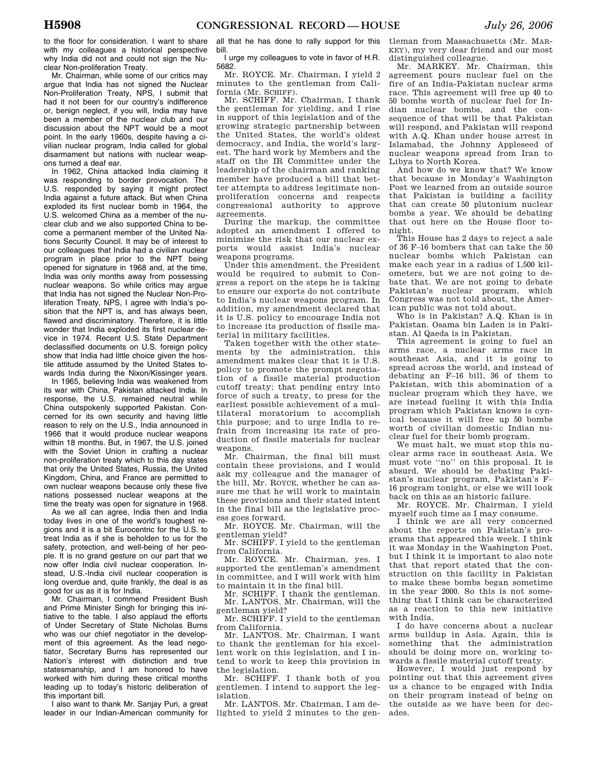to the floor for consideration. I want to share with my colleagues a historical perspective why India did not and could not sign the Nuclear Non-proliferation Treaty.

Mr. Chairman, while some of our critics may argue that India has not signed the Nuclear Non-Proliferation Treaty, NPS, I submit that had it not been for our country's indifference or, benign neglect, if you will, India may have been a member of the nuclear club and our discussion about the NPT would be a moot point. In the early 1960s, despite having a civilian nuclear program, India called for global disarmament but nations with nuclear weapons turned a deaf ear.

In 1962, China attacked India claiming it was responding to border provocation. The U.S. responded by saying it might protect India against a future attack. But when China exploded its first nuclear bomb in 1964, the U.S. welcomed China as a member of the nuclear club and we also supported China to become a permanent member of the United Nations Security Council. It may be of interest to our colleagues that India had a civilian nuclear program in place prior to the NPT being opened for signature in 1968 and, at the time, India was only months away from possessing nuclear weapons. So while critics may argue that India has not signed the Nuclear Non-Proliferation Treaty, NPS, I agree with India's position that the NPT is, and has always been, flawed and discriminatory. Therefore, it is little wonder that India exploded its first nuclear device in 1974. Recent U.S. State Department declassified documents on U.S. foreign policy show that India had little choice given the hostile attitude assumed by the United States towards India during the Nixon/Kissinger years.

In 1965, believing India was weakened from its war with China, Pakistan attacked India. In response, the U.S. remained neutral while China outspokenly supported Pakistan. Concerned for its own security and having little reason to rely on the U.S., India announced in 1966 that it would produce nuclear weapons within 18 months. But, in 1967, the U.S. joined with the Soviet Union in crafting a nuclear non-proliferation treaty which to this day states that only the United States, Russia, the United Kingdom, China, and France are permitted to own nuclear weapons because only these five nations possessed nuclear weapons at the time the treaty was open for signature in 1968.

As we all can agree, India then and India today lives in one of the world's toughest regions and it is a bit Eurocentric for the U.S. to treat India as if she is beholden to us for the safety, protection, and well-being of her people. It is no grand gesture on our part that we now offer India civil nuclear cooperation. Instead, U.S.-India civil nuclear cooperation is long overdue and, quite frankly, the deal is as good for us as it is for India.

Mr. Chairman, I commend President Bush and Prime Minister Singh for bringing this initiative to the table. I also applaud the efforts of Under Secretary of State Nicholas Burns who was our chief negotiator in the development of this agreement. As the lead negotiator, Secretary Burns has represented our Nation's interest with distinction and true statesmanship, and I am honored to have worked with him during these critical months leading up to today's historic deliberation of this important bill.

I also want to thank Mr. Sanjay Puri, a great leader in our Indian-American community for

all that he has done to rally support for this bill.

I urge my colleagues to vote in favor of H.R. 5682.

Mr. ROYCE. Mr. Chairman, I yield 2 minutes to the gentleman from California (Mr. SCHIFF).

Mr. SCHIFF. Mr. Chairman, I thank the gentleman for yielding, and I rise in support of this legislation and of the growing strategic partnership between the United States, the world's oldest democracy, and India, the world's largest. The hard work by Members and the staff on the IR Committee under the leadership of the chairman and ranking member have produced a bill that better attempts to address legitimate nonproliferation concerns and respects congressional authority to approve agreements.

During the markup, the committee adopted an amendment I offered to minimize the risk that our nuclear exports would assist India's nuclear weapons programs.

Under this amendment, the President would be required to submit to Congress a report on the steps he is taking to ensure our exports do not contribute to India's nuclear weapons program. In addition, my amendment declared that it is U.S. policy to encourage India not to increase its production of fissile material in military facilities.

Taken together with the other statements by the administration, this amendment makes clear that it is U.S. policy to promote the prompt negotiation of a fissile material production cutoff treaty; that pending entry into force of such a treaty, to press for the earliest possible achievement of a multilateral moratorium to accomplish this purpose; and to urge India to refrain from increasing its rate of production of fissile materials for nuclear weapons.

Mr. Chairman, the final bill must contain these provisions, and I would ask my colleague and the manager of the bill, Mr. ROYCE, whether he can assure me that he will work to maintain these provisions and their stated intent in the final bill as the legislative process goes forward.

Mr. ROYCE. Mr. Chairman, will the gentleman yield?

Mr. SCHIFF. I yield to the gentleman from California.

Mr. ROYCE. Mr. Chairman, yes. I supported the gentleman's amendment in committee, and I will work with him to maintain it in the final bill.

Mr. SCHIFF. I thank the gentleman. Mr. LANTOS. Mr. Chairman, will the gentleman yield?

Mr. SCHIFF. I yield to the gentleman from California.

Mr. LANTOS. Mr. Chairman, I want to thank the gentleman for his excellent work on this legislation, and I intend to work to keep this provision in the legislation.

Mr. SCHIFF. I thank both of you gentlemen. I intend to support the legislation.

Mr. LANTOS. Mr. Chairman, I am delighted to yield 2 minutes to the gentleman from Massachusetts (Mr. MAR-KEY), my very dear friend and our most distinguished colleague.

Mr. MARKEY. Mr. Chairman, this agreement pours nuclear fuel on the fire of an India-Pakistan nuclear arms race. This agreement will free up 40 to 50 bombs worth of nuclear fuel for Indian nuclear bombs, and the consequence of that will be that Pakistan will respond, and Pakistan will respond with A.Q. Khan under house arrest in Islamabad, the Johnny Appleseed of nuclear weapons spread from Iran to Libya to North Korea.

And how do we know that? We know that because in Monday's Washington Post we learned from an outside source that Pakistan is building a facility that can create 50 plutonium nuclear bombs a year. We should be debating that out here on the House floor tonight.

This House has 2 days to reject a sale of 36 F–16 bombers that can take the 50 nuclear bombs which Pakistan can make each year in a radius of 1,500 kilometers, but we are not going to debate that. We are not going to debate Pakistan's nuclear program, which Congress was not told about, the American public was not told about.

Who is in Pakistan? A.Q. Khan is in Pakistan. Osama bin Laden is in Pakistan. Al Qaeda is in Pakistan.

This agreement is going to fuel an arms race, a nuclear arms race in southeast Asia, and it is going to spread across the world, and instead of debating an F–16 bill, 36 of them to Pakistan, with this abomination of a nuclear program which they have, we are instead fueling it with this India program which Pakistan knows is cynical because it will free up 50 bombs worth of civilian domestic Indian nuclear fuel for their bomb program.

We must halt, we must stop this nuclear arms race in southeast Asia. We must vote "no" on this proposal. It is absurd. We should be debating Pakistan's nuclear program, Pakistan's F– 16 program tonight, or else we will look back on this as an historic failure.

Mr. ROYCE. Mr. Chairman, I yield myself such time as I may consume.

I think we are all very concerned about the reports on Pakistan's programs that appeared this week. I think it was Monday in the Washington Post, but I think it is important to also note that that report stated that the construction on this facility in Pakistan to make these bombs began sometime in the year 2000. So this is not something that I think can be characterized as a reaction to this new initiative with India.

I do have concerns about a nuclear arms buildup in Asia. Again, this is something that the administration should be doing more on, working towards a fissile material cutoff treaty.

However, I would just respond by pointing out that this agreement gives us a chance to be engaged with India on their program instead of being on the outside as we have been for decades.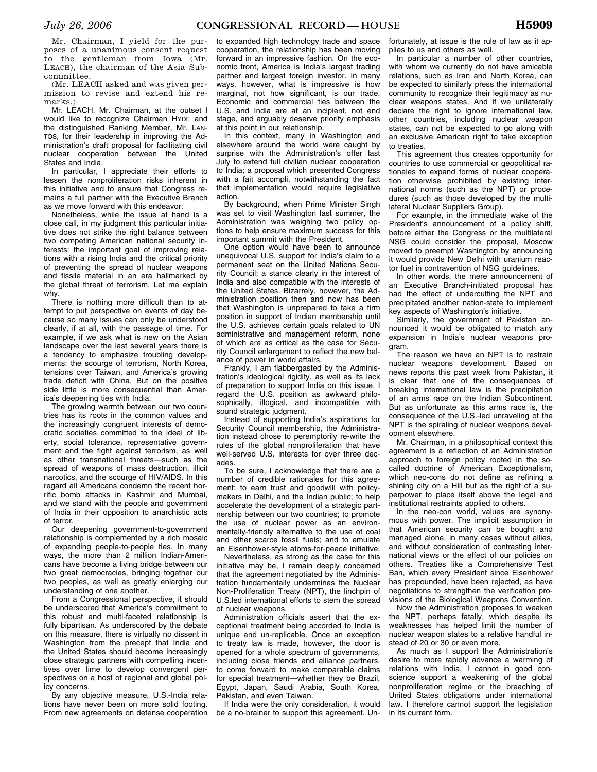Mr. Chairman, I yield for the purposes of a unanimous consent request to the gentleman from Iowa (Mr. LEACH), the chairman of the Asia Subcommittee.

(Mr. LEACH asked and was given permission to revise and extend his remarks)

Mr. LEACH. Mr. Chairman, at the outset I would like to recognize Chairman HYDE and the distinguished Ranking Member, Mr. LAN-TOS, for their leadership in improving the Administration's draft proposal for facilitating civil nuclear cooperation between the United States and India.

In particular, I appreciate their efforts to lessen the nonproliferation risks inherent in this initiative and to ensure that Congress remains a full partner with the Executive Branch as we move forward with this endeavor.

Nonetheless, while the issue at hand is a close call, in my judgment this particular initiative does not strike the right balance between two competing American national security interests: the important goal of improving relations with a rising India and the critical priority of preventing the spread of nuclear weapons and fissile material in an era hallmarked by the global threat of terrorism. Let me explain why.

There is nothing more difficult than to attempt to put perspective on events of day because so many issues can only be understood clearly, if at all, with the passage of time. For example, if we ask what is new on the Asian landscape over the last several years there is a tendency to emphasize troubling developments: the scourge of terrorism. North Korea, tensions over Taiwan, and America's growing trade deficit with China. But on the positive side little is more consequential than America's deepening ties with India.

The growing warmth between our two countries has its roots in the common values and the increasingly congruent interests of democratic societies committed to the ideal of liberty, social tolerance, representative government and the fight against terrorism, as well as other transnational threats—such as the spread of weapons of mass destruction, illicit narcotics, and the scourge of HIV/AIDS. In this regard all Americans condemn the recent horrific bomb attacks in Kashmir and Mumbai, and we stand with the people and government of India in their opposition to anarchistic acts of terror.

Our deepening government-to-government relationship is complemented by a rich mosaic of expanding people-to-people ties. In many ways, the more than 2 million Indian-Americans have become a living bridge between our two great democracies, bringing together our two peoples, as well as greatly enlarging our understanding of one another.

From a Congressional perspective, it should be underscored that America's commitment to this robust and multi-faceted relationship is fully bipartisan. As underscored by the debate on this measure, there is virtually no dissent in Washington from the precept that India and the United States should become increasingly close strategic partners with compelling incentives over time to develop convergent perspectives on a host of regional and global policy concerns.

By any objective measure, U.S.-India relations have never been on more solid footing. From new agreements on defense cooperation

to expanded high technology trade and space cooperation, the relationship has been moving forward in an impressive fashion. On the economic front, America is India's largest trading partner and largest foreign investor. In many ways, however, what is impressive is how marginal, not how significant, is our trade. Economic and commercial ties between the U.S. and India are at an incipient, not end stage, and arguably deserve priority emphasis at this point in our relationship.

In this context, many in Washington and elsewhere around the world were caught by surprise with the Administration's offer last July to extend full civilian nuclear cooperation to India; a proposal which presented Congress with a fait accompli, notwithstanding the fact that implementation would require legislative action.

By background, when Prime Minister Singh was set to visit Washington last summer, the Administration was weighing two policy options to help ensure maximum success for this important summit with the President.

One option would have been to announce unequivocal U.S. support for India's claim to a permanent seat on the United Nations Security Council; a stance clearly in the interest of India and also compatible with the interests of the United States. Bizarrely, however, the Administration position then and now has been that Washington is unprepared to take a firm position in support of Indian membership until the U.S. achieves certain goals related to UN administrative and management reform, none of which are as critical as the case for Security Council enlargement to reflect the new balance of power in world affairs.

Frankly, I am flabbergasted by the Administration's ideological rigidity, as well as its lack of preparation to support India on this issue. I regard the U.S. position as awkward philosophically, illogical, and incompatible with sound strategic judgment.

Instead of supporting India's aspirations for Security Council membership, the Administration instead chose to peremptorily re-write the rules of the global nonproliferation that have well-served U.S. interests for over three decades.

To be sure, I acknowledge that there are a number of credible rationales for this agreement: to earn trust and goodwill with policymakers in Delhi, and the Indian public; to help accelerate the development of a strategic partnership between our two countries; to promote the use of nuclear power as an environmentally-friendly alternative to the use of coal and other scarce fossil fuels; and to emulate an Eisenhower-style atoms-for-peace initiative.

Nevertheless, as strong as the case for this initiative may be, I remain deeply concerned that the agreement negotiated by the Administration fundamentally undermines the Nuclear Non-Proliferation Treaty (NPT), the linchpin of U.S.led international efforts to stem the spread of nuclear weapons.

Administration officials assert that the exceptional treatment being accorded to India is unique and un-replicable. Once an exception to treaty law is made, however, the door is opened for a whole spectrum of governments, including close friends and alliance partners, to come forward to make comparable claims for special treatment—whether they be Brazil, Egypt, Japan, Saudi Arabia, South Korea, Pakistan, and even Taiwan.

If India were the only consideration, it would be a no-brainer to support this agreement. Un-

fortunately, at issue is the rule of law as it applies to us and others as well.

In particular a number of other countries, with whom we currently do not have amicable relations, such as Iran and North Korea, can be expected to similarly press the international community to recognize their legitimacy as nuclear weapons states. And if we unilaterally declare the right to ignore international law, other countries, including nuclear weapon states, can not be expected to go along with an exclusive American right to take exception to treaties.

This agreement thus creates opportunity for countries to use commercial or geopolitical rationales to expand forms of nuclear cooperation otherwise prohibited by existing international norms (such as the NPT) or procedures (such as those developed by the multilateral Nuclear Suppliers Group).

For example, in the immediate wake of the President's announcement of a policy shift, before either the Congress or the multilateral NSG could consider the proposal, Moscow moved to preempt Washington by announcing it would provide New Delhi with uranium reactor fuel in contravention of NSG guidelines.

In other words, the mere announcement of an Executive Branch-initiated proposal has had the effect of undercutting the NPT and precipitated another nation-state to implement key aspects of Washington's initiative.

Similarly, the government of Pakistan announced it would be obligated to match any expansion in India's nuclear weapons program.

The reason we have an NPT is to restrain nuclear weapons development. Based on news reports this past week from Pakistan, it is clear that one of the consequences of breaking international law is the precipitation of an arms race on the Indian Subcontinent. But as unfortunate as this arms race is, the consequence of the U.S.-led unraveling of the NPT is the spiraling of nuclear weapons development elsewhere.

Mr. Chairman, in a philosophical context this agreement is a reflection of an Administration approach to foreign policy rooted in the socalled doctrine of American Exceptionalism, which neo-cons do not define as refining a shining city on a Hill but as the right of a superpower to place itself above the legal and institutional restraints applied to others.

In the neo-con world, values are synonymous with power. The implicit assumption in that American security can be bought and managed alone, in many cases without allies, and without consideration of contrasting international views or the effect of our policies on others. Treaties like a Comprehensive Test Ban, which every President since Eisenhower has propounded, have been rejected, as have negotiations to strengthen the verification provisions of the Biological Weapons Convention.

Now the Administration proposes to weaken the NPT, perhaps fatally, which despite its weaknesses has helped limit the number of nuclear weapon states to a relative handful instead of 20 or 30 or even more.

As much as I support the Administration's desire to more rapidly advance a warming of relations with India, I cannot in good conscience support a weakening of the global nonproliferation regime or the breaching of United States obligations under international law. I therefore cannot support the legislation in its current form.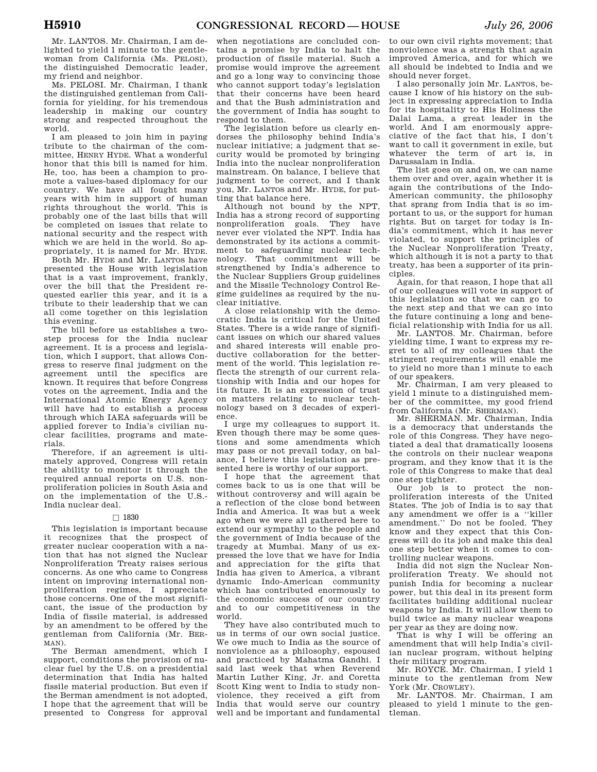Mr. LANTOS. Mr. Chairman, I am delighted to yield 1 minute to the gentlewoman from California (Ms. PELOSI), the distinguished Democratic leader, my friend and neighbor.

Ms. PELOSI. Mr. Chairman, I thank the distinguished gentleman from California for yielding, for his tremendous leadership in making our country strong and respected throughout the world.

I am pleased to join him in paying tribute to the chairman of the committee, HENRY HYDE. What a wonderful honor that this bill is named for him. He, too, has been a champion to promote a values-based diplomacy for our country. We have all fought many years with him in support of human rights throughout the world. This is probably one of the last bills that will be completed on issues that relate to national security and the respect with which we are held in the world. So appropriately, it is named for Mr. HYDE.

Both Mr. HYDE and Mr. LANTOS have presented the House with legislation that is a vast improvement, frankly, over the bill that the President requested earlier this year, and it is a tribute to their leadership that we can all come together on this legislation this evening.

The bill before us establishes a twostep process for the India nuclear agreement. It is a process and legislation, which I support, that allows Congress to reserve final judgment on the agreement until the specifics are known. It requires that before Congress votes on the agreement, India and the International Atomic Energy Agency will have had to establish a process through which IAEA safeguards will be applied forever to India's civilian nuclear facilities, programs and materials.

Therefore, if an agreement is ultimately approved, Congress will retain the ability to monitor it through the required annual reports on U.S. nonproliferation policies in South Asia and on the implementation of the U.S.- India nuclear deal.

#### $\Box$  1830

This legislation is important because it recognizes that the prospect of greater nuclear cooperation with a nation that has not signed the Nuclear Nonproliferation Treaty raises serious concerns. As one who came to Congress intent on improving international nonproliferation regimes, I appreciate those concerns. One of the most significant, the issue of the production by India of fissile material, is addressed by an amendment to be offered by the gentleman from California (Mr. BER-MAN).

The Berman amendment, which I support, conditions the provision of nuclear fuel by the U.S. on a presidential determination that India has halted fissile material production. But even if the Berman amendment is not adopted, I hope that the agreement that will be presented to Congress for approval

when negotiations are concluded contains a promise by India to halt the production of fissile material. Such a promise would improve the agreement and go a long way to convincing those who cannot support today's legislation that their concerns have been heard and that the Bush administration and the government of India has sought to respond to them.

The legislation before us clearly endorses the philosophy behind India's nuclear initiative; a judgment that security would be promoted by bringing India into the nuclear nonproliferation mainstream. On balance, I believe that judgment to be correct, and I thank you, Mr. LANTOS and Mr. HYDE, for putting that balance here.

Although not bound by the NPT, India has a strong record of supporting nonproliferation goals. They have never ever violated the NPT. India has demonstrated by its actions a commitment to safeguarding nuclear technology. That commitment will be strengthened by India's adherence to the Nuclear Suppliers Group guidelines and the Missile Technology Control Regime guidelines as required by the nuclear initiative.

A close relationship with the democratic India is critical for the United States. There is a wide range of significant issues on which our shared values and shared interests will enable productive collaboration for the betterment of the world. This legislation reflects the strength of our current relationship with India and our hopes for its future. It is an expression of trust on matters relating to nuclear technology based on 3 decades of experience.

I urge my colleagues to support it. Even though there may be some questions and some amendments which may pass or not prevail today, on balance, I believe this legislation as presented here is worthy of our support.

I hope that the agreement that comes back to us is one that will be without controversy and will again be a reflection of the close bond between India and America. It was but a week ago when we were all gathered here to extend our sympathy to the people and the government of India because of the tragedy at Mumbai. Many of us expressed the love that we have for India and appreciation for the gifts that India has given to America, a vibrant dynamic Indo-American community which has contributed enormously to the economic success of our country and to our competitiveness in the world.

They have also contributed much to us in terms of our own social justice. We owe much to India as the source of nonviolence as a philosophy, espoused and practiced by Mahatma Gandhi. I said last week that when Reverend Martin Luther King, Jr. and Coretta Scott King went to India to study nonviolence, they received a gift from India that would serve our country well and be important and fundamental

to our own civil rights movement; that nonviolence was a strength that again improved America, and for which we all should be indebted to India and we should never forget.

I also personally join Mr. LANTOS, because I know of his history on the subject in expressing appreciation to India for its hospitality to His Holiness the Dalai Lama, a great leader in the world. And I am enormously appreciative of the fact that his, I don't want to call it government in exile, but whatever the term of art is, in Darussalam in India.

The list goes on and on, we can name them over and over, again whether it is again the contributions of the Indo-American community, the philosophy that sprang from India that is so important to us, or the support for human rights. But on target for today is India's commitment, which it has never violated, to support the principles of the Nuclear Nonproliferation Treaty, which although it is not a party to that treaty, has been a supporter of its principles.

Again, for that reason, I hope that all of our colleagues will vote in support of this legislation so that we can go to the next step and that we can go into the future continuing a long and beneficial relationship with India for us all.

Mr. LANTOS. Mr. Chairman, before yielding time, I want to express my regret to all of my colleagues that the stringent requirements will enable me to yield no more than 1 minute to each of our speakers.

Mr. Chairman, I am very pleased to yield 1 minute to a distinguished member of the committee, my good friend from California (Mr. SHERMAN).

Mr. SHERMAN. Mr. Chairman, India is a democracy that understands the role of this Congress. They have negotiated a deal that dramatically loosens the controls on their nuclear weapons program, and they know that it is the role of this Congress to make that deal one step tighter.

Our job is to protect the nonproliferation interests of the United States. The job of India is to say that any amendment we offer is a ''killer amendment.'' Do not be fooled. They know and they expect that this Congress will do its job and make this deal one step better when it comes to controlling nuclear weapons.

India did not sign the Nuclear Nonproliferation Treaty. We should not punish India for becoming a nuclear power, but this deal in its present form facilitates building additional nuclear weapons by India. It will allow them to build twice as many nuclear weapons per year as they are doing now.

That is why I will be offering an amendment that will help India's civilian nuclear program, without helping their military program.

Mr. ROYCE. Mr. Chairman, I yield 1 minute to the gentleman from New York (Mr. CROWLEY).

Mr. LANTOS. Mr. Chairman, I am pleased to yield 1 minute to the gentleman.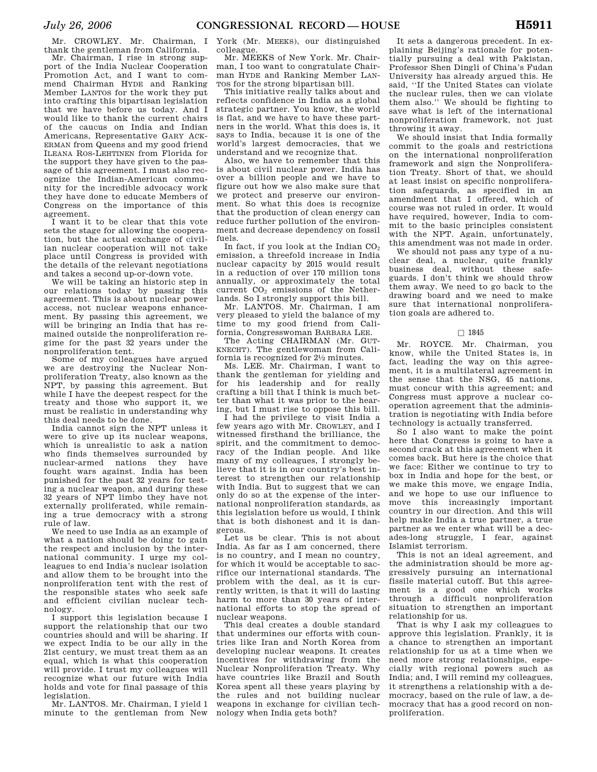Mr. CROWLEY. Mr. Chairman, I thank the gentleman from California.

Mr. Chairman, I rise in strong support of the India Nuclear Cooperation Promotion Act, and I want to commend Chairman HYDE and Ranking Member LANTOS for the work they put into crafting this bipartisan legislation that we have before us today. And I would like to thank the current chairs of the caucus on India and Indian Americans, Representative GARY ACK-ERMAN from Queens and my good friend ILEANA ROS-LEHTINEN from Florida for the support they have given to the passage of this agreement. I must also recognize the Indian-American community for the incredible advocacy work they have done to educate Members of Congress on the importance of this agreement.

I want it to be clear that this vote sets the stage for allowing the cooperation, but the actual exchange of civilian nuclear cooperation will not take place until Congress is provided with the details of the relevant negotiations and takes a second up-or-down vote.

We will be taking an historic step in our relations today by passing this agreement. This is about nuclear power access, not nuclear weapons enhancement. By passing this agreement, we will be bringing an India that has remained outside the nonproliferation regime for the past 32 years under the nonproliferation tent.

Some of my colleagues have argued we are destroying the Nuclear Nonproliferation Treaty, also known as the NPT, by passing this agreement. But while I have the deepest respect for the treaty and those who support it, we must be realistic in understanding why this deal needs to be done.

India cannot sign the NPT unless it were to give up its nuclear weapons, which is unrealistic to ask a nation who finds themselves surrounded by nuclear-armed nations they have fought wars against. India has been punished for the past 32 years for testing a nuclear weapon, and during these 32 years of NPT limbo they have not externally proliferated, while remaining a true democracy with a strong rule of law.

We need to use India as an example of what a nation should be doing to gain the respect and inclusion by the international community. I urge my colleagues to end India's nuclear isolation and allow them to be brought into the nonproliferation tent with the rest of the responsible states who seek safe and efficient civilian nuclear technology.

I support this legislation because I support the relationship that our two countries should and will be sharing. If we expect India to be our ally in the 21st century, we must treat them as an equal, which is what this cooperation will provide. I trust my colleagues will recognize what our future with India holds and vote for final passage of this legislation.

Mr. LANTOS. Mr. Chairman, I yield 1 minute to the gentleman from New

York (Mr. MEEKS), our distinguished colleague.

Mr. MEEKS of New York. Mr. Chairman, I too want to congratulate Chairman HYDE and Ranking Member LAN-TOS for the strong bipartisan bill.

This initiative really talks about and reflects confidence in India as a global strategic partner. You know, the world is flat, and we have to have these partners in the world. What this does is, it says to India, because it is one of the world's largest democracies, that we understand and we recognize that.

Also, we have to remember that this is about civil nuclear power. India has over a billion people and we have to figure out how we also make sure that we protect and preserve our environment. So what this does is recognize that the production of clean energy can reduce further pollution of the environment and decrease dependency on fossil fuels.

In fact, if you look at the Indian  $CO<sub>2</sub>$ emission, a threefold increase in India nuclear capacity by 2015 would result in a reduction of over 170 million tons annually, or approximately the total current CO<sub>2</sub> emissions of the Netherlands. So I strongly support this bill.

Mr. LANTOS. Mr. Chairman, I am very pleased to yield the balance of my time to my good friend from California, Congresswoman BARBARA LEE.

The Acting CHAIRMAN (Mr. GUT-KNECHT). The gentlewoman from California is recognized for 21⁄2 minutes.

Ms. LEE. Mr. Chairman, I want to thank the gentleman for yielding and for his leadership and for really crafting a bill that I think is much better than what it was prior to the hearing, but I must rise to oppose this bill.

I had the privilege to visit India a few years ago with Mr. CROWLEY, and I witnessed firsthand the brilliance, the spirit, and the commitment to democracy of the Indian people. And like many of my colleagues, I strongly believe that it is in our country's best interest to strengthen our relationship with India. But to suggest that we can only do so at the expense of the international nonproliferation standards, as this legislation before us would, I think that is both dishonest and it is dangerous.

Let us be clear. This is not about India. As far as I am concerned, there is no country, and I mean no country, for which it would be acceptable to sacrifice our international standards. The problem with the deal, as it is currently written, is that it will do lasting harm to more than 30 years of international efforts to stop the spread of nuclear weapons.

This deal creates a double standard that undermines our efforts with countries like Iran and North Korea from developing nuclear weapons. It creates incentives for withdrawing from the Nuclear Nonproliferation Treaty. Why have countries like Brazil and South Korea spent all these years playing by the rules and not building nuclear weapons in exchange for civilian technology when India gets both?

It sets a dangerous precedent. In explaining Beijing's rationale for potentially pursuing a deal with Pakistan, Professor Shen Dingli of China's Fudan University has already argued this. He said, ''If the United States can violate the nuclear rules, then we can violate them also.'' We should be fighting to save what is left of the international nonproliferation framework, not just throwing it away.

We should insist that India formally commit to the goals and restrictions on the international nonproliferation framework and sign the Nonproliferation Treaty. Short of that, we should at least insist on specific nonproliferation safeguards, as specified in an amendment that I offered, which of course was not ruled in order. It would have required, however, India to commit to the basic principles consistent with the NPT. Again, unfortunately, this amendment was not made in order.

We should not pass any type of a nuclear deal, a nuclear, quite frankly business deal, without these safeguards. I don't think we should throw them away. We need to go back to the drawing board and we need to make sure that international nonproliferation goals are adhered to.

#### $\Box$  1845

Mr. ROYCE. Mr. Chairman, you know, while the United States is, in fact, leading the way on this agreement, it is a multilateral agreement in the sense that the NSG, 45 nations, must concur with this agreement; and Congress must approve a nuclear cooperation agreement that the administration is negotiating with India before technology is actually transferred.

So I also want to make the point here that Congress is going to have a second crack at this agreement when it comes back. But here is the choice that we face: Either we continue to try to box in India and hope for the best, or we make this move, we engage India, and we hope to use our influence to move this increasingly important country in our direction. And this will help make India a true partner, a true partner as we enter what will be a decades-long struggle, I fear, against Islamist terrorism.

This is not an ideal agreement, and the administration should be more aggressively pursuing an international fissile material cutoff. But this agreement is a good one which works through a difficult nonproliferation situation to strengthen an important relationship for us.

That is why I ask my colleagues to approve this legislation. Frankly, it is a chance to strengthen an important relationship for us at a time when we need more strong relationships, especially with regional powers such as India; and, I will remind my colleagues, it strengthens a relationship with a democracy, based on the rule of law, a democracy that has a good record on nonproliferation.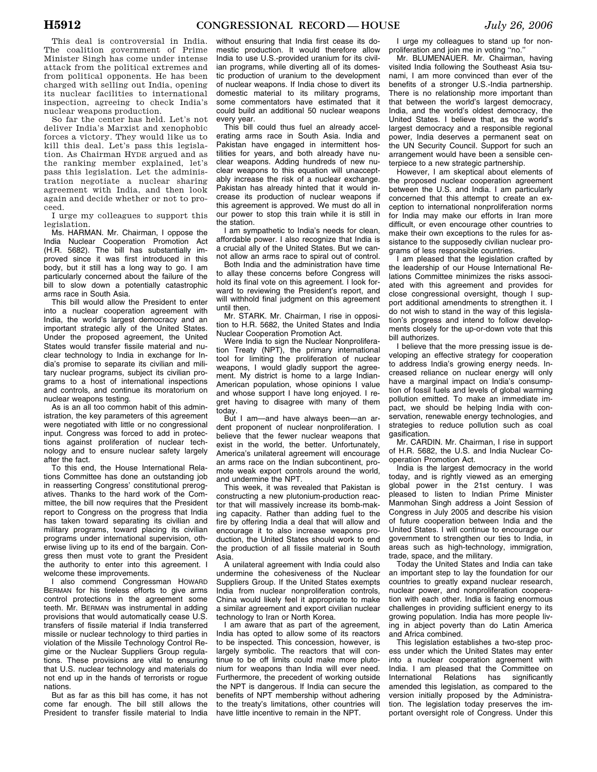This deal is controversial in India. The coalition government of Prime Minister Singh has come under intense attack from the political extremes and from political opponents. He has been charged with selling out India, opening its nuclear facilities to international inspection, agreeing to check India's nuclear weapons production.

So far the center has held. Let's not deliver India's Marxist and xenophobic forces a victory. They would like us to kill this deal. Let's pass this legislation. As Chairman HYDE argued and as the ranking member explained, let's pass this legislation. Let the administration negotiate a nuclear sharing agreement with India, and then look again and decide whether or not to proceed.

I urge my colleagues to support this legislation.

Ms. HARMAN. Mr. Chairman, I oppose the India Nuclear Cooperation Promotion Act (H.R. 5682). The bill has substantially improved since it was first introduced in this body, but it still has a long way to go. I am particularly concerned about the failure of the bill to slow down a potentially catastrophic arms race in South Asia.

This bill would allow the President to enter into a nuclear cooperation agreement with India, the world's largest democracy and an important strategic ally of the United States. Under the proposed agreement, the United States would transfer fissile material and nuclear technology to India in exchange for India's promise to separate its civilian and military nuclear programs, subject its civilian programs to a host of international inspections and controls, and continue its moratorium on nuclear weapons testing.

As is an all too common habit of this administration, the key parameters of this agreement were negotiated with little or no congressional input. Congress was forced to add in protections against proliferation of nuclear technology and to ensure nuclear safety largely after the fact.

To this end, the House International Relations Committee has done an outstanding job in reasserting Congress' constitutional prerogatives. Thanks to the hard work of the Committee, the bill now requires that the President report to Congress on the progress that India has taken toward separating its civilian and military programs, toward placing its civilian programs under international supervision, otherwise living up to its end of the bargain. Congress then must vote to grant the President the authority to enter into this agreement. I welcome these improvements.

I also commend Congressman HOWARD BERMAN for his tireless efforts to give arms control protections in the agreement some teeth. Mr. BERMAN was instrumental in adding provisions that would automatically cease U.S. transfers of fissile material if India transferred missile or nuclear technology to third parties in violation of the Missile Technology Control Regime or the Nuclear Suppliers Group regulations. These provisions are vital to ensuring that U.S. nuclear technology and materials do not end up in the hands of terrorists or rogue nations.

But as far as this bill has come, it has not come far enough. The bill still allows the President to transfer fissile material to India

without ensuring that India first cease its domestic production. It would therefore allow India to use U.S.-provided uranium for its civilian programs, while diverting all of its domestic production of uranium to the development of nuclear weapons. If India chose to divert its domestic material to its military programs, some commentators have estimated that it could build an additional 50 nuclear weapons every year.

This bill could thus fuel an already accelerating arms race in South Asia. India and Pakistan have engaged in intermittent hostilities for years, and both already have nuclear weapons. Adding hundreds of new nuclear weapons to this equation will unacceptably increase the risk of a nuclear exchange. Pakistan has already hinted that it would increase its production of nuclear weapons if this agreement is approved. We must do all in our power to stop this train while it is still in the station.

I am sympathetic to India's needs for clean, affordable power. I also recognize that India is a crucial ally of the United States. But we cannot allow an arms race to spiral out of control.

Both India and the administration have time to allay these concerns before Congress will hold its final vote on this agreement. I look forward to reviewing the President's report, and will withhold final judgment on this agreement until then.

Mr. STARK. Mr. Chairman, I rise in opposition to H.R. 5682, the United States and India Nuclear Cooperation Promotion Act.

Were India to sign the Nuclear Nonproliferation Treaty (NPT), the primary international tool for limiting the proliferation of nuclear weapons, I would gladly support the agreement. My district is home to a large Indian-American population, whose opinions I value and whose support I have long enjoyed. I regret having to disagree with many of them today.

But I am—and have always been—an ardent proponent of nuclear nonproliferation. I believe that the fewer nuclear weapons that exist in the world, the better. Unfortunately, America's unilateral agreement will encourage an arms race on the Indian subcontinent, promote weak export controls around the world, and undermine the NPT.

This week, it was revealed that Pakistan is constructing a new plutonium-production reactor that will massively increase its bomb-making capacity. Rather than adding fuel to the fire by offering India a deal that will allow and encourage it to also increase weapons production, the United States should work to end the production of all fissile material in South Asia.

A unilateral agreement with India could also undermine the cohesiveness of the Nuclear Suppliers Group. If the United States exempts India from nuclear nonproliferation controls, China would likely feel it appropriate to make a similar agreement and export civilian nuclear technology to Iran or North Korea.

I am aware that as part of the agreement, India has opted to allow some of its reactors to be inspected. This concession, however, is largely symbolic. The reactors that will continue to be off limits could make more plutonium for weapons than India will ever need. Furthermore, the precedent of working outside the NPT is dangerous. If India can secure the benefits of NPT membership without adhering to the treaty's limitations, other countries will have little incentive to remain in the NPT.

I urge my colleagues to stand up for nonproliferation and join me in voting "no."

Mr. BLUMENAUER. Mr. Chairman, having visited India following the Southeast Asia tsunami, I am more convinced than ever of the benefits of a stronger U.S.-India partnership. There is no relationship more important than that between the world's largest democracy, India, and the world's oldest democracy, the United States. I believe that, as the world's largest democracy and a responsible regional power, India deserves a permanent seat on the UN Security Council. Support for such an arrangement would have been a sensible centerpiece to a new strategic partnership.

However, I am skeptical about elements of the proposed nuclear cooperation agreement between the U.S. and India. I am particularly concerned that this attempt to create an exception to international nonproliferation norms for India may make our efforts in Iran more difficult, or even encourage other countries to make their own exceptions to the rules for assistance to the supposedly civilian nuclear programs of less responsible countries.

I am pleased that the legislation crafted by the leadership of our House International Relations Committee minimizes the risks associated with this agreement and provides for close congressional oversight, though I support additional amendments to strengthen it. I do not wish to stand in the way of this legislation's progress and intend to follow developments closely for the up-or-down vote that this bill authorizes.

I believe that the more pressing issue is developing an effective strategy for cooperation to address India's growing energy needs. Increased reliance on nuclear energy will only have a marginal impact on India's consumption of fossil fuels and levels of global warming pollution emitted. To make an immediate impact, we should be helping India with conservation, renewable energy technologies, and strategies to reduce pollution such as coal gasification.

Mr. CARDIN. Mr. Chairman, I rise in support of H.R. 5682, the U.S. and India Nuclear Cooperation Promotion Act.

India is the largest democracy in the world today, and is rightly viewed as an emerging global power in the 21st century. I was pleased to listen to Indian Prime Minister Manmohan Singh address a Joint Session of Congress in July 2005 and describe his vision of future cooperation between India and the United States. I will continue to encourage our government to strengthen our ties to India, in areas such as high-technology, immigration, trade, space, and the military.

Today the United States and India can take an important step to lay the foundation for our countries to greatly expand nuclear research, nuclear power, and nonproliferation cooperation with each other. India is facing enormous challenges in providing sufficient energy to its growing population. India has more people living in abject poverty than do Latin America and Africa combined.

This legislation establishes a two-step process under which the United States may enter into a nuclear cooperation agreement with India. I am pleased that the Committee on International Relations has significantly amended this legislation, as compared to the version initially proposed by the Administration. The legislation today preserves the important oversight role of Congress. Under this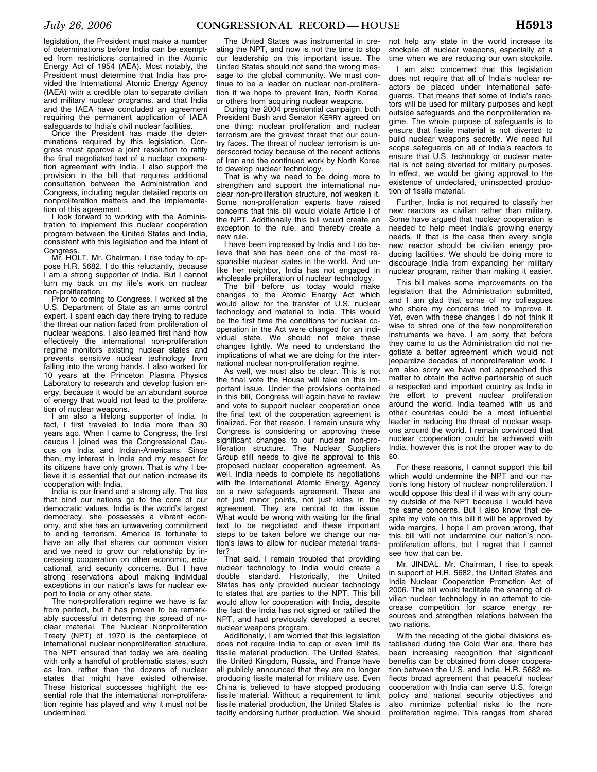legislation, the President must make a number of determinations before India can be exempted from restrictions contained in the Atomic Energy Act of 1954 (AEA). Most notably, the President must determine that India has provided the International Atomic Energy Agency (IAEA) with a credible plan to separate civilian and military nuclear programs, and that India and the IAEA have concluded an agreement requiring the permanent application of IAEA safeguards to India's civil nuclear facilities.

Once the President has made the determinations required by this legislation, Congress must approve a joint resolution to ratify the final negotiated text of a nuclear cooperation agreement with India. I also support the provision in the bill that requires additional consultation between the Administration and Congress, including regular detailed reports on nonproliferation matters and the implementa-<br>tion of this agreement

I look forward to working with the Administration to implement this nuclear cooperation program between the United States and India, consistent with this legislation and the intent of Congress. Mr. HOLT. Mr. Chairman, I rise today to op-

pose H.R. 5682. I do this reluctantly, because I am a strong supporter of India. But I cannot turn my back on my life's work on nuclear non-proliferation.

Prior to coming to Congress, I worked at the U.S. Department of State as an arms control expert. I spent each day there trying to reduce the threat our nation faced from proliferation of nuclear weapons. I also learned first hand how effectively the international non-proliferation regime monitors existing nuclear states and prevents sensitive nuclear technology from falling into the wrong hands. I also worked for 10 years at the Princeton Plasma Physics Laboratory to research and develop fusion energy, because it would be an abundant source of energy that would not lead to the prolifera-<br>tion of nuclear weapons.

I am also a lifelong supporter of India. In fact, I first traveled to India more than 30 years ago. When I came to Congress, the first caucus I joined was the Congressional Caucus on India and Indian-Americans. Since then, my interest in India and my respect for its citizens have only grown. That is why I believe it is essential that our nation increase its

India is our friend and a strong ally. The ties that bind our nations go to the core of our democratic values. India is the world's largest democracy, she possesses a vibrant economy, and she has an unwavering commitment to ending terrorism. America is fortunate to have an ally that shares our common vision and we need to grow our relationship by increasing cooperation on other economic, educational, and security concerns. But I have strong reservations about making individual exceptions in our nation's laws for nuclear ex-<br>port to India or any other state.

The non-proliferation regime we have is far from perfect, but it has proven to be remarkably successful in deterring the spread of nuclear material. The Nuclear Nonproliferation Treaty (NPT) of 1970 is the centerpiece of international nuclear nonproliferation structure. The NPT ensured that today we are dealing with only a handful of problematic states, such as Iran, rather than the dozens of nuclear states that might have existed otherwise. These historical successes highlight the essential role that the international non-proliferation regime has played and why it must not be undermined.

The United States was instrumental in creating the NPT, and now is not the time to stop our leadership on this important issue. The United States should not send the wrong message to the global community. We must continue to be a leader on nuclear non-proliferation if we hope to prevent Iran, North Korea, or others from acquiring nuclear weapons.

During the 2004 presidential campaign, both President Bush and Senator KERRY agreed on one thing: nuclear proliferation and nuclear terrorism are the gravest threat that our country faces. The threat of nuclear terrorism is underscored today because of the recent actions of Iran and the continued work by North Korea

to develop nuclear technology. That is why we need to be doing more to strengthen and support the international nuclear non-proliferation structure, not weaken it. Some non-proliferation experts have raised concerns that this bill would violate Article I of the NPT. Additionally this bill would create an exception to the rule, and thereby create a new rule.

I have been impressed by India and I do believe that she has been one of the most responsible nuclear states in the world. And unlike her neighbor, India has not engaged in wholesale proliferation of nuclear technology.

The bill before us today would make changes to the Atomic Energy Act which would allow for the transfer of U.S. nuclear technology and material to India. This would be the first time the conditions for nuclear cooperation in the Act were changed for an individual state. We should not make these changes lightly. We need to understand the implications of what we are doing for the international nuclear non-proliferation regime.

As well, we must also be clear. This is not the final vote the House will take on this important issue. Under the provisions contained in this bill, Congress will again have to review and vote to support nuclear cooperation once the final text of the cooperation agreement is finalized. For that reason. I remain unsure why Congress is considering or approving these significant changes to our nuclear non-proliferation structure. The Nuclear Suppliers Group still needs to give its approval to this proposed nuclear cooperation agreement. As well, India needs to complete its negotiations with the International Atomic Energy Agency on a new safeguards agreement. These are not just minor points, not just iotas in the agreement. They are central to the issue. What would be wrong with waiting for the final text to be negotiated and these important steps to be taken before we change our nation's laws to allow for nuclear material transfer?

That said, I remain troubled that providing nuclear technology to India would create a double standard. Historically, the United States has only provided nuclear technology to states that are parties to the NPT. This bill would allow for cooperation with India, despite the fact the India has not signed or ratified the NPT, and had previously developed a secret nuclear weapons program.

Additionally, I am worried that this legislation does not require India to cap or even limit its fissile material production. The United States, the United Kingdom, Russia, and France have all publicly announced that they are no longer producing fissile material for military use. Even China is believed to have stopped producing fissile material. Without a requirement to limit fissile material production, the United States is tacitly endorsing further production. We should

not help any state in the world increase its stockpile of nuclear weapons, especially at a time when we are reducing our own stockpile.

I am also concerned that this legislation does not require that all of India's nuclear reactors be placed under international safeguards. That means that some of India's reactors will be used for military purposes and kept outside safeguards and the nonproliferation regime. The whole purpose of safeguards is to ensure that fissile material is not diverted to build nuclear weapons secretly. We need full scope safeguards on all of India's reactors to ensure that U.S. technology or nuclear material is not being diverted for military purposes. In effect, we would be giving approval to the existence of undeclared, uninspected production of fissile material.

Further, India is not required to classify her new reactors as civilian rather than military. Some have argued that nuclear cooperation is needed to help meet India's growing energy needs. If that is the case then every single new reactor should be civilian energy producing facilities. We should be doing more to discourage India from expanding her military nuclear program, rather than making it easier.

This bill makes some improvements on the legislation that the Administration submitted, and I am glad that some of my colleagues who share my concerns tried to improve it. Yet, even with these changes I do not think it wise to shred one of the few nonproliferation instruments we have. I am sorry that before they came to us the Administration did not negotiate a better agreement which would not jeopardize decades of nonproliferation work. I am also sorry we have not approached this matter to obtain the active partnership of such a respected and important country as India in the effort to prevent nuclear proliferation around the world. India teamed with us and other countries could be a most influential leader in reducing the threat of nuclear weapons around the world. I remain convinced that nuclear cooperation could be achieved with India, however this is not the proper way to do so.

For these reasons, I cannot support this bill which would undermine the NPT and our nation's long history of nuclear nonproliferation. I would oppose this deal if it was with any country outside of the NPT because I would have the same concerns. But I also know that despite my vote on this bill it will be approved by wide margins. I hope I am proven wrong, that this bill will not undermine our nation's nonproliferation efforts, but I regret that I cannot see how that can be.

Mr. JINDAL. Mr. Chairman, I rise to speak in support of H.R. 5682, the United States and India Nuclear Cooperation Promotion Act of 2006. The bill would facilitate the sharing of civilian nuclear technology in an attempt to decrease competition for scarce energy resources and strengthen relations between the two nations.

With the receding of the global divisions established during the Cold War era, there has been increasing recognition that significant benefits can be obtained from closer cooperation between the U.S. and India. H.R. 5682 reflects broad agreement that peaceful nuclear cooperation with India can serve U.S. foreign policy and national security objectives and also minimize potential risks to the nonproliferation regime. This ranges from shared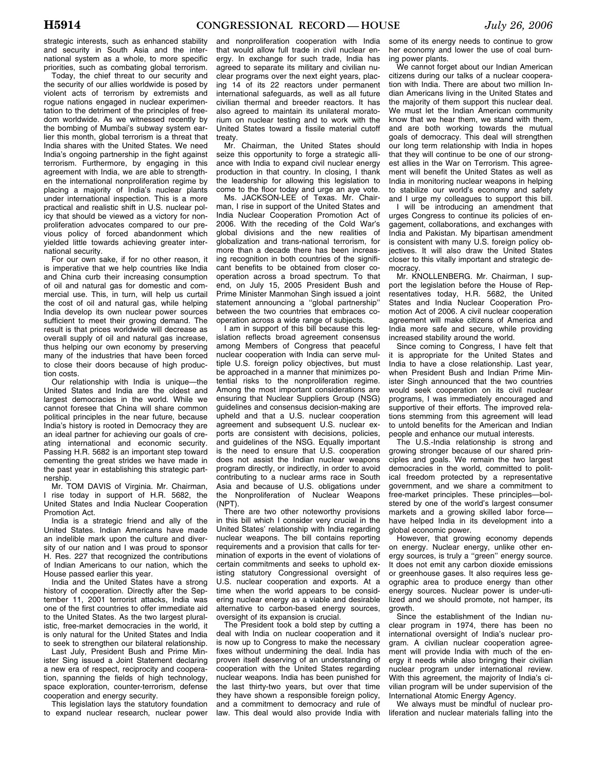strategic interests, such as enhanced stability and security in South Asia and the international system as a whole, to more specific priorities, such as combating global terrorism.

Today, the chief threat to our security and the security of our allies worldwide is posed by violent acts of terrorism by extremists and rogue nations engaged in nuclear experimentation to the detriment of the principles of freedom worldwide. As we witnessed recently by the bombing of Mumbai's subway system earlier this month, global terrorism is a threat that India shares with the United States. We need India's ongoing partnership in the fight against terrorism. Furthermore, by engaging in this agreement with India, we are able to strengthen the international nonproliferation regime by placing a majority of India's nuclear plants under international inspection. This is a more practical and realistic shift in U.S. nuclear policy that should be viewed as a victory for nonproliferation advocates compared to our previous policy of forced abandonment which yielded little towards achieving greater international security.

For our own sake, if for no other reason, it is imperative that we help countries like India and China curb their increasing consumption of oil and natural gas for domestic and commercial use. This, in turn, will help us curtail the cost of oil and natural gas, while helping India develop its own nuclear power sources sufficient to meet their growing demand. The result is that prices worldwide will decrease as overall supply of oil and natural gas increase, thus helping our own economy by preserving many of the industries that have been forced to close their doors because of high production costs.

Our relationship with India is unique—the United States and India are the oldest and largest democracies in the world. While we cannot foresee that China will share common political principles in the near future, because India's history is rooted in Democracy they are an ideal partner for achieving our goals of creating international and economic security. Passing H.R. 5682 is an important step toward cementing the great strides we have made in the past year in establishing this strategic partnership.

Mr. TOM DAVIS of Virginia. Mr. Chairman, I rise today in support of H.R. 5682, the United States and India Nuclear Cooperation Promotion Act.

India is a strategic friend and ally of the United States. Indian Americans have made an indelible mark upon the culture and diversity of our nation and I was proud to sponsor H. Res. 227 that recognized the contributions of Indian Americans to our nation, which the House passed earlier this year.

India and the United States have a strong history of cooperation. Directly after the September 11, 2001 terrorist attacks, India was one of the first countries to offer immediate aid to the United States. As the two largest pluralistic, free-market democracies in the world, it is only natural for the United States and India to seek to strengthen our bilateral relationship.

Last July, President Bush and Prime Minister Sing issued a Joint Statement declaring a new era of respect, reciprocity and cooperation, spanning the fields of high technology, space exploration, counter-terrorism, defense cooperation and energy security.

This legislation lays the statutory foundation to expand nuclear research, nuclear power

and nonproliferation cooperation with India that would allow full trade in civil nuclear energy. In exchange for such trade, India has agreed to separate its military and civilian nuclear programs over the next eight years, placing 14 of its 22 reactors under permanent international safeguards, as well as all future civilian thermal and breeder reactors. It has also agreed to maintain its unilateral moratorium on nuclear testing and to work with the United States toward a fissile material cutoff treaty.

Mr. Chairman, the United States should seize this opportunity to forge a strategic alliance with India to expand civil nuclear energy production in that country. In closing, I thank the leadership for allowing this legislation to come to the floor today and urge an aye vote.

Ms. JACKSON-LEE of Texas. Mr. Chairman, I rise in support of the United States and India Nuclear Cooperation Promotion Act of 2006. With the receding of the Cold War's global divisions and the new realities of globalization and trans-national terrorism, for more than a decade there has been increasing recognition in both countries of the significant benefits to be obtained from closer cooperation across a broad spectrum. To that end, on July 15, 2005 President Bush and Prime Minister Manmohan Singh issued a joint statement announcing a ''global partnership'' between the two countries that embraces cooperation across a wide range of subjects.

I am in support of this bill because this legislation reflects broad agreement consensus among Members of Congress that peaceful nuclear cooperation with India can serve multiple U.S. foreign policy objectives, but must be approached in a manner that minimizes potential risks to the nonproliferation regime. Among the most important considerations are ensuring that Nuclear Suppliers Group (NSG) guidelines and consensus decision-making are upheld and that a U.S. nuclear cooperation agreement and subsequent U.S. nuclear exports are consistent with decisions, policies, and guidelines of the NSG. Equally important is the need to ensure that U.S. cooperation does not assist the Indian nuclear weapons program directly, or indirectly, in order to avoid contributing to a nuclear arms race in South Asia and because of U.S. obligations under the Nonproliferation of Nuclear Weapons (NPT).

There are two other noteworthy provisions in this bill which I consider very crucial in the United States' relationship with India regarding nuclear weapons. The bill contains reporting requirements and a provision that calls for termination of exports in the event of violations of certain commitments and seeks to uphold existing statutory Congressional oversight of U.S. nuclear cooperation and exports. At a time when the world appears to be considering nuclear energy as a viable and desirable alternative to carbon-based energy sources, oversight of its expansion is crucial.

The President took a bold step by cutting a deal with India on nuclear cooperation and it is now up to Congress to make the necessary fixes without undermining the deal. India has proven itself deserving of an understanding of cooperation with the United States regarding nuclear weapons. India has been punished for the last thirty-two years, but over that time they have shown a responsible foreign policy, and a commitment to democracy and rule of law. This deal would also provide India with

some of its energy needs to continue to grow her economy and lower the use of coal burning power plants.

We cannot forget about our Indian American citizens during our talks of a nuclear cooperation with India. There are about two million Indian Americans living in the United States and the majority of them support this nuclear deal. We must let the Indian American community know that we hear them, we stand with them, and are both working towards the mutual goals of democracy. This deal will strengthen our long term relationship with India in hopes that they will continue to be one of our strongest allies in the War on Terrorism. This agreement will benefit the United States as well as India in monitoring nuclear weapons in helping to stabilize our world's economy and safety and I urge my colleagues to support this bill.

I will be introducing an amendment that urges Congress to continue its policies of engagement, collaborations, and exchanges with India and Pakistan. My bipartisan amendment is consistent with many U.S. foreign policy objectives. It will also draw the United States closer to this vitally important and strategic democracy.

Mr. KNOLLENBERG. Mr. Chairman, I support the legislation before the House of Representatives today, H.R. 5682, the United States and India Nuclear Cooperation Promotion Act of 2006. A civil nuclear cooperation agreement will make citizens of America and India more safe and secure, while providing increased stability around the world.

Since coming to Congress, I have felt that it is appropriate for the United States and India to have a close relationship. Last year, when President Bush and Indian Prime Minister Singh announced that the two countries would seek cooperation on its civil nuclear programs, I was immediately encouraged and supportive of their efforts. The improved relations stemming from this agreement will lead to untold benefits for the American and Indian people and enhance our mutual interests.

The U.S.-India relationship is strong and growing stronger because of our shared principles and goals. We remain the two largest democracies in the world, committed to political freedom protected by a representative government, and we share a commitment to free-market principles. These principles—bolstered by one of the world's largest consumer markets and a growing skilled labor force have helped India in its development into a global economic power.

However, that growing economy depends on energy. Nuclear energy, unlike other energy sources, is truly a ''green'' energy source. It does not emit any carbon dioxide emissions or greenhouse gases. It also requires less geographic area to produce energy than other energy sources. Nuclear power is under-utilized and we should promote, not hamper, its growth.

Since the establishment of the Indian nuclear program in 1974, there has been no international oversight of India's nuclear program. A civilian nuclear cooperation agreement will provide India with much of the energy it needs while also bringing their civilian nuclear program under international review. With this agreement, the majority of India's civilian program will be under supervision of the International Atomic Energy Agency.

We always must be mindful of nuclear proliferation and nuclear materials falling into the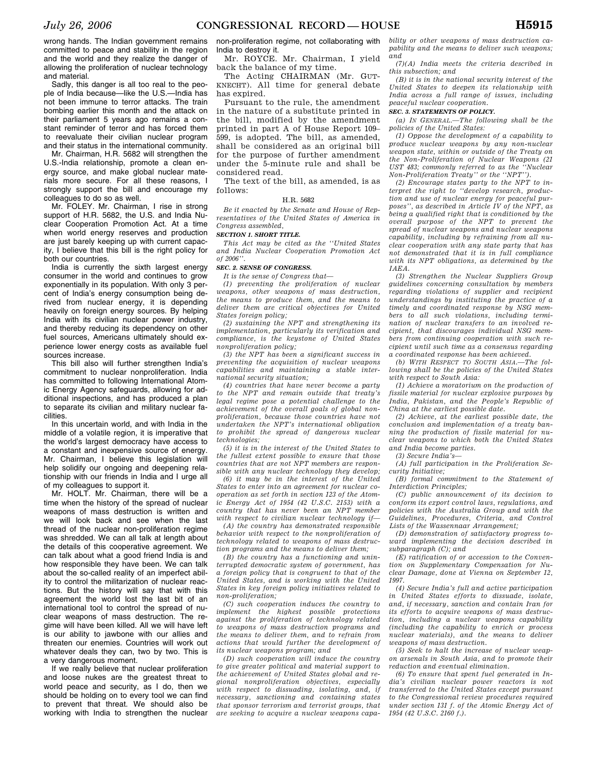wrong hands. The Indian government remains committed to peace and stability in the region and the world and they realize the danger of allowing the proliferation of nuclear technology and material.

Sadly, this danger is all too real to the people of India because—like the U.S.—India has not been immune to terror attacks. The train bombing earlier this month and the attack on their parliament 5 years ago remains a constant reminder of terror and has forced them to reevaluate their civilian nuclear program and their status in the international community.

Mr. Chairman, H.R. 5682 will strengthen the U.S.-India relationship, promote a clean energy source, and make global nuclear materials more secure. For all these reasons, I strongly support the bill and encourage my colleagues to do so as well.

Mr. FOLEY. Mr. Chairman, I rise in strong support of H.R. 5682, the U.S. and India Nuclear Cooperation Promotion Act. At a time when world energy reserves and production are just barely keeping up with current capacity, I believe that this bill is the right policy for both our countries.

India is currently the sixth largest energy consumer in the world and continues to grow exponentially in its population. With only 3 percent of India's energy consumption being derived from nuclear energy, it is depending heavily on foreign energy sources. By helping India with its civilian nuclear power industry, and thereby reducing its dependency on other fuel sources, Americans ultimately should experience lower energy costs as available fuel sources increase.

This bill also will further strengthen India's commitment to nuclear nonproliferation. India has committed to following International Atomic Energy Agency safeguards, allowing for additional inspections, and has produced a plan to separate its civilian and military nuclear facilities.

In this uncertain world, and with India in the middle of a volatile region, it is imperative that the world's largest democracy have access to a constant and inexpensive source of energy. Mr. Chairman, I believe this legislation will help solidify our ongoing and deepening relationship with our friends in India and I urge all of my colleagues to support it.

Mr. HOLT. Mr. Chairman, there will be a time when the history of the spread of nuclear weapons of mass destruction is written and we will look back and see when the last thread of the nuclear non-proliferation regime was shredded. We can all talk at length about the details of this cooperative agreement. We can talk about what a good friend India is and how responsible they have been. We can talk about the so-called reality of an imperfect ability to control the militarization of nuclear reactions. But the history will say that with this agreement the world lost the last bit of an international tool to control the spread of nuclear weapons of mass destruction. The regime will have been killed. All we will have left is our ability to jawbone with our allies and threaten our enemies. Countries will work out whatever deals they can, two by two. This is a very dangerous moment.

If we really believe that nuclear proliferation and loose nukes are the greatest threat to world peace and security, as I do, then we should be holding on to every tool we can find to prevent that threat. We should also be working with India to strengthen the nuclear

non-proliferation regime, not collaborating with India to destroy it.

Mr. ROYCE. Mr. Chairman, I yield back the balance of my time.

The Acting CHAIRMAN (Mr. GUT-KNECHT). All time for general debate has expired.

Pursuant to the rule, the amendment in the nature of a substitute printed in the bill, modified by the amendment printed in part A of House Report 109– 599, is adopted. The bill, as amended, shall be considered as an original bill for the purpose of further amendment under the 5-minute rule and shall be considered read.

The text of the bill, as amended, is as follows:

#### H.R. 5682

*Be it enacted by the Senate and House of Representatives of the United States of America in Congress assembled,* 

## *SECTION 1. SHORT TITLE.*

*This Act may be cited as the ''United States and India Nuclear Cooperation Promotion Act of 2006''.* 

#### *SEC. 2. SENSE OF CONGRESS.*

*It is the sense of Congress that—*

*(1) preventing the proliferation of nuclear weapons, other weapons of mass destruction, the means to produce them, and the means to deliver them are critical objectives for United States foreign policy;* 

*(2) sustaining the NPT and strengthening its implementation, particularly its verification and compliance, is the keystone of United States nonproliferation policy;* 

*(3) the NPT has been a significant success in preventing the acquisition of nuclear weapons capabilities and maintaining a stable international security situation;* 

*(4) countries that have never become a party to the NPT and remain outside that treaty's legal regime pose a potential challenge to the achievement of the overall goals of global nonproliferation, because those countries have not undertaken the NPT's international obligation to prohibit the spread of dangerous nuclear technologies;* 

*(5) it is in the interest of the United States to the fullest extent possible to ensure that those countries that are not NPT members are responsible with any nuclear technology they develop;* 

*(6) it may be in the interest of the United States to enter into an agreement for nuclear cooperation as set forth in section 123 of the Atomic Energy Act of 1954 (42 U.S.C. 2153) with a country that has never been an NPT member with respect to civilian nuclear technology if—*

*(A) the country has demonstrated responsible behavior with respect to the nonproliferation of technology related to weapons of mass destruction programs and the means to deliver them;* 

*(B) the country has a functioning and uninterrupted democratic system of government, has a foreign policy that is congruent to that of the United States, and is working with the United States in key foreign policy initiatives related to non-proliferation;* 

*(C) such cooperation induces the country to implement the highest possible protections against the proliferation of technology related to weapons of mass destruction programs and the means to deliver them, and to refrain from actions that would further the development of its nuclear weapons program; and* 

*(D) such cooperation will induce the country to give greater political and material support to the achievement of United States global and regional nonproliferation objectives, especially with respect to dissuading, isolating, and, if necessary, sanctioning and containing states that sponsor terrorism and terrorist groups, that are seeking to acquire a nuclear weapons capa-* *bility or other weapons of mass destruction capability and the means to deliver such weapons; and* 

*(7)(A) India meets the criteria described in this subsection; and* 

*(B) it is in the national security interest of the United States to deepen its relationship with India across a full range of issues, including peaceful nuclear cooperation.* 

#### *SEC. 3. STATEMENTS OF POLICY.*

*(a) IN GENERAL.—The following shall be the policies of the United States:* 

*(1) Oppose the development of a capability to produce nuclear weapons by any non-nuclear weapon state, within or outside of the Treaty on the Non-Proliferation of Nuclear Weapons (21 UST 483; commonly referred to as the ''Nuclear Non-Proliferation Treaty'' or the ''NPT'').* 

*(2) Encourage states party to the NPT to interpret the right to ''develop research, production and use of nuclear energy for peaceful purposes'', as described in Article IV of the NPT, as being a qualified right that is conditioned by the overall purpose of the NPT to prevent the spread of nuclear weapons and nuclear weapons capability, including by refraining from all nuclear cooperation with any state party that has not demonstrated that it is in full compliance with its NPT obligations, as determined by the IAEA.* 

*(3) Strengthen the Nuclear Suppliers Group guidelines concerning consultation by members regarding violations of supplier and recipient understandings by instituting the practice of a timely and coordinated response by NSG members to all such violations, including termination of nuclear transfers to an involved recipient, that discourages individual NSG members from continuing cooperation with such recipient until such time as a consensus regarding a coordinated response has been achieved.* 

*(b) WITH RESPECT TO SOUTH ASIA.—The following shall be the policies of the United States with respect to South Asia:* 

*(1) Achieve a moratorium on the production of fissile material for nuclear explosive purposes by India, Pakistan, and the People's Republic of China at the earliest possible date.* 

*(2) Achieve, at the earliest possible date, the conclusion and implementation of a treaty banning the production of fissile material for nuclear weapons to which both the United States and India become parties.* 

*(3) Secure India's—*

*(A) full participation in the Proliferation Security Initiative;* 

*(B) formal commitment to the Statement of Interdiction Principles;* 

*(C) public announcement of its decision to conform its export control laws, regulations, and policies with the Australia Group and with the Guidelines, Procedures, Criteria, and Control Lists of the Wassennaar Arrangement;* 

*(D) demonstration of satisfactory progress toward implementing the decision described in subparagraph (C); and* 

*(E) ratification of or accession to the Convention on Supplementary Compensation for Nuclear Damage, done at Vienna on September 12, 1997.* 

*(4) Secure India's full and active participation in United States efforts to dissuade, isolate, and, if necessary, sanction and contain Iran for its efforts to acquire weapons of mass destruction, including a nuclear weapons capability (including the capability to enrich or process nuclear materials), and the means to deliver weapons of mass destruction.* 

*(5) Seek to halt the increase of nuclear weapon arsenals in South Asia, and to promote their reduction and eventual elimination.* 

*(6) To ensure that spent fuel generated in India's civilian nuclear power reactors is not transferred to the United States except pursuant to the Congressional review procedures required under section 131 f. of the Atomic Energy Act of 1954 (42 U.S.C. 2160 f.).*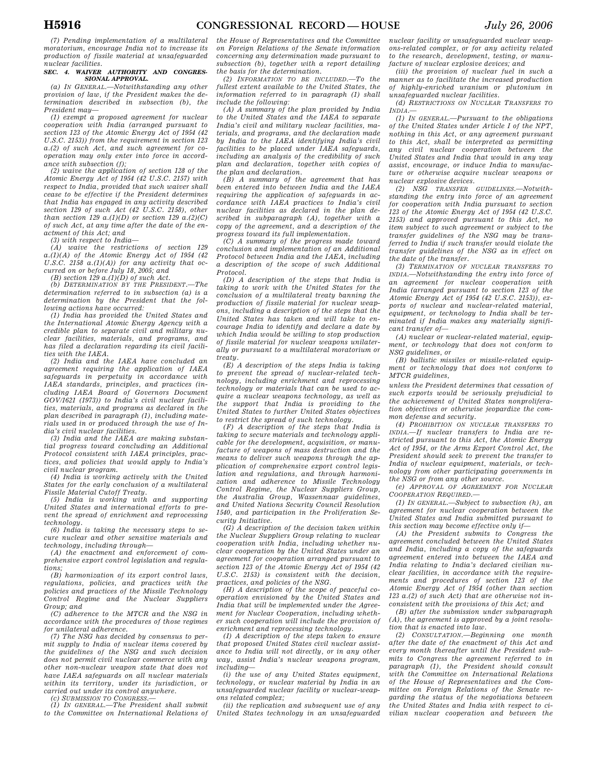*(7) Pending implementation of a multilateral moratorium, encourage India not to increase its production of fissile material at unsafeguarded nuclear facilities.* 

#### *SEC. 4. WAIVER AUTHORITY AND CONGRES-SIONAL APPROVAL.*

*(a) IN GENERAL.—Notwithstanding any other provision of law, if the President makes the determination described in subsection (b), the President may—*

*(1) exempt a proposed agreement for nuclear cooperation with India (arranged pursuant to section 123 of the Atomic Energy Act of 1954 (42 U.S.C. 2153)) from the requirement in section 123 a.(2) of such Act, and such agreement for cooperation may only enter into force in accordance with subsection (f);* 

*(2) waive the application of section 128 of the Atomic Energy Act of 1954 (42 U.S.C. 2157) with respect to India, provided that such waiver shall cease to be effective if the President determines that India has engaged in any activity described section 129 of such Act (42 U.S.C. 2158), other than section 129 a.(1)(D) or section 129 a.(2)(C) of such Act, at any time after the date of the enactment of this Act; and* 

*(3) with respect to India—*

*(A) waive the restrictions of section 129 a.(1)(A) of the Atomic Energy Act of 1954 (42 U.S.C. 2158 a.(1)(A)) for any activity that occurred on or before July 18, 2005; and* 

*(B) section 129 a.(1)(D) of such Act.* 

*(b) DETERMINATION BY THE PRESIDENT.—The determination referred to in subsection (a) is a determination by the President that the following actions have occurred:* 

*(1) India has provided the United States and the International Atomic Energy Agency with a credible plan to separate civil and military nuclear facilities, materials, and programs, and has filed a declaration regarding its civil facilities with the IAEA. (2) India and the IAEA have concluded an* 

*agreement requiring the application of IAEA safeguards in perpetuity in accordance with IAEA standards, principles, and practices (including IAEA Board of Governors Document GOV/1621 (1973)) to India's civil nuclear facilities, materials, and programs as declared in the plan described in paragraph (1), including materials used in or produced through the use of India's civil nuclear facilities.* 

*(3) India and the IAEA are making substantial progress toward concluding an Additional Protocol consistent with IAEA principles, practices, and policies that would apply to India's civil nuclear program. (4) India is working actively with the United* 

*States for the early conclusion of a multilateral Fissile Material Cutoff Treaty.* 

*(5) India is working with and supporting United States and international efforts to prevent the spread of enrichment and reprocessing technology.* 

*(6) India is taking the necessary steps to secure nuclear and other sensitive materials and technology, including through—*

*(A) the enactment and enforcement of comprehensive export control legislation and regula-*

*tions; (B) harmonization of its export control laws, regulations, policies, and practices with the policies and practices of the Missile Technology Control Regime and the Nuclear Suppliers Group; and* 

*(C) adherence to the MTCR and the NSG in accordance with the procedures of those regimes for unilateral adherence.* 

*(7) The NSG has decided by consensus to permit supply to India of nuclear items covered by the guidelines of the NSG and such decision does not permit civil nuclear commerce with any other non-nuclear weapon state that does not have IAEA safeguards on all nuclear materials within its territory, under its jurisdiction, or carried out under its control anywhere. (c) SUBMISSION TO CONGRESS.—*

*(1) IN GENERAL.—The President shall submit to the Committee on International Relations of* 

*the House of Representatives and the Committee on Foreign Relations of the Senate information concerning any determination made pursuant to subsection (b), together with a report detailing the basis for the determination.* 

*(2) INFORMATION TO BE INCLUDED.—To the fullest extent available to the United States, the information referred to in paragraph (1) shall include the following:* 

*(A) A summary of the plan provided by India to the United States and the IAEA to separate India's civil and military nuclear facilities, materials, and programs, and the declaration made by India to the IAEA identifying India's civil facilities to be placed under IAEA safeguards, including an analysis of the credibility of such plan and declaration, together with copies of the plan and declaration.* 

*(B) A summary of the agreement that has been entered into between India and the IAEA requiring the application of safeguards in accordance with IAEA practices to India's civil nuclear facilities as declared in the plan described in subparagraph (A), together with a copy of the agreement, and a description of the progress toward its full implementation.* 

*(C) A summary of the progress made toward conclusion and implementation of an Additional Protocol between India and the IAEA, including a description of the scope of such Additional Protocol.* 

*(D) A description of the steps that India is taking to work with the United States for the conclusion of a multilateral treaty banning the production of fissile material for nuclear weapons, including a description of the steps that the United States has taken and will take to encourage India to identify and declare a date by which India would be willing to stop production of fissile material for nuclear weapons unilaterally or pursuant to a multilateral moratorium or treaty.* 

*(E) A description of the steps India is taking to prevent the spread of nuclear-related technology, including enrichment and reprocessing technology or materials that can be used to acquire a nuclear weapons technology, as well as the support that India is providing to the United States to further United States objectives to restrict the spread of such technology.* 

*(F) A description of the steps that India is taking to secure materials and technology applicable for the development, acquisition, or manufacture of weapons of mass destruction and the means to deliver such weapons through the application of comprehensive export control legislation and regulations, and through harmonization and adherence to Missile Technology Control Regime, the Nuclear Suppliers Group, the Australia Group, Wassennaar guidelines, and United Nations Security Council Resolution 1540, and participation in the Proliferation Security Initiative.* 

*(G) A description of the decision taken within the Nuclear Suppliers Group relating to nuclear cooperation with India, including whether nuclear cooperation by the United States under an agreement for cooperation arranged pursuant to section 123 of the Atomic Energy Act of 1954 (42 U.S.C. 2153) is consistent with the decision, practices, and policies of the NSG.* 

*(H) A description of the scope of peaceful cooperation envisioned by the United States and India that will be implemented under the Agreement for Nuclear Cooperation, including whether such cooperation will include the provision of enrichment and reprocessing technology.* 

*(I) A description of the steps taken to ensure that proposed United States civil nuclear assistance to India will not directly, or in any other way, assist India's nuclear weapons program, including—*

*(i) the use of any United States equipment, technology, or nuclear material by India in an unsafeguarded nuclear facility or nuclear-weapons related complex;* 

*(ii) the replication and subsequent use of any United States technology in an unsafeguarded* 

*nuclear facility or unsafeguarded nuclear weapons-related complex, or for any activity related to the research, development, testing, or manufacture of nuclear explosive devices; and* 

*(iii) the provision of nuclear fuel in such a manner as to facilitate the increased production of highly-enriched uranium or plutonium in unsafeguarded nuclear facilities.* 

*(d) RESTRICTIONS ON NUCLEAR TRANSFERS TO INDIA.—*

*(1) IN GENERAL.—Pursuant to the obligations of the United States under Article I of the NPT, nothing in this Act, or any agreement pursuant to this Act, shall be interpreted as permitting any civil nuclear cooperation between the United States and India that would in any way assist, encourage, or induce India to manufacture or otherwise acquire nuclear weapons or nuclear explosive devices.* 

*(2) NSG TRANSFER GUIDELINES.—Notwithstanding the entry into force of an agreement for cooperation with India pursuant to section 123 of the Atomic Energy Act of 1954 (42 U.S.C. 2153) and approved pursuant to this Act, no item subject to such agreement or subject to the transfer guidelines of the NSG may be transferred to India if such transfer would violate the transfer guidelines of the NSG as in effect on the date of the transfer.* 

*(3) TERMINATION OF NUCLEAR TRANSFERS TO INDIA.—Notwithstanding the entry into force of an agreement for nuclear cooperation with India (arranged pursuant to section 123 of the Atomic Energy Act of 1954 (42 U.S.C. 2153)), exports of nuclear and nuclear-related material, equipment, or technology to India shall be terminated if India makes any materially significant transfer of—*

*(A) nuclear or nuclear-related material, equipment, or technology that does not conform to NSG guidelines, or* 

*(B) ballistic missiles or missile-related equipment or technology that does not conform to MTCR guidelines,* 

*unless the President determines that cessation of such exports would be seriously prejudicial to the achievement of United States nonproliferation objectives or otherwise jeopardize the common defense and security.* 

*(4) PROHIBITION ON NUCLEAR TRANSFERS TO INDIA.—If nuclear transfers to India are restricted pursuant to this Act, the Atomic Energy Act of 1954, or the Arms Export Control Act, the President should seek to prevent the transfer to India of nuclear equipment, materials, or technology from other participating governments in the NSG or from any other source.* 

*(e) APPROVAL OF AGREEMENT FOR NUCLEAR COOPERATION REQUIRED.—*

*(1) IN GENERAL.—Subject to subsection (h), an agreement for nuclear cooperation between the United States and India submitted pursuant to this section may become effective only if—*

*(A) the President submits to Congress the agreement concluded between the United States and India, including a copy of the safeguards agreement entered into between the IAEA and India relating to India's declared civilian nuclear facilities, in accordance with the requirements and procedures of section 123 of the Atomic Energy Act of 1954 (other than section 123 a.(2) of such Act) that are otherwise not inconsistent with the provisions of this Act; and* 

*(B) after the submission under subparagraph (A), the agreement is approved by a joint resolution that is enacted into law.* 

*(2) CONSULTATION.—Beginning one month after the date of the enactment of this Act and every month thereafter until the President submits to Congress the agreement referred to in paragraph (1), the President should consult with the Committee on International Relations of the House of Representatives and the Committee on Foreign Relations of the Senate regarding the status of the negotiations between the United States and India with respect to civilian nuclear cooperation and between the*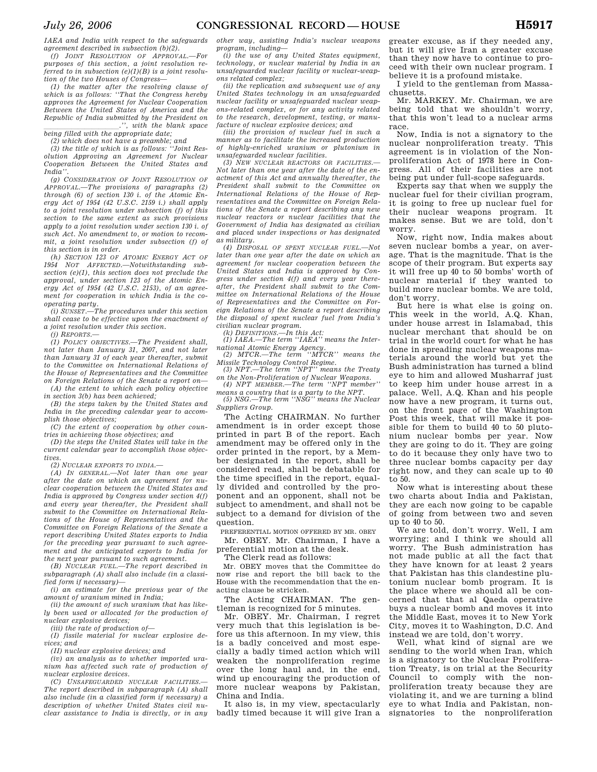*IAEA and India with respect to the safeguards agreement described in subsection (b)(2).* 

*(f) JOINT RESOLUTION OF APPROVAL.—For purposes of this section, a joint resolution referred to in subsection (e)(1)(B) is a joint resolution of the two Houses of Congress—*

*(1) the matter after the resolving clause of which is as follows: ''That the Congress hereby approves the Agreement for Nuclear Cooperation Between the United States of America and the Republic of India submitted by the President on ll* is the blank space in the blank space ..., with the blank space  $\frac{1}{2}$ 

*(2) which does not have a preamble; and (3) the title of which is as follows: ''Joint Resolution Approving an Agreement for Nuclear Cooperation Between the United States and India''.* 

*(g) CONSIDERATION OF JOINT RESOLUTION OF APPROVAL.—The provisions of paragraphs (2) through (6) of section 130 i. of the Atomic Energy Act of 1954 (42 U.S.C. 2159 i.) shall apply to a joint resolution under subsection (f) of this section to the same extent as such provisions apply to a joint resolution under section 130 i. of such Act. No amendment to, or motion to recommit, a joint resolution under subsection (f) of this section is in order.* 

*(h) SECTION 123 OF ATOMIC ENERGY ACT OF 1954 NOT AFFECTED.—Notwithstanding subsection (e)(1), this section does not preclude the approval, under section 123 of the Atomic Energy Act of 1954 (42 U.S.C. 2153), of an agreement for cooperation in which India is the cooperating party.* 

*(i) SUNSET.—The procedures under this section shall cease to be effective upon the enactment of a joint resolution under this section.* 

*(j) REPORTS.—*

*(1) POLICY OBJECTIVES.—The President shall, not later than January 31, 2007, and not later than January 31 of each year thereafter, submit to the Committee on International Relations of the House of Representatives and the Committee on Foreign Relations of the Senate a report on— (A) the extent to which each policy objective* 

*in section 3(b) has been achieved;* 

*(B) the steps taken by the United States and India in the preceding calendar year to accomplish those objectives;* 

*(C) the extent of cooperation by other countries in achieving those objectives; and* 

*(D) the steps the United States will take in the current calendar year to accomplish those objectives.* 

*(2) NUCLEAR EXPORTS TO INDIA.—*

*(A) IN GENERAL.—Not later than one year after the date on which an agreement for nuclear cooperation between the United States and India is approved by Congress under section 4(f) and every year thereafter, the President shall submit to the Committee on International Relations of the House of Representatives and the Committee on Foreign Relations of the Senate a report describing United States exports to India for the preceding year pursuant to such agreement and the anticipated exports to India for the next year pursuant to such agreement.* 

*(B) NUCLEAR FUEL.—The report described in subparagraph (A) shall also include (in a classified form if necessary)—*

*(i) an estimate for the previous year of the amount of uranium mined in India;* 

*(ii) the amount of such uranium that has likely been used or allocated for the production of* 

*nuclear explosive devices;* 

*(iii) the rate of production of—*

*(I) fissile material for nuclear explosive devices; and* 

*(II) nuclear explosive devices; and* 

*(iv) an analysis as to whether imported uranium has affected such rate of production of nuclear explosive devices.* 

*(C) UNSAFEGUARDED NUCLEAR FACILITIES.— The report described in subparagraph (A) shall also include (in a classified form if necessary) a description of whether United States civil nuclear assistance to India is directly, or in any* 

*other way, assisting India's nuclear weapons program, including—*

*(i) the use of any United States equipment, technology, or nuclear material by India in an unsafeguarded nuclear facility or nuclear-weapons related complex;* 

*(ii) the replication and subsequent use of any United States technology in an unsafeguarded nuclear facility or unsafeguarded nuclear weapons-related complex, or for any activity related to the research, development, testing, or manufacture of nuclear explosive devices; and* 

*(iii) the provision of nuclear fuel in such a manner as to facilitate the increased production of highly-enriched uranium or plutonium in unsafeguarded nuclear facilities.* 

*(3) NEW NUCLEAR REACTORS OR FACILITIES.— Not later than one year after the date of the enactment of this Act and annually thereafter, the President shall submit to the Committee on International Relations of the House of Representatives and the Committee on Foreign Relations of the Senate a report describing any new nuclear reactors or nuclear facilities that the Government of India has designated as civilian and placed under inspections or has designated as military.* 

*(4) DISPOSAL OF SPENT NUCLEAR FUEL.—Not later than one year after the date on which an agreement for nuclear cooperation between the United States and India is approved by Congress under section 4(f) and every year thereafter, the President shall submit to the Committee on International Relations of the House of Representatives and the Committee on Foreign Relations of the Senate a report describing the disposal of spent nuclear fuel from India's civilian nuclear program. (k) DEFINITIONS.—In this Act:* 

*(1) IAEA.—The term ''IAEA'' means the International Atomic Energy Agency. (2) MTCR.—The term ''MTCR'' means the* 

*Missile Technology Control Regime.* 

*(3) NPT.—The term ''NPT'' means the Treaty on the Non-Proliferation of Nuclear Weapons. (4) NPT MEMBER.—The term ''NPT member''*

*means a country that is a party to the NPT.* 

*(5) NSG.—The term ''NSG'' means the Nuclear Suppliers Group.* 

The Acting CHAIRMAN. No further amendment is in order except those printed in part B of the report. Each amendment may be offered only in the order printed in the report, by a Member designated in the report, shall be considered read, shall be debatable for the time specified in the report, equally divided and controlled by the proponent and an opponent, shall not be subject to amendment, and shall not be subject to a demand for division of the question.

PREFERENTIAL MOTION OFFERED BY MR. OBEY Mr. OBEY. Mr. Chairman, I have a preferential motion at the desk.

The Clerk read as follows:

Mr. OBEY moves that the Committee do now rise and report the bill back to the House with the recommendation that the enacting clause be stricken.

The Acting CHAIRMAN. The gentleman is recognized for 5 minutes.

Mr. OBEY. Mr. Chairman, I regret very much that this legislation is before us this afternoon. In my view, this is a badly conceived and most especially a badly timed action which will weaken the nonproliferation regime over the long haul and, in the end, wind up encouraging the production of more nuclear weapons by Pakistan, China and India.

It also is, in my view, spectacularly badly timed because it will give Iran a greater excuse, as if they needed any, but it will give Iran a greater excuse than they now have to continue to proceed with their own nuclear program. I believe it is a profound mistake.

I yield to the gentleman from Massachusetts.

Mr. MARKEY. Mr. Chairman, we are being told that we shouldn't worry, that this won't lead to a nuclear arms race.

Now, India is not a signatory to the nuclear nonproliferation treaty. This agreement is in violation of the Nonproliferation Act of 1978 here in Congress. All of their facilities are not being put under full-scope safeguards.

Experts say that when we supply the nuclear fuel for their civilian program, it is going to free up nuclear fuel for their nuclear weapons program. It makes sense. But we are told, don't worry.

Now, right now, India makes about seven nuclear bombs a year, on average. That is the magnitude. That is the scope of their program. But experts say it will free up 40 to 50 bombs' worth of nuclear material if they wanted to build more nuclear bombs. We are told, don't worry.

But here is what else is going on. This week in the world, A.Q. Khan, under house arrest in Islamabad, this nuclear merchant that should be on trial in the world court for what he has done in spreading nuclear weapons materials around the world but yet the Bush administration has turned a blind eye to him and allowed Musharraf just to keep him under house arrest in a palace. Well, A.Q. Khan and his people now have a new program, it turns out, on the front page of the Washington Post this week, that will make it possible for them to build 40 to 50 plutonium nuclear bombs per year. Now they are going to do it. They are going to do it because they only have two to three nuclear bombs capacity per day right now, and they can scale up to 40 to 50.

Now what is interesting about these two charts about India and Pakistan, they are each now going to be capable of going from between two and seven up to 40 to 50.

We are told, don't worry. Well, I am worrying; and I think we should all worry. The Bush administration has not made public at all the fact that they have known for at least 2 years that Pakistan has this clandestine plutonium nuclear bomb program. It is the place where we should all be concerned that that al Qaeda operative buys a nuclear bomb and moves it into the Middle East, moves it to New York City, moves it to Washington, D.C. And instead we are told, don't worry.

Well, what kind of signal are we sending to the world when Iran, which is a signatory to the Nuclear Proliferation Treaty, is on trial at the Security Council to comply with the nonproliferation treaty because they are violating it, and we are turning a blind eye to what India and Pakistan, nonsignatories to the nonproliferation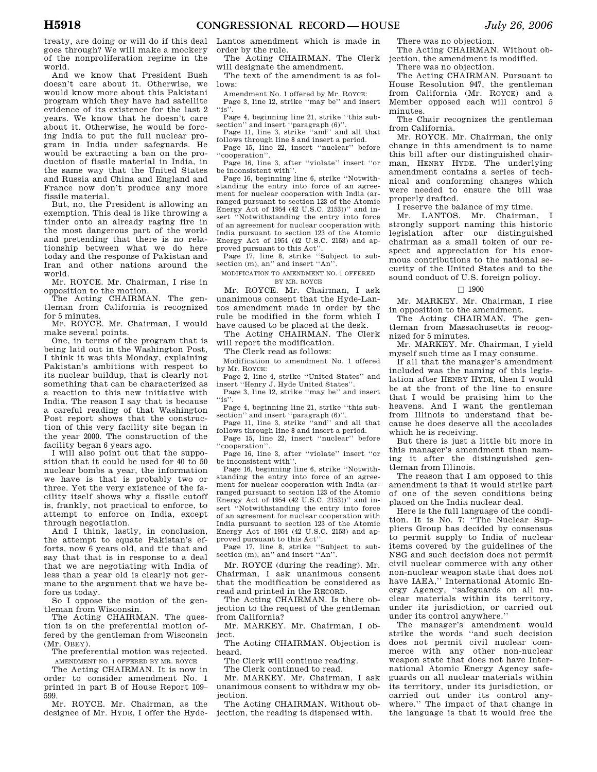treaty, are doing or will do if this deal goes through? We will make a mockery of the nonproliferation regime in the world.

And we know that President Bush doesn't care about it. Otherwise, we would know more about this Pakistani program which they have had satellite evidence of its existence for the last 2 years. We know that he doesn't care about it. Otherwise, he would be forcing India to put the full nuclear program in India under safeguards. He would be extracting a ban on the production of fissile material in India, in the same way that the United States and Russia and China and England and France now don't produce any more fissile material.

But, no, the President is allowing an exemption. This deal is like throwing a tinder onto an already raging fire in the most dangerous part of the world and pretending that there is no relationship between what we do here today and the response of Pakistan and Iran and other nations around the world.

Mr. ROYCE. Mr. Chairman, I rise in opposition to the motion.

The Acting CHAIRMAN. The gentleman from California is recognized for 5 minutes.

Mr. ROYCE. Mr. Chairman, I would make several points.

One, in terms of the program that is being laid out in the Washington Post, I think it was this Monday, explaining Pakistan's ambitions with respect to its nuclear buildup, that is clearly not something that can be characterized as a reaction to this new initiative with India. The reason I say that is because a careful reading of that Washington Post report shows that the construction of this very facility site began in the year 2000. The construction of the facility began 6 years ago.

I will also point out that the supposition that it could be used for 40 to 50 nuclear bombs a year, the information we have is that is probably two or three. Yet the very existence of the facility itself shows why a fissile cutoff is, frankly, not practical to enforce, to attempt to enforce on India, except through negotiation.

And I think, lastly, in conclusion, the attempt to equate Pakistan's efforts, now 6 years old, and tie that and say that that is in response to a deal that we are negotiating with India of less than a year old is clearly not germane to the argument that we have before us today.

So I oppose the motion of the gentleman from Wisconsin.

The Acting CHAIRMAN. The question is on the preferential motion offered by the gentleman from Wisconsin (Mr. OBEY).

The preferential motion was rejected. AMENDMENT NO. 1 OFFERED BY MR. ROYCE

The Acting CHAIRMAN. It is now in order to consider amendment No. 1

printed in part B of House Report 109– 599. Mr. ROYCE. Mr. Chairman, as the

designee of Mr. HYDE, I offer the Hyde-

Lantos amendment which is made in order by the rule.

The Acting CHAIRMAN. The Clerk will designate the amendment.

The text of the amendment is as follows:

Amendment No. 1 offered by Mr. ROYCE: Page 3, line 12, strike ''may be'' and insert

''is''. Page 4, beginning line 21, strike ''this sub-

section'' and insert ''paragraph (6)''. Page 11, line 3, strike ''and'' and all that

follows through line 8 and insert a period. Page 15, line 22, insert ''nuclear'' before ''cooperation''.

Page 16, line 3, after ''violate'' insert ''or be inconsistent with''.

Page 16, beginning line 6, strike ''Notwithstanding the entry into force of an agreement for nuclear cooperation with India (arranged pursuant to section 123 of the Atomic Energy Act of 1954 (42 U.S.C. 2153))'' and insert ''Notwithstanding the entry into force of an agreement for nuclear cooperation with India pursuant to section 123 of the Atomic Energy Act of 1954 (42 U.S.C. 2153) and approved pursuant to this Act''.

Page 17, line 8, strike ''Subject to subsection (m), an'' and insert ''An''.

MODIFICATION TO AMENDMENT NO. 1 OFFERED BY MR. ROYCE

Mr. ROYCE. Mr. Chairman, I ask unanimous consent that the Hyde-Lantos amendment made in order by the rule be modified in the form which I have caused to be placed at the desk.

The Acting CHAIRMAN. The Clerk will report the modification.

The Clerk read as follows:

Modification to amendment No. 1 offered by Mr. ROYCE:

Page 2, line 4, strike ''United States'' and

insert ''Henry J. Hyde United States''. Page 3, line 12, strike ''may be'' and insert  $i$ s''.

Page 4, beginning line 21, strike ''this subsection'' and insert "paragraph (6)".

Page 11, line 3, strike ''and'' and all that follows through line 8 and insert a period.

Page 15, line 22, insert ''nuclear'' before ''cooperation''.

Page 16, line 3, after ''violate'' insert ''or be inconsistent with".

Page 16, beginning line 6, strike ''Notwithstanding the entry into force of an agreement for nuclear cooperation with India (arranged pursuant to section 123 of the Atomic Energy Act of 1954 (42 U.S.C. 2153))'' and insert ''Notwithstanding the entry into force of an agreement for nuclear cooperation with India pursuant to section 123 of the Atomic Energy Act of 1954 (42 U.S.C. 2153) and approved pursuant to this Act''.

Page 17, line 8, strike ''Subject to subsection (m), an'' and insert ''An''.

Mr. ROYCE (during the reading). Mr. Chairman, I ask unanimous consent that the modification be considered as read and printed in the RECORD.

The Acting CHAIRMAN. Is there objection to the request of the gentleman from California?

Mr. MARKEY. Mr. Chairman, I object.

The Acting CHAIRMAN. Objection is heard.

The Clerk will continue reading.

The Clerk continued to read.

Mr. MARKEY. Mr. Chairman, I ask unanimous consent to withdraw my objection.

The Acting CHAIRMAN. Without objection, the reading is dispensed with.

There was no objection.

The Acting CHAIRMAN. Without objection, the amendment is modified.

There was no objection.

The Acting CHAIRMAN. Pursuant to House Resolution 947, the gentleman from California (Mr. ROYCE) and a Member opposed each will control 5 minutes.

The Chair recognizes the gentleman from California.

Mr. ROYCE. Mr. Chairman, the only change in this amendment is to name this bill after our distinguished chairman. HENRY HYDE. The underlying amendment contains a series of technical and conforming changes which were needed to ensure the bill was properly drafted.

I reserve the balance of my time.

Mr. LANTOS. Mr. Chairman, I strongly support naming this historic legislation after our distinguished chairman as a small token of our respect and appreciation for his enormous contributions to the national security of the United States and to the sound conduct of U.S. foreign policy.

 $\square$  1900

Mr. MARKEY. Mr. Chairman, I rise in opposition to the amendment.

The Acting CHAIRMAN. The gentleman from Massachusetts is recognized for 5 minutes.

Mr. MARKEY. Mr. Chairman, I yield myself such time as I may consume.

If all that the manager's amendment included was the naming of this legislation after HENRY HYDE, then I would be at the front of the line to ensure that I would be praising him to the heavens. And I want the gentleman from Illinois to understand that because he does deserve all the accolades which he is receiving.

But there is just a little bit more in this manager's amendment than naming it after the distinguished gentleman from Illinois.

The reason that I am opposed to this amendment is that it would strike part of one of the seven conditions being placed on the India nuclear deal.

Here is the full language of the condition. It is No. 7: ''The Nuclear Suppliers Group has decided by consensus to permit supply to India of nuclear items covered by the guidelines of the NSG and such decision does not permit civil nuclear commerce with any other non-nuclear weapon state that does not have IAEA,'' International Atomic Energy Agency, ''safeguards on all nuclear materials within its territory, under its jurisdiction, or carried out under its control anywhere.''

The manager's amendment would strike the words ''and such decision does not permit civil nuclear commerce with any other non-nuclear weapon state that does not have International Atomic Energy Agency safeguards on all nuclear materials within its territory, under its jurisdiction, or carried out under its control anywhere.'' The impact of that change in the language is that it would free the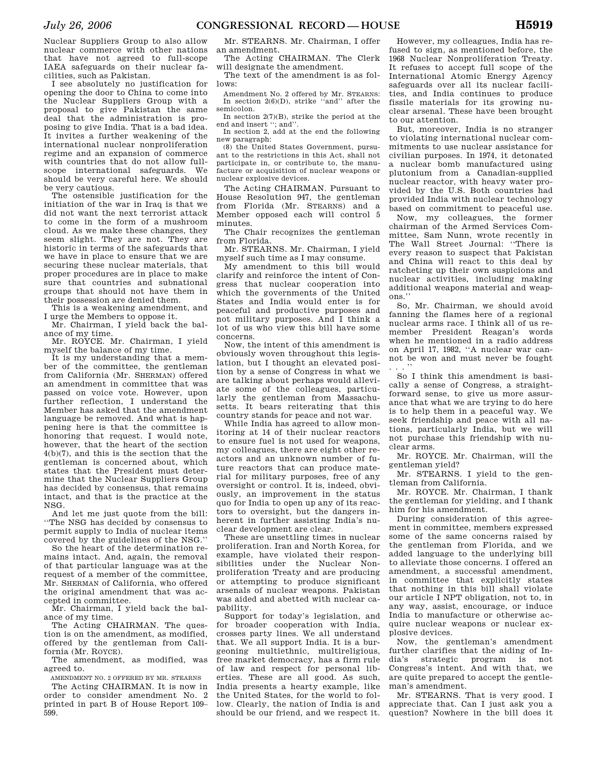Nuclear Suppliers Group to also allow nuclear commerce with other nations that have not agreed to full-scope IAEA safeguards on their nuclear facilities, such as Pakistan.

I see absolutely no justification for opening the door to China to come into the Nuclear Suppliers Group with a proposal to give Pakistan the same deal that the administration is proposing to give India. That is a bad idea. It invites a further weakening of the international nuclear nonproliferation regime and an expansion of commerce with countries that do not allow fullscope international safeguards. We should be very careful here. We should be very cautious.

The ostensible justification for the initiation of the war in Iraq is that we did not want the next terrorist attack to come in the form of a mushroom cloud. As we make these changes, they seem slight. They are not. They are historic in terms of the safeguards that we have in place to ensure that we are securing these nuclear materials, that proper procedures are in place to make sure that countries and subnational groups that should not have them in their possession are denied them.

This is a weakening amendment, and I urge the Members to oppose it.

Mr. Chairman, I yield back the balance of my time.

Mr. ROYCE. Mr. Chairman, I yield myself the balance of my time.

It is my understanding that a member of the committee, the gentleman from California (Mr. SHERMAN) offered an amendment in committee that was passed on voice vote. However, upon further reflection, I understand the Member has asked that the amendment language be removed. And what is happening here is that the committee is honoring that request. I would note, however, that the heart of the section 4(b)(7), and this is the section that the gentleman is concerned about, which states that the President must determine that the Nuclear Suppliers Group has decided by consensus, that remains intact, and that is the practice at the NSG.

And let me just quote from the bill: ''The NSG has decided by consensus to permit supply to India of nuclear items covered by the guidelines of the NSG.''

So the heart of the determination remains intact. And, again, the removal of that particular language was at the request of a member of the committee, Mr. SHERMAN of California, who offered the original amendment that was accepted in committee.

Mr. Chairman, I yield back the balance of my time.

The Acting CHAIRMAN. The question is on the amendment, as modified, offered by the gentleman from California (Mr. ROYCE).

The amendment, as modified, was agreed to.

AMENDMENT NO. 2 OFFERED BY MR. STEARNS

The Acting CHAIRMAN. It is now in order to consider amendment No. 2 printed in part B of House Report 109– 599.

Mr. STEARNS. Mr. Chairman, I offer an amendment.

The Acting CHAIRMAN. The Clerk will designate the amendment.

The text of the amendment is as follows:

Amendment No. 2 offered by Mr. STEARNS: In section 2(6)(D), strike ''and'' after the semicolon.

In section 2(7)(B), strike the period at the end and insert "; and".

In section 2, add at the end the following new paragraph:

(8) the United States Government, pursuant to the restrictions in this Act, shall not participate in, or contribute to, the manufacture or acquisition of nuclear weapons or nuclear explosive devices.

The Acting CHAIRMAN. Pursuant to House Resolution 947, the gentleman from Florida (Mr. STEARNS) and a Member opposed each will control 5 minutes.

The Chair recognizes the gentleman from Florida.

Mr. STEARNS. Mr. Chairman, I yield myself such time as I may consume.

My amendment to this bill would clarify and reinforce the intent of Congress that nuclear cooperation into which the governments of the United States and India would enter is for peaceful and productive purposes and not military purposes. And I think a lot of us who view this bill have some concerns.

Now, the intent of this amendment is obviously woven throughout this legislation, but I thought an elevated position by a sense of Congress in what we are talking about perhaps would alleviate some of the colleagues, particularly the gentleman from Massachusetts. It bears reiterating that this country stands for peace and not war.

While India has agreed to allow monitoring at 14 of their nuclear reactors to ensure fuel is not used for weapons, my colleagues, there are eight other reactors and an unknown number of future reactors that can produce material for military purposes, free of any oversight or control. It is, indeed, obviously, an improvement in the status quo for India to open up any of its reactors to oversight, but the dangers inherent in further assisting India's nuclear development are clear.

These are unsettling times in nuclear proliferation. Iran and North Korea, for example, have violated their responsibilities under the Nuclear Nonproliferation Treaty and are producing or attempting to produce significant arsenals of nuclear weapons. Pakistan was aided and abetted with nuclear capability.

Support for today's legislation, and for broader cooperation with India, crosses party lines. We all understand that. We all support India. It is a burgeoning multiethnic, multireligious, free market democracy, has a firm rule of law and respect for personal liberties. These are all good. As such, India presents a hearty example, like the United States, for the world to follow. Clearly, the nation of India is and should be our friend, and we respect it.

However, my colleagues, India has refused to sign, as mentioned before, the 1968 Nuclear Nonproliferation Treaty. It refuses to accept full scope of the International Atomic Energy Agency safeguards over all its nuclear facilities, and India continues to produce fissile materials for its growing nuclear arsenal. These have been brought to our attention.

But, moreover, India is no stranger to violating international nuclear commitments to use nuclear assistance for civilian purposes. In 1974, it detonated a nuclear bomb manufactured using plutonium from a Canadian-supplied nuclear reactor, with heavy water provided by the U.S. Both countries had provided India with nuclear technology based on commitment to peaceful use.

Now, my colleagues, the former chairman of the Armed Services Committee, Sam Nunn, wrote recently in The Wall Street Journal: ''There is every reason to suspect that Pakistan and China will react to this deal by ratcheting up their own suspicions and nuclear activities, including making additional weapons material and weapons.''

So, Mr. Chairman, we should avoid fanning the flames here of a regional nuclear arms race. I think all of us remember President Reagan's words when he mentioned in a radio address on April 17, 1982, ''A nuclear war cannot be won and must never be fought . . . ''

So I think this amendment is basically a sense of Congress, a straightforward sense, to give us more assurance that what we are trying to do here is to help them in a peaceful way. We seek friendship and peace with all nations, particularly India, but we will not purchase this friendship with nuclear arms.

Mr. ROYCE. Mr. Chairman, will the gentleman yield?

Mr. STEARNS. I yield to the gentleman from California.

Mr. ROYCE. Mr. Chairman, I thank the gentleman for yielding, and I thank him for his amendment.

During consideration of this agreement in committee, members expressed some of the same concerns raised by the gentleman from Florida, and we added language to the underlying bill to alleviate those concerns. I offered an amendment, a successful amendment, in committee that explicitly states that nothing in this bill shall violate our article I NPT obligation, not to, in any way, assist, encourage, or induce India to manufacture or otherwise acquire nuclear weapons or nuclear explosive devices.

Now, the gentleman's amendment further clarifies that the aiding of India's strategic program is not Congress's intent. And with that, we are quite prepared to accept the gentleman's amendment.

Mr. STEARNS. That is very good. I appreciate that. Can I just ask you a question? Nowhere in the bill does it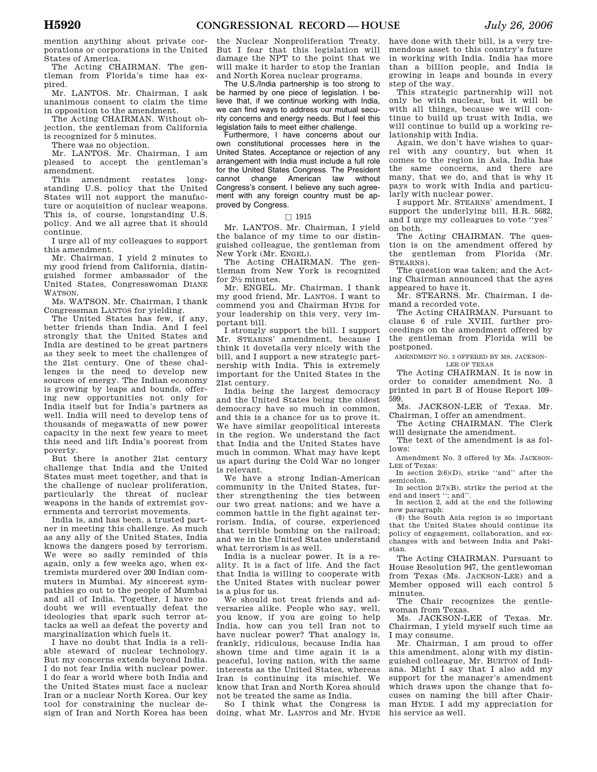mention anything about private corporations or corporations in the United States of America.

The Acting CHAIRMAN. The gentleman from Florida's time has expired.

Mr. LANTOS. Mr. Chairman, I ask unanimous consent to claim the time in opposition to the amendment.

The Acting CHAIRMAN. Without objection, the gentleman from California is recognized for 5 minutes.

There was no objection.

Mr. LANTOS. Mr. Chairman, I am pleased to accept the gentleman's amendment.

This amendment restates longstanding U.S. policy that the United States will not support the manufacture or acquisition of nuclear weapons. This is, of course, longstanding U.S. policy. And we all agree that it should continue.

I urge all of my colleagues to support this amendment.

Mr. Chairman, I yield 2 minutes to my good friend from California, distinguished former ambassador of the United States, Congresswoman DIANE WATSON.

Ms. WATSON. Mr. Chairman, I thank Congressman LANTOS for yielding.

The United States has few, if any, better friends than India. And I feel strongly that the United States and India are destined to be great partners as they seek to meet the challenges of the 21st century. One of these challenges is the need to develop new sources of energy. The Indian economy is growing by leaps and bounds, offering new opportunities not only for India itself but for India's partners as well. India will need to develop tens of thousands of megawatts of new power capacity in the next few years to meet this need and lift India's poorest from poverty.

But there is another 21st century challenge that India and the United States must meet together, and that is the challenge of nuclear proliferation, particularly the threat of nuclear weapons in the hands of extremist governments and terrorist movements.

India is, and has been, a trusted partner in meeting this challenge. As much as any ally of the United States, India knows the dangers posed by terrorism. We were so sadly reminded of this again, only a few weeks ago, when extremists murdered over 200 Indian commuters in Mumbai. My sincerest sympathies go out to the people of Mumbai and all of India. Together, I have no doubt we will eventually defeat the ideologies that spark such terror attacks as well as defeat the poverty and marginalization which fuels it.

I have no doubt that India is a reliable steward of nuclear technology. But my concerns extends beyond India. I do not fear India with nuclear power. I do fear a world where both India and the United States must face a nuclear Iran or a nuclear North Korea. Our key tool for constraining the nuclear design of Iran and North Korea has been

the Nuclear Nonproliferation Treaty. But I fear that this legislation will damage the NPT to the point that we will make it harder to stop the Iranian and North Korea nuclear programs.

The U.S./India partnership is too strong to be harmed by one piece of legislation. I believe that, if we continue working with India, we can find ways to address our mutual security concerns and energy needs. But I feel this legislation fails to meet either challenge.

Furthermore, I have concerns about our own constitutional processes here in the United States. Acceptance or rejection of any arrangement with India must include a full role for the United States Congress. The President cannot change American law without Congress's consent. I believe any such agreement with any foreign country must be approved by Congress.

#### $\Box$  1915

Mr. LANTOS. Mr. Chairman, I yield the balance of my time to our distinguished colleague, the gentleman from New York (Mr. ENGEL).

The Acting CHAIRMAN. The gentleman from New York is recognized for 21⁄2 minutes.

Mr. ENGEL. Mr. Chairman, I thank my good friend, Mr. LANTOS. I want to commend you and Chairman HYDE for your leadership on this very, very important bill.

I strongly support the bill. I support Mr. STEARNS' amendment, because I think it dovetails very nicely with the bill, and I support a new strategic partnership with India. This is extremely important for the United States in the 21st century.

India being the largest democracy and the United States being the oldest democracy have so much in common, and this is a chance for us to prove it. We have similar geopolitical interests in the region. We understand the fact that India and the United States have much in common. What may have kept us apart during the Cold War no longer is relevant.

We have a strong Indian-American community in the United States, further strengthening the ties between our two great nations; and we have a common battle in the fight against terrorism. India, of course, experienced that terrible bombing on the railroad; and we in the United States understand what terrorism is as well.

India is a nuclear power. It is a reality. It is a fact of life. And the fact that India is willing to cooperate with the United States with nuclear power is a plus for us.

We should not treat friends and adversaries alike. People who say, well, you know, if you are going to help India, how can you tell Iran not to have nuclear power? That analogy is, frankly, ridiculous, because India has shown time and time again it is a peaceful, loving nation, with the same interests as the United States, whereas Iran is continuing its mischief. We know that Iran and North Korea should not be treated the same as India.

So I think what the Congress is doing, what Mr. LANTOS and Mr. HYDE

have done with their bill, is a very tremendous asset to this country's future in working with India. India has more than a billion people, and India is growing in leaps and bounds in every step of the way.

This strategic partnership will not only be with nuclear, but it will be with all things, because we will continue to build up trust with India, we will continue to build up a working relationship with India.

Again, we don't have wishes to quarrel with any country, but when it comes to the region in Asia, India has the same concerns, and there are many, that we do, and that is why it pays to work with India and particularly with nuclear power.

I support Mr. STEARNS' amendment, I support the underlying bill, H.R. 5682, and I urge my colleagues to vote ''yes'' on both.

The Acting CHAIRMAN. The question is on the amendment offered by the gentleman from Florida (Mr. STEARNS).

The question was taken; and the Acting Chairman announced that the ayes appeared to have it.

Mr. STEARNS. Mr. Chairman, I demand a recorded vote.

The Acting CHAIRMAN. Pursuant to clause 6 of rule XVIII, further proceedings on the amendment offered by the gentleman from Florida will be postponed.

AMENDMENT NO. 3 OFFERED BY MS. JACKSON-LEE OF TEXAS

The Acting CHAIRMAN. It is now in order to consider amendment No. 3 printed in part B of House Report 109– 599.

Ms. JACKSON-LEE of Texas. Mr. Chairman, I offer an amendment.

The Acting CHAIRMAN. The Clerk will designate the amendment.

The text of the amendment is as follows:

Amendment No. 3 offered by Ms. JACKSON-LEE of Texas:

In section 2(6)(D), strike ''and'' after the semicolon.

In section 2(7)(B), strike the period at the

end and insert ''; and''. In section 2, add at the end the following new paragraph:

(8) the South Asia region is so important that the United States should continue its policy of engagement, collaboration, and exchanges with and between India and Pakistan.

The Acting CHAIRMAN. Pursuant to House Resolution 947, the gentlewoman from Texas (Ms. JACKSON-LEE) and a Member opposed will each control 5 minutes.

The Chair recognizes the gentlewoman from Texas.

Ms. JACKSON-LEE of Texas. Mr. Chairman, I yield myself such time as I may consume.

Mr. Chairman, I am proud to offer this amendment, along with my distinguished colleague, Mr. BURTON of Indiana. Might I say that I also add my support for the manager's amendment which draws upon the change that focuses on naming the bill after Chairman HYDE. I add my appreciation for his service as well.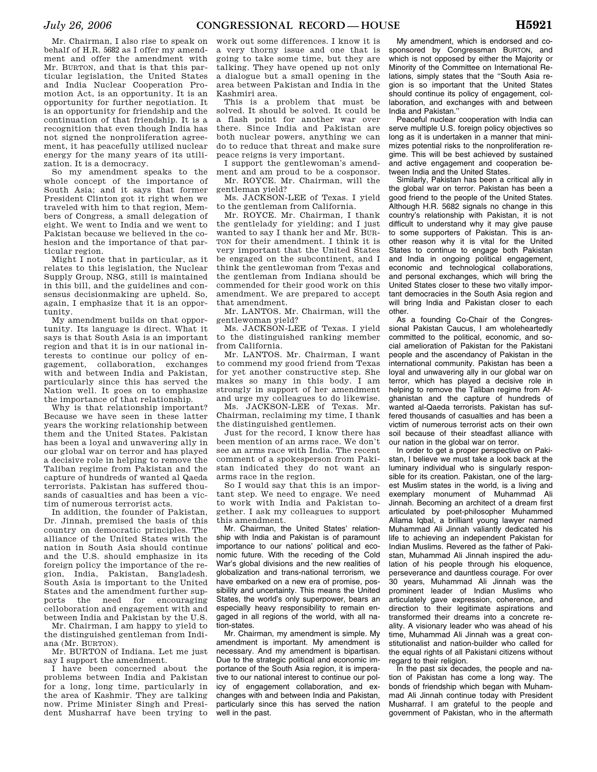Mr. Chairman, I also rise to speak on behalf of H.R. 5682 as I offer my amendment and offer the amendment with Mr. BURTON, and that is that this particular legislation, the United States and India Nuclear Cooperation Promotion Act, is an opportunity. It is an opportunity for further negotiation. It is an opportunity for friendship and the continuation of that friendship. It is a recognition that even though India has not signed the nonproliferation agreement, it has peacefully utilized nuclear energy for the many years of its utilization. It is a democracy.

So my amendment speaks to the whole concept of the importance of South Asia; and it says that former President Clinton got it right when we traveled with him to that region, Members of Congress, a small delegation of eight. We went to India and we went to Pakistan because we believed in the cohesion and the importance of that particular region.

Might I note that in particular, as it relates to this legislation, the Nuclear Supply Group, NSG, still is maintained in this bill, and the guidelines and consensus decisionmaking are upheld. So, again, I emphasize that it is an opportunity.

My amendment builds on that opportunity. Its language is direct. What it says is that South Asia is an important region and that it is in our national interests to continue our policy of engagement, collaboration, exchanges with and between India and Pakistan, particularly since this has served the Nation well. It goes on to emphasize the importance of that relationship.

Why is that relationship important? Because we have seen in these latter years the working relationship between them and the United States. Pakistan has been a loyal and unwavering ally in our global war on terror and has played a decisive role in helping to remove the Taliban regime from Pakistan and the capture of hundreds of wanted al Qaeda terrorists. Pakistan has suffered thousands of casualties and has been a victim of numerous terrorist acts.

In addition, the founder of Pakistan, Dr. Jinnah, premised the basis of this country on democratic principles. The alliance of the United States with the nation in South Asia should continue and the U.S. should emphasize in its foreign policy the importance of the region, India, Pakistan, Bangladesh. South Asia is important to the United States and the amendment further supports the need for encouraging celloboration and engagement with and between India and Pakistan by the U.S.

Mr. Chairman, I am happy to yield to the distinguished gentleman from Indiana (Mr. BURTON).

Mr. BURTON of Indiana. Let me just say I support the amendment.

I have been concerned about the problems between India and Pakistan for a long, long time, particularly in the area of Kashmir. They are talking now. Prime Minister Singh and President Musharraf have been trying to

work out some differences. I know it is a very thorny issue and one that is going to take some time, but they are talking. They have opened up not only a dialogue but a small opening in the area between Pakistan and India in the Kashmiri area.

This is a problem that must be solved. It should be solved. It could be a flash point for another war over there. Since India and Pakistan are both nuclear powers, anything we can do to reduce that threat and make sure peace reigns is very important.

I support the gentlewoman's amendment and am proud to be a cosponsor. Mr. ROYCE. Mr. Chairman, will the gentleman yield?

Ms. JACKSON-LEE of Texas. I yield to the gentleman from California.

Mr. ROYCE. Mr. Chairman, I thank the gentlelady for yielding; and I just wanted to say I thank her and Mr. BUR-TON for their amendment. I think it is very important that the United States be engaged on the subcontinent, and I think the gentlewoman from Texas and the gentleman from Indiana should be commended for their good work on this amendment. We are prepared to accept that amendment.

Mr. LANTOS. Mr. Chairman, will the gentlewoman yield?

Ms. JACKSON-LEE of Texas. I yield to the distinguished ranking member from California.

Mr. LANTOS. Mr. Chairman, I want to commend my good friend from Texas for yet another constructive step. She makes so many in this body. I am strongly in support of her amendment and urge my colleagues to do likewise.

Ms. JACKSON-LEE of Texas. Mr. Chairman, reclaiming my time, I thank the distinguished gentlemen.

Just for the record, I know there has been mention of an arms race. We don't see an arms race with India. The recent comment of a spokesperson from Pakistan indicated they do not want an arms race in the region.

So I would say that this is an important step. We need to engage. We need to work with India and Pakistan together. I ask my colleagues to support this amendment.

Mr. Chairman, the United States' relationship with India and Pakistan is of paramount importance to our nations' political and economic future. With the receding of the Cold War's global divisions and the new realities of globalization and trans-national terrorism, we have embarked on a new era of promise, possibility and uncertainty. This means the United States, the world's only superpower, bears an especially heavy responsibility to remain engaged in all regions of the world, with all nation-states.

Mr. Chairman, my amendment is simple. My amendment is important. My amendment is necessary. And my amendment is bipartisan. Due to the strategic political and economic importance of the South Asia region, it is imperative to our national interest to continue our policy of engagement collaboration, and exchanges with and between India and Pakistan, particularly since this has served the nation well in the past.

My amendment, which is endorsed and cosponsored by Congressman BURTON, and which is not opposed by either the Majority or Minority of the Committee on International Relations, simply states that the ''South Asia region is so important that the United States should continue its policy of engagement, collaboration, and exchanges with and between India and Pakistan.''

Peaceful nuclear cooperation with India can serve multiple U.S. foreign policy objectives so long as it is undertaken in a manner that minimizes potential risks to the nonproliferation regime. This will be best achieved by sustained and active engagement and cooperation between India and the United States.

Similarly, Pakistan has been a critical ally in the global war on terror. Pakistan has been a good friend to the people of the United States. Although H.R. 5682 signals no change in this country's relationship with Pakistan, it is not difficult to understand why it may give pause to some supporters of Pakistan. This is another reason why it is vital for the United States to continue to engage both Pakistan and India in ongoing political engagement, economic and technological collaborations, and personal exchanges, which will bring the United States closer to these two vitally important democracies in the South Asia region and will bring India and Pakistan closer to each other.

As a founding Co-Chair of the Congressional Pakistan Caucus, I am wholeheartedly committed to the political, economic, and social amelioration of Pakistan for the Pakistani people and the ascendancy of Pakistan in the international community. Pakistan has been a loyal and unwavering ally in our global war on terror, which has played a decisive role in helping to remove the Taliban regime from Afghanistan and the capture of hundreds of wanted al-Qaeda terrorists. Pakistan has suffered thousands of casualties and has been a victim of numerous terrorist acts on their own soil because of their steadfast alliance with our nation in the global war on terror.

In order to get a proper perspective on Pakistan, I believe we must take a look back at the luminary individual who is singularly responsible for its creation. Pakistan, one of the largest Muslim states in the world, is a living and exemplary monument of Muhammad Ali Jinnah. Becoming an architect of a dream first articulated by poet-philosopher Muhammed Allama Iqbal, a brilliant young lawyer named Muhammad Ali Jinnah valiantly dedicated his life to achieving an independent Pakistan for Indian Muslims. Revered as the father of Pakistan, Muhammad Ali Jinnah inspired the adulation of his people through his eloquence, perseverance and dauntless courage. For over 30 years, Muhammad Ali Jinnah was the prominent leader of Indian Muslims who articulately gave expression, coherence, and direction to their legitimate aspirations and transformed their dreams into a concrete reality. A visionary leader who was ahead of his time, Muhammad Ali Jinnah was a great constitutionalist and nation-builder who called for the equal rights of all Pakistani citizens without regard to their religion.

In the past six decades, the people and nation of Pakistan has come a long way. The bonds of friendship which began with Muhammad Ali Jinnah continue today with President Musharraf. I am grateful to the people and government of Pakistan, who in the aftermath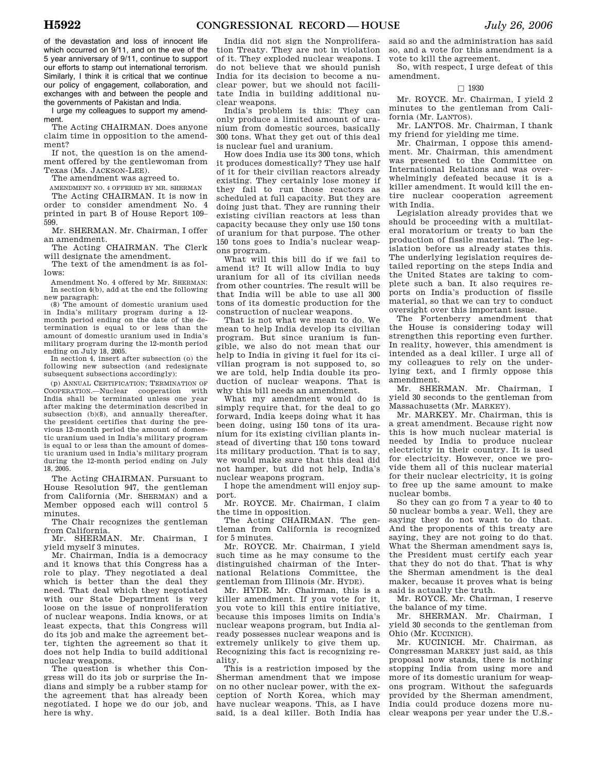of the devastation and loss of innocent life which occurred on 9/11, and on the eve of the 5 year anniversary of 9/11, continue to support our efforts to stamp out international terrorism. Similarly, I think it is critical that we continue our policy of engagement, collaboration, and exchanges with and between the people and the governments of Pakistan and India.

I urge my colleagues to support my amendment.

The Acting CHAIRMAN. Does anyone claim time in opposition to the amendmen<sub>t?</sub>

If not, the question is on the amendment offered by the gentlewoman from Texas (Ms. JACKSON-LEE).

The amendment was agreed to.

AMENDMENT NO. 4 OFFERED BY MR. SHERMAN The Acting CHAIRMAN. It is now in order to consider amendment No. 4 printed in part B of House Report 109– 599.

Mr. SHERMAN. Mr. Chairman, I offer an amendment.

The Acting CHAIRMAN. The Clerk will designate the amendment.

The text of the amendment is as follows:

Amendment No. 4 offered by Mr. SHERMAN: In section 4(b), add at the end the following new paragraph:

(8) The amount of domestic uranium used in India's military program during a 12 month period ending on the date of the determination is equal to or less than the amount of domestic uranium used in India's military program during the 12-month period ending on July 18, 2005.

In section 4, insert after subsection (o) the following new subsection (and redesignate subsequent subsections accordingly):

(p) ANNUAL CERTIFICATION; TERMINATION OF COOPERATION.—Nuclear cooperation with India shall be terminated unless one year after making the determination described in subsection (b)(8), and annually thereafter, the president certifies that during the previous 12-month period the amount of domestic uranium used in India's military program is equal to or less than the amount of domestic uranium used in India's military program during the 12-month period ending on July 18, 2005.

The Acting CHAIRMAN. Pursuant to House Resolution 947, the gentleman from California (Mr. SHERMAN) and a Member opposed each will control 5 minutes.

The Chair recognizes the gentleman from California.

Mr. SHERMAN. Mr. Chairman, I yield myself 3 minutes.

Mr. Chairman, India is a democracy and it knows that this Congress has a role to play. They negotiated a deal which is better than the deal they need. That deal which they negotiated with our State Department is very loose on the issue of nonproliferation of nuclear weapons. India knows, or at least expects, that this Congress will do its job and make the agreement better, tighten the agreement so that it does not help India to build additional nuclear weapons.

The question is whether this Congress will do its job or surprise the Indians and simply be a rubber stamp for the agreement that has already been negotiated. I hope we do our job, and here is why.

India did not sign the Nonproliferation Treaty. They are not in violation of it. They exploded nuclear weapons. I do not believe that we should punish India for its decision to become a nuclear power, but we should not facilitate India in building additional nuclear weapons.

India's problem is this: They can only produce a limited amount of uranium from domestic sources, basically 300 tons. What they get out of this deal is nuclear fuel and uranium.

How does India use its 300 tons, which it produces domestically? They use half of it for their civilian reactors already existing. They certainly lose money if they fail to run those reactors as scheduled at full capacity. But they are doing just that. They are running their existing civilian reactors at less than capacity because they only use 150 tons of uranium for that purpose. The other 150 tons goes to India's nuclear weapons program.

What will this bill do if we fail to amend it? It will allow India to buy uranium for all of its civilian needs from other countries. The result will be that India will be able to use all 300 tons of its domestic production for the construction of nuclear weapons.

That is not what we mean to do. We mean to help India develop its civilian program. But since uranium is fungible, we also do not mean that our help to India in giving it fuel for its civilian program is not supposed to, so we are told, help India double its production of nuclear weapons. That is why this bill needs an amendment.

What my amendment would do is simply require that, for the deal to go forward, India keeps doing what it has been doing, using 150 tons of its uranium for its existing civilian plants instead of diverting that 150 tons toward its military production. That is to say, we would make sure that this deal did not hamper, but did not help, India's nuclear weapons program.

I hope the amendment will enjoy support.

Mr. ROYCE. Mr. Chairman, I claim the time in opposition.

The Acting CHAIRMAN. The gentleman from California is recognized for 5 minutes.

Mr. ROYCE. Mr. Chairman, I yield such time as he may consume to the distinguished chairman of the International Relations Committee, the gentleman from Illinois (Mr. HYDE).

Mr. HYDE. Mr. Chairman, this is a killer amendment. If you vote for it, you vote to kill this entire initiative, because this imposes limits on India's nuclear weapons program, but India already possesses nuclear weapons and is extremely unlikely to give them up. Recognizing this fact is recognizing reality.

This is a restriction imposed by the Sherman amendment that we impose on no other nuclear power, with the exception of North Korea, which may have nuclear weapons. This, as I have said, is a deal killer. Both India has

said so and the administration has said so, and a vote for this amendment is a vote to kill the agreement.

So, with respect, I urge defeat of this amendment.

#### $\Box$  1930

Mr. ROYCE. Mr. Chairman, I yield 2 minutes to the gentleman from California (Mr. LANTOS).

Mr. LANTOS. Mr. Chairman, I thank my friend for yielding me time.

Mr. Chairman, I oppose this amendment. Mr. Chairman, this amendment was presented to the Committee on International Relations and was overwhelmingly defeated because it is a killer amendment. It would kill the entire nuclear cooperation agreement with India.

Legislation already provides that we should be proceeding with a multilateral moratorium or treaty to ban the production of fissile material. The legislation before us already states this. The underlying legislation requires detailed reporting on the steps India and the United States are taking to complete such a ban. It also requires reports on India's production of fissile material, so that we can try to conduct oversight over this important issue.

The Fortenberry amendment that the House is considering today will strengthen this reporting even further. In reality, however, this amendment is intended as a deal killer. I urge all of my colleagues to rely on the underlying text, and I firmly oppose this amendment.

Mr. SHERMAN. Mr. Chairman, I yield 30 seconds to the gentleman from Massachusetts (Mr. MARKEY).

Mr. MARKEY. Mr. Chairman, this is a great amendment. Because right now this is how much nuclear material is needed by India to produce nuclear electricity in their country. It is used for electricity. However, once we provide them all of this nuclear material for their nuclear electricity, it is going to free up the same amount to make nuclear bombs.

So they can go from 7 a year to 40 to 50 nuclear bombs a year. Well, they are saying they do not want to do that. And the proponents of this treaty are saying, they are not going to do that. What the Sherman amendment says is, the President must certify each year that they do not do that. That is why the Sherman amendment is the deal maker, because it proves what is being said is actually the truth.

Mr. ROYCE. Mr. Chairman, I reserve the balance of my time.

Mr. SHERMAN. Mr. Chairman, I yield 30 seconds to the gentleman from Ohio (Mr. KUCINICH).

Mr. KUCINICH. Mr. Chairman, as Congressman MARKEY just said, as this proposal now stands, there is nothing stopping India from using more and more of its domestic uranium for weapons program. Without the safeguards provided by the Sherman amendment, India could produce dozens more nuclear weapons per year under the U.S.-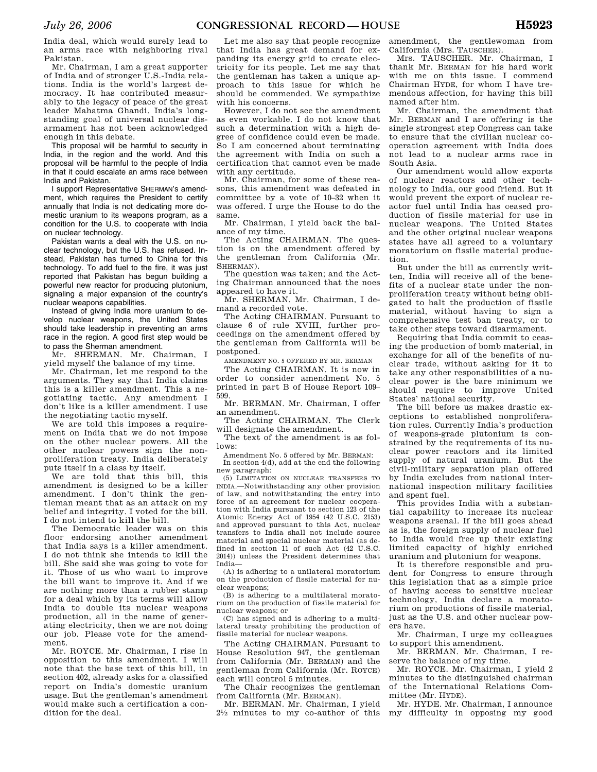India deal, which would surely lead to an arms race with neighboring rival Pakistan.

Mr. Chairman, I am a great supporter of India and of stronger U.S.-India relations. India is the world's largest democracy. It has contributed measurably to the legacy of peace of the great leader Mahatma Ghandi. India's longstanding goal of universal nuclear disarmament has not been acknowledged enough in this debate.

This proposal will be harmful to security in India, in the region and the world. And this proposal will be harmful to the people of India in that it could escalate an arms race between India and Pakistan.

I support Representative SHERMAN's amendment, which requires the President to certify annually that India is not dedicating more domestic uranium to its weapons program, as a condition for the U.S. to cooperate with India on nuclear technology.

Pakistan wants a deal with the U.S. on nuclear technology, but the U.S. has refused. Instead, Pakistan has turned to China for this technology. To add fuel to the fire, it was just reported that Pakistan has begun building a powerful new reactor for producing plutonium, signaling a major expansion of the country's nuclear weapons capabilities.

Instead of giving India more uranium to develop nuclear weapons, the United States should take leadership in preventing an arms race in the region. A good first step would be to pass the Sherman amendment.

Mr. SHERMAN. Mr. Chairman, I yield myself the balance of my time.

Mr. Chairman, let me respond to the arguments. They say that India claims this is a killer amendment. This a negotiating tactic. Any amendment I don't like is a killer amendment. I use the negotiating tactic myself.

We are told this imposes a requirement on India that we do not impose on the other nuclear powers. All the other nuclear powers sign the nonproliferation treaty. India deliberately puts itself in a class by itself.

We are told that this bill, this amendment is designed to be a killer amendment. I don't think the gentleman meant that as an attack on my belief and integrity. I voted for the bill. I do not intend to kill the bill.

The Democratic leader was on this floor endorsing another amendment that India says is a killer amendment. I do not think she intends to kill the bill. She said she was going to vote for it. Those of us who want to improve the bill want to improve it. And if we are nothing more than a rubber stamp for a deal which by its terms will allow India to double its nuclear weapons production, all in the name of generating electricity, then we are not doing our job. Please vote for the amendment.

Mr. ROYCE. Mr. Chairman, I rise in opposition to this amendment. I will note that the base text of this bill, in section 402, already asks for a classified report on India's domestic uranium usage. But the gentleman's amendment would make such a certification a condition for the deal.

Let me also say that people recognize that India has great demand for expanding its energy grid to create electricity for its people. Let me say that the gentleman has taken a unique approach to this issue for which he should be commended. We sympathize with his concerns.

However, I do not see the amendment as even workable. I do not know that such a determination with a high degree of confidence could even be made. So I am concerned about terminating the agreement with India on such a certification that cannot even be made with any certitude.

Mr. Chairman, for some of these reasons, this amendment was defeated in committee by a vote of 10–32 when it was offered. I urge the House to do the same.

Mr. Chairman, I yield back the balance of my time.

The Acting CHAIRMAN. The question is on the amendment offered by the gentleman from California (Mr. SHERMAN).

The question was taken; and the Acting Chairman announced that the noes appeared to have it.

Mr. SHERMAN. Mr. Chairman, I demand a recorded vote.

The Acting CHAIRMAN. Pursuant to clause 6 of rule XVIII, further proceedings on the amendment offered by the gentleman from California will be postponed.

AMENDMENT NO. 5 OFFERED BY MR. BERMAN

The Acting CHAIRMAN. It is now in order to consider amendment No. 5 printed in part B of House Report 109– 599.

Mr. BERMAN. Mr. Chairman, I offer an amendment.

The Acting CHAIRMAN. The Clerk will designate the amendment.

The text of the amendment is as follows:

Amendment No. 5 offered by Mr. BERMAN: In section 4(d), add at the end the following

new paragraph: (5) LIMITATION ON NUCLEAR TRANSFERS TO INDIA.—Notwithstanding any other provision of law, and notwithstanding the entry into force of an agreement for nuclear cooperation with India pursuant to section 123 of the Atomic Energy Act of 1954 (42 U.S.C. 2153) and approved pursuant to this Act, nuclear transfers to India shall not include source material and special nuclear material (as defined in section 11 of such Act (42 U.S.C. 2014)) unless the President determines that India—

(A) is adhering to a unilateral moratorium on the production of fissile material for nuclear weapons;

(B) is adhering to a multilateral moratorium on the production of fissile material for nuclear weapons; or

(C) has signed and is adhering to a multilateral treaty prohibiting the production of fissile material for nuclear weapons.

The Acting CHAIRMAN. Pursuant to House Resolution 947, the gentleman from California (Mr. BERMAN) and the gentleman from California (Mr. ROYCE) each will control 5 minutes.

The Chair recognizes the gentleman from California (Mr. BERMAN).

Mr. BERMAN. Mr. Chairman, I yield 21⁄2 minutes to my co-author of this amendment, the gentlewoman from California (Mrs. TAUSCHER).

Mrs. TAUSCHER. Mr. Chairman, I thank Mr. BERMAN for his hard work with me on this issue. I commend Chairman HYDE, for whom I have tremendous affection, for having this bill named after him.

Mr. Chairman, the amendment that Mr. BERMAN and I are offering is the single strongest step Congress can take to ensure that the civilian nuclear cooperation agreement with India does not lead to a nuclear arms race in South Asia.

Our amendment would allow exports of nuclear reactors and other technology to India, our good friend. But it would prevent the export of nuclear reactor fuel until India has ceased production of fissile material for use in nuclear weapons. The United States and the other original nuclear weapons states have all agreed to a voluntary moratorium on fissile material production.

But under the bill as currently written, India will receive all of the benefits of a nuclear state under the nonproliferation treaty without being obligated to halt the production of fissile material, without having to sign a comprehensive test ban treaty, or to take other steps toward disarmament.

Requiring that India commit to ceasing the production of bomb material, in exchange for all of the benefits of nuclear trade, without asking for it to take any other responsibilities of a nuclear power is the bare minimum we should require to improve United States' national security.

The bill before us makes drastic exceptions to established nonproliferation rules. Currently India's production of weapons-grade plutonium is constrained by the requirements of its nuclear power reactors and its limited supply of natural uranium. But the civil-military separation plan offered by India excludes from national international inspection military facilities and spent fuel.

This provides India with a substantial capability to increase its nuclear weapons arsenal. If the bill goes ahead as is, the foreign supply of nuclear fuel to India would free up their existing limited capacity of highly enriched uranium and plutonium for weapons.

It is therefore responsible and prudent for Congress to ensure through this legislation that as a simple price of having access to sensitive nuclear technology, India declare a moratorium on productions of fissile material, just as the U.S. and other nuclear powers have.

Mr. Chairman, I urge my colleagues to support this amendment.

Mr. BERMAN. Mr. Chairman, I reserve the balance of my time.

Mr. ROYCE. Mr. Chairman, I yield 2 minutes to the distinguished chairman of the International Relations Committee (Mr. HYDE).

Mr. HYDE. Mr. Chairman, I announce my difficulty in opposing my good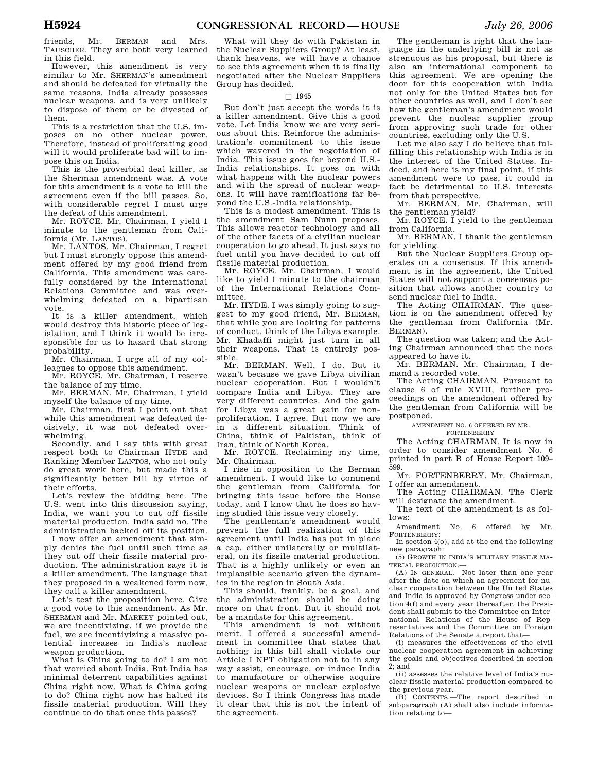friends, Mr. BERMAN and Mrs. TAUSCHER. They are both very learned in this field.

However, this amendment is very similar to Mr. SHERMAN's amendment and should be defeated for virtually the same reasons. India already possesses nuclear weapons, and is very unlikely to dispose of them or be divested of them.

This is a restriction that the U.S. imposes on no other nuclear power. Therefore, instead of proliferating good will it would proliferate bad will to impose this on India.

This is the proverbial deal killer, as the Sherman amendment was. A vote for this amendment is a vote to kill the agreement even if the bill passes. So, with considerable regret I must urge the defeat of this amendment.

Mr. ROYCE. Mr. Chairman, I yield 1 minute to the gentleman from California (Mr. LANTOS).

Mr. LANTOS. Mr. Chairman, I regret but I must strongly oppose this amendment offered by my good friend from California. This amendment was carefully considered by the International Relations Committee and was overwhelming defeated on a bipartisan vote.

It is a killer amendment, which would destroy this historic piece of legislation, and I think it would be irresponsible for us to hazard that strong probability.

Mr. Chairman, I urge all of my colleagues to oppose this amendment.

Mr. ROYCE. Mr. Chairman, I reserve the balance of my time.

Mr. BERMAN. Mr. Chairman, I yield myself the balance of my time.

Mr. Chairman, first I point out that while this amendment was defeated decisively, it was not defeated overwhelming.

Secondly, and I say this with great respect both to Chairman HYDE and Ranking Member LANTOS, who not only do great work here, but made this a significantly better bill by virtue of their efforts.

Let's review the bidding here. The U.S. went into this discussion saying, India, we want you to cut off fissile material production. India said no. The administration backed off its position.

I now offer an amendment that simply denies the fuel until such time as they cut off their fissile material production. The administration says it is a killer amendment. The language that they proposed in a weakened form now, they call a killer amendment.

Let's test the proposition here. Give a good vote to this amendment. As Mr. SHERMAN and Mr. MARKEY pointed out, we are incentivizing, if we provide the fuel, we are incentivizing a massive potential increases in India's nuclear weapon production.

What is China going to do? I am not that worried about India. But India has minimal deterrent capabilities against China right now. What is China going to do? China right now has halted its fissile material production. Will they continue to do that once this passes?

What will they do with Pakistan in the Nuclear Suppliers Group? At least, thank heavens, we will have a chance to see this agreement when it is finally negotiated after the Nuclear Suppliers Group has decided.

#### $\square$  1945

But don't just accept the words it is a killer amendment. Give this a good vote. Let India know we are very serious about this. Reinforce the administration's commitment to this issue which wavered in the negotiation of India. This issue goes far beyond U.S.- India relationships. It goes on with what happens with the nuclear powers and with the spread of nuclear weapons. It will have ramifications far beyond the U.S.-India relationship.

This is a modest amendment. This is the amendment Sam Nunn proposes. This allows reactor technology and all of the other facets of a civilian nuclear cooperation to go ahead. It just says no fuel until you have decided to cut off fissile material production.

Mr. ROYCE. Mr. Chairman, I would like to yield 1 minute to the chairman of the International Relations Committee.

Mr. HYDE. I was simply going to suggest to my good friend, Mr. BERMAN, that while you are looking for patterns of conduct, think of the Libya example. Mr. Khadaffi might just turn in all their weapons. That is entirely possible.

Mr. BERMAN. Well, I do. But it wasn't because we gave Libya civilian nuclear cooperation. But I wouldn't compare India and Libya. They are very different countries. And the gain for Libya was a great gain for nonproliferation, I agree. But now we are in a different situation. Think of China, think of Pakistan, think of Iran, think of North Korea.

Mr. ROYCE. Reclaiming my time, Mr. Chairman.

I rise in opposition to the Berman amendment. I would like to commend the gentleman from California for bringing this issue before the House today, and I know that he does so having studied this issue very closely.

The gentleman's amendment would prevent the full realization of this agreement until India has put in place a cap, either unilaterally or multilateral, on its fissile material production. That is a highly unlikely or even an implausible scenario given the dynamics in the region in South Asia.

This should, frankly, be a goal, and the administration should be doing more on that front. But it should not be a mandate for this agreement.

This amendment is not without merit. I offered a successful amendment in committee that states that nothing in this bill shall violate our Article I NPT obligation not to in any way assist, encourage, or induce India to manufacture or otherwise acquire nuclear weapons or nuclear explosive devices. So I think Congress has made it clear that this is not the intent of the agreement.

The gentleman is right that the language in the underlying bill is not as strenuous as his proposal, but there is also an international component to this agreement. We are opening the door for this cooperation with India not only for the United States but for other countries as well, and I don't see how the gentleman's amendment would prevent the nuclear supplier group from approving such trade for other countries, excluding only the U.S.

Let me also say I do believe that fulfilling this relationship with India is in the interest of the United States. Indeed, and here is my final point, if this amendment were to pass, it could in fact be detrimental to U.S. interests from that perspective.

Mr. BERMAN. Mr. Chairman, will the gentleman yield?

Mr. ROYCE. I yield to the gentleman from California.

Mr. BERMAN. I thank the gentleman for yielding.

But the Nuclear Suppliers Group operates on a consensus. If this amendment is in the agreement, the United States will not support a consensus position that allows another country to send nuclear fuel to India.

The Acting CHAIRMAN. The question is on the amendment offered by the gentleman from California (Mr. BERMAN).

The question was taken; and the Acting Chairman announced that the noes appeared to have it.

Mr. BERMAN. Mr. Chairman, I demand a recorded vote.

The Acting CHAIRMAN. Pursuant to clause 6 of rule XVIII, further proceedings on the amendment offered by the gentleman from California will be postponed.

> AMENDMENT NO. 6 OFFERED BY MR. FORTENBERRY

The Acting CHAIRMAN. It is now in order to consider amendment No. 6 printed in part B of House Report 109– 599.

Mr. FORTENBERRY. Mr. Chairman, I offer an amendment.

The Acting CHAIRMAN. The Clerk will designate the amendment.

The text of the amendment is as follows:

Amendment No. 6 offered by Mr. FORTENBERRY:

In section 4(o), add at the end the following new paragraph:

(5) GROWTH IN INDIA'S MILITARY FISSILE MA-TERIAL PRODUCTION.—

(A) IN GENERAL.—Not later than one year after the date on which an agreement for nuclear cooperation between the United States and India is approved by Congress under section 4(f) and every year thereafter, the President shall submit to the Committee on International Relations of the House of Representatives and the Committee on Foreign Relations of the Senate a report that—

(i) measures the effectiveness of the civil nuclear cooperation agreement in achieving the goals and objectives described in section 2; and

(ii) assesses the relative level of India's nuclear fissile material production compared to the previous year.

(B) CONTENTS.—The report described in subparagraph (A) shall also include information relating to—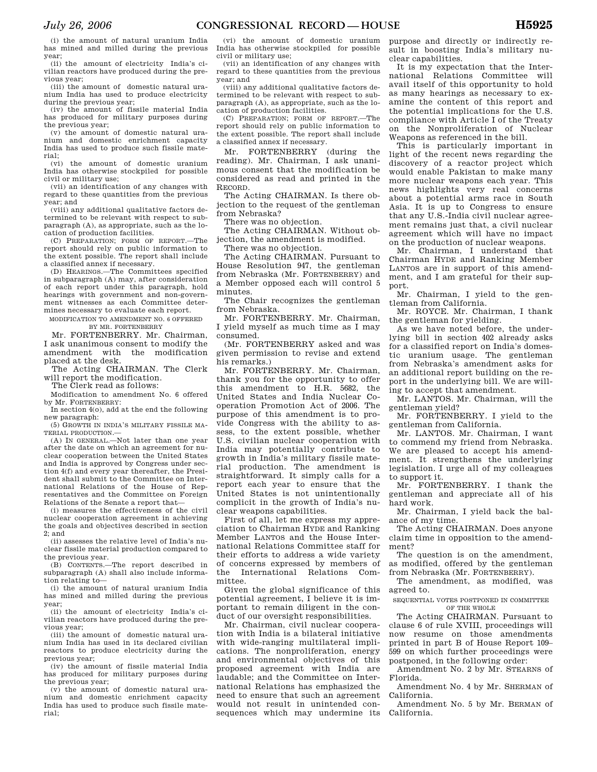(i) the amount of natural uranium India has mined and milled during the previous year;

(ii) the amount of electricity India's civilian reactors have produced during the previous year;

(iii) the amount of domestic natural uranium India has used to produce electricity during the previous year;

(iv) the amount of fissile material India has produced for military purposes during the previous year;

(v) the amount of domestic natural uranium and domestic enrichment capacity India has used to produce such fissile material;

(vi) the amount of domestic uranium India has otherwise stockpiled for possible civil or military use;

(vii) an identification of any changes with regard to these quantities from the previous year; and

(viii) any additional qualitative factors determined to be relevant with respect to subparagraph (A), as appropriate, such as the location of production facilities.

(C) PREPARATION; FORM OF REPORT.—The report should rely on public information to the extent possible. The report shall include a classified annex if necessary.

(D) HEARINGS.—The Committees specified in subparagraph (A) may, after consideration of each report under this paragraph, hold hearings with government and non-government witnesses as each Committee determines necessary to evaluate each report.

MODIFICATION TO AMENDMENT NO. 6 OFFERED

BY MR. FORTENBERRY Mr. FORTENBERRY. Mr. Chairman,

I ask unanimous consent to modify the amendment with the modification placed at the desk.

The Acting CHAIRMAN. The Clerk will report the modification.

The Clerk read as follows:

Modification to amendment No. 6 offered by Mr. FORTENBERRY: In section 4(o), add at the end the following

new paragraph:

(5) GROWTH IN INDIA'S MILITARY FISSILE MA-TERIAL PRODUCTION.—

(A) IN GENERAL.—Not later than one year after the date on which an agreement for nuclear cooperation between the United States and India is approved by Congress under section 4(f) and every year thereafter, the President shall submit to the Committee on International Relations of the House of Representatives and the Committee on Foreign Relations of the Senate a report that—

(i) measures the effectiveness of the civil nuclear cooperation agreement in achieving the goals and objectives described in section 2; and

(ii) assesses the relative level of India's nuclear fissile material production compared to the previous year.

(B) CONTENTS.—The report described in subparagraph (A) shall also include information relating to—

(i) the amount of natural uranium India has mined and milled during the previous year;

(ii) the amount of electricity India's civilian reactors have produced during the previous year;

(iii) the amount of domestic natural uranium India has used in its declared civilian reactors to produce electricity during the previous year;

(iv) the amount of fissile material India has produced for military purposes during the previous year;

(v) the amount of domestic natural uranium and domestic enrichment capacity India has used to produce such fissile material;

(vi) the amount of domestic uranium India has otherwise stockpiled for possible civil or military use;

(vii) an identification of any changes with regard to these quantities from the previous year; and

(viii) any additional qualitative factors determined to be relevant with respect to subparagraph (A), as appropriate, such as the location of production facilities.

(C) PREPARATION; FORM OF REPORT.—The report should rely on public information to the extent possible. The report shall include a classified annex if necessary.

Mr. FORTENBERRY (during the reading). Mr. Chairman, I ask unanimous consent that the modification be considered as read and printed in the RECORD.

The Acting CHAIRMAN. Is there objection to the request of the gentleman from Nebraska?

There was no objection.

The Acting CHAIRMAN. Without objection, the amendment is modified. There was no objection.

The Acting CHAIRMAN. Pursuant to House Resolution 947, the gentleman from Nebraska (Mr. FORTENBERRY) and a Member opposed each will control 5 minutes.

The Chair recognizes the gentleman from Nebraska.

Mr. FORTENBERRY. Mr. Chairman, I yield myself as much time as I may consumed.

(Mr. FORTENBERRY asked and was given permission to revise and extend his remarks.)

Mr. FORTENBERRY. Mr. Chairman, thank you for the opportunity to offer this amendment to H.R. 5682, the United States and India Nuclear Cooperation Promotion Act of 2006. The purpose of this amendment is to provide Congress with the ability to assess, to the extent possible, whether U.S. civilian nuclear cooperation with India may potentially contribute to growth in India's military fissile material production. The amendment is straightforward. It simply calls for a report each year to ensure that the United States is not unintentionally complicit in the growth of India's nuclear weapons capabilities.

First of all, let me express my appreciation to Chairman HYDE and Ranking Member LANTOS and the House International Relations Committee staff for their efforts to address a wide variety of concerns expressed by members of the International Relations Committee.

Given the global significance of this potential agreement, I believe it is important to remain diligent in the conduct of our oversight responsibilities.

Mr. Chairman, civil nuclear cooperation with India is a bilateral initiative with wide-ranging multilateral implications. The nonproliferation, energy and environmental objectives of this proposed agreement with India are laudable; and the Committee on International Relations has emphasized the need to ensure that such an agreement would not result in unintended consequences which may undermine its

purpose and directly or indirectly result in boosting India's military nuclear capabilities.

It is my expectation that the International Relations Committee will avail itself of this opportunity to hold as many hearings as necessary to examine the content of this report and the potential implications for the U.S. compliance with Article I of the Treaty on the Nonproliferation of Nuclear Weapons as referenced in the bill.

This is particularly important in light of the recent news regarding the discovery of a reactor project which would enable Pakistan to make many more nuclear weapons each year. This news highlights very real concerns about a potential arms race in South Asia. It is up to Congress to ensure that any U.S.-India civil nuclear agreement remains just that, a civil nuclear agreement which will have no impact on the production of nuclear weapons.

Mr. Chairman, I understand that Chairman HYDE and Ranking Member LANTOS are in support of this amendment, and I am grateful for their support.

Mr. Chairman, I yield to the gentleman from California.

Mr. ROYCE. Mr. Chairman, I thank the gentleman for yielding.

As we have noted before, the underlying bill in section 402 already asks for a classified report on India's domestic uranium usage. The gentleman from Nebraska's amendment asks for an additional report building on the report in the underlying bill. We are willing to accept that amendment.

Mr. LANTOS. Mr. Chairman, will the gentleman yield?

Mr. FORTENBERRY. I yield to the gentleman from California.

Mr. LANTOS. Mr. Chairman, I want to commend my friend from Nebraska. We are pleased to accept his amendment. It strengthens the underlying legislation. I urge all of my colleagues to support it.

Mr. FORTENBERRY. I thank the gentleman and appreciate all of his hard work.

Mr. Chairman, I yield back the balance of my time.

The Acting CHAIRMAN. Does anyone claim time in opposition to the amendment?

The question is on the amendment, as modified, offered by the gentleman from Nebraska (Mr. FORTENBERRY).

The amendment, as modified, was agreed to.

SEQUENTIAL VOTES POSTPONED IN COMMITTEE OF THE WHOLE

The Acting CHAIRMAN. Pursuant to clause 6 of rule XVIII, proceedings will now resume on those amendments printed in part B of House Report 109– 599 on which further proceedings were postponed, in the following order:

Amendment No. 2 by Mr. STEARNS of Florida.

Amendment No. 4 by Mr. SHERMAN of California.

Amendment No. 5 by Mr. BERMAN of California.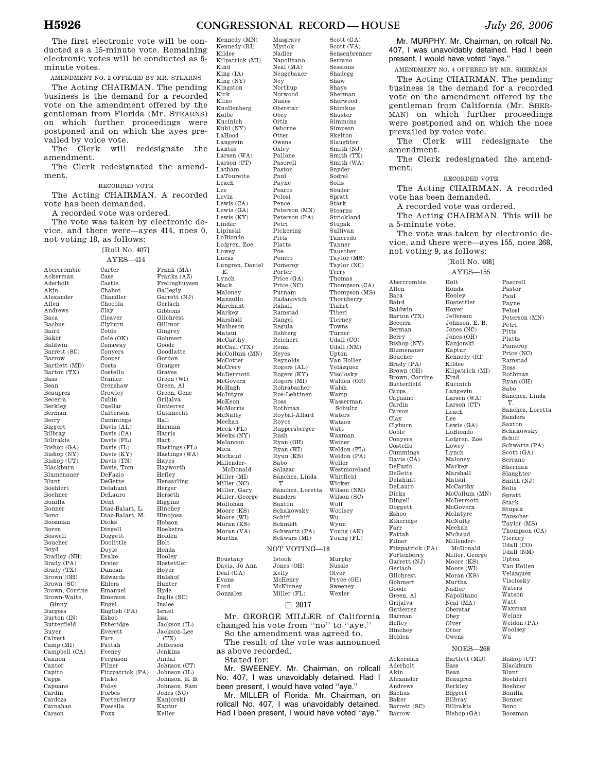## **H5926 CONGRESSIONAL RECORD— HOUSE** *July 26, 2006*

Scott (GA)

The first electronic vote will be conducted as a 15-minute vote. Remaining electronic votes will be conducted as 5 minute votes.

AMENDMENT NO. 2 OFFERED BY MR. STEARNS

The Acting CHAIRMAN. The pending business is the demand for a recorded vote on the amendment offered by the gentleman from Florida (Mr. STEARNS) on which further proceedings were postponed and on which the ayes prevailed by voice vote.<br>The Clerk will

redesignate the amendment.

The Clerk redesignated the amendment.

#### RECORDED VOTE

The Acting CHAIRMAN. A recorded vote has been demanded.

A recorded vote was ordered.

Carter Case Castle Chabot

Clay

Coble

Cooper Costa

Cubin Cuellar

Dent

Dicks Dingell

Doyle Drake Dreier

Ehlers

Engel

Eshoo

Farr Fattah Feeney

Filner

Flake Foley Forbes

Foxx

The vote was taken by electronic device, and there were—ayes 414, noes 0, not voting 18, as follows:

## [Roll No. 407]

Abercrombie Ackerman Aderholt Akin Alexander Allen Andrews Baca Bachus Baird Baker Baldwin Barrett (SC) Barrow Bartlett (MD) Barton (TX) Bass Bean Beauprez Becerra Berkley Berman Berry Biggert Bilbray Bilirakis Bishop (GA) Bishop (NY) Bishop (UT) Blackburn Blumenauer Blunt Boehlert Boehner Bonilla Bonner Bono Boozman Boren Boswell Boucher Boyd Bradley (NH) Brady (PA) Brady (TX) Brown (OH) Brown (SC) Brown, Corrine Brown-Waite, Ginny Burgess Burton (IN) Butterfield Buyer Calvert Camp (MI) Campbell (CA) Cannon Cantor Capito Capps Capuano Cardin Cardoza Carnahan Carson

AYES—414 Chandler Chocola Cleaver Clyburn Cobic<br>Cole (OK) Conaway Conyers Costello Cramer Crenshaw Crowley Culberson Cummings Davis (AL) Davis (CA) Davis (FL) Davis (IL) Davis (KY) Davis (TN) Davis, Tom DeFazio DeGette Delahunt DeLauro Diaz-Balart, L. Diaz-Balart, M. Doggett Doolittle Duncan Edwards Emanuel Emerson English (PA) Etheridge Everett Ferguson Fitzpatrick (PA) Fortenberry Fossella Frank (MA) Franks (AZ) Frelinghuysen Gallegly Garrett (NJ) Gerlach Gibbons Gilchrest Gillmor Gingrey Gohmert Goode Goodlatte Gordon Granger Graves Green (WI) Green, Al Green, Gene Grijalva Gutierrez Gutknecht Hall Harman Harris Hart Hastings (FL) Hastings (WA) Hayes Hayworth Hefley Hensarling Herger Herseth Higgins Hinchey Hinojosa Hobson Hoekstra Holden Holt Honda Hooley Hostettler Hoyer Hulshof Hunter Hyde Inglis (SC) Inslee Israel Issa Jackson (IL) Jackson-Lee (TX) Jefferson Jenkins Jindal Johnson (CT) Johnson (IL) Johnson, E. B. Johnson, Sam Jones (NC) Kanjorski Kaptur Keller

Kennedy (RI) Kildee Kilpatrick (MI) Kind King (IA) King (NY) Kingston Kirk Kline Knollenberg Kolbe Kucinich Kuhl (NY) LaHood Langevin Lantos Larsen (WA) Larson (CT) Latham LaTourette Leach Lee Levin Lewis (CA) Lewis (GA) Lewis (KY) Linder Lipinski LoBiondo Lofgren, Zoe Lowey Lucas Lungren, Daniel E. Lynch Mack Maloney Manzullo Marchant Markey Marshall Matheson Matsui McCarthy McCaul (TX) McCollum (MN) McCotter McCrery McDermott McGovern McHugh McIntyre McKeon McMorris McNulty Meehan Meek (FL) Meeks (NY) Melancon Mica Michaud Millender-McDonald Miller (MI) Miller (NC) Miller, Gary Miller, George Mollohan Moore (KS) Moore (WI) Moran (KS) Moran (VA) Murtha Boustany Davis, Jo Ann Deal (GA) Evans Ford Gonzalez

Kennedy (MN)

Musgrave Myrick Nadler Napolitano Neal (MA) Neugebauer Ney Northup Norwood Nunes Oberstar Obey Ortiz Osborne Otter Owens Oxley Pallone Pascrell Pastor Paul Payne Pearce Pelosi Pence Peterson (MN) Peterson (PA) Petri Pickering Pitts Platts Poe Pombo Pomeroy Porter Price (GA) Price (NC) Putnam Radanovich Rahall Ramstad Rangel Regula Rehberg Reichert Renzi Reyes Reynolds Rogers (AL) Rogers (KY) Rogers (MI) Rohrabacher Ros-Lehtinen Ross Rothman Roybal-Allard Royce Ruppersberger Rush Ryan (OH) Ryan (WI) Ryun (KS) Sabo Salazar Sánchez, Linda T. Sanchez, Loretta Sanders Saxton Schakowsky Schiff Schmidt Schwartz (PA) Schwarz (MI) NOT VOTING—18 Istook Jones (OH) Kelly McHenry

McKinney Miller (FL)

 $\Box$  2017

So the amendment was agreed to.

Mr. SWEENEY. Mr. Chairman, on rollcall No. 407, I was unavoidably detained. Had I been present, I would have voted ''aye.'' Mr. MILLER of Florida. Mr. Chairman, on rollcall No. 407, I was unavoidably detained. Had I been present, I would have voted ''aye.''

as above recorded. Stated for:

Wexler

Scott (VA) Sensenbrenner Serrano Sessions Shadegg Shaw Shays Sherman Sherwood Shimkus Shuster Simmons Simpson Skelton Slaughter Smith (NJ) Smith (TX) Smith (WA) Snyder Sodrel Solis Souder Spratt Stark Stearns Strickland Stupak Sullivan Tancredo Tanner Tauscher Taylor (MS) Taylor (NC) Terry Thomas Thompson (CA) Thompson (MS) Thornberry Tiahrt Tiberi Tierney Towns Turner Udall (CO) Udall (NM) Upton Van Hollen Velázquez Visclosky Walden (OR) Walsh Wamp Wasserman Schultz Waters Watson Watt Waxman Weiner Weldon (FL) Weldon (PA) Weller Westmoreland Whitfield Wicker Wilson (NM) Wilson (SC) Wolf Woolsey Wu Wynn Young (AK) Young (FL) Murphy Nussle Olver Pryce (OH) Sweeney

Mr. GEORGE MILLER of California changed his vote from ''no'' to ''aye.'' The result of the vote was announced ment. Abercrombie Allen Baca Baird Baldwin Barton (TX) Becerra Berman Berry Bishop (NY) Blumenauer Boucher Brady (PA) Brown (OH) Brown, Corrine Butterfield Capps Capuano Cardin Carson Clay Clyburn Coble Conyers Costello Cummings Davis (CA) DeFazio DeGette Delahunt DeLauro .<br>Dicks Dingell Doggett Eshoo Etheridge Farr Fattah Filner Gerlach Gilchrest Gohmert Goode Green, Al Grijalva Gutierrez Harman Hefley Hinchey Holden

Fitzpatrick (PA) Fortenberry Garrett (NJ) Ackerman Aderholt Akin Alexander Andrews Bachus Baker

Mr. MURPHY. Mr. Chairman, on rollcall No. 407, I was unavoidably detained. Had I been present, I would have voted ''aye.''

AMENDMENT NO. 4 OFFERED BY MR. SHERMAN

The Acting CHAIRMAN. The pending business is the demand for a recorded vote on the amendment offered by the gentleman from California (Mr. SHER-MAN) on which further proceedings were postponed and on which the noes prevailed by voice vote.

The Clerk will redesignate the amendment.

The Clerk redesignated the amend-

## RECORDED VOTE

The Acting CHAIRMAN. A recorded vote has been demanded.

A recorded vote was ordered.

The Acting CHAIRMAN. This will be a 5-minute vote.

The vote was taken by electronic device, and there were—ayes 155, noes 268, not voting 9, as follows:

[Roll No. 408] AYES—155

> Pascrell Pastor Paul Payne Pelosi Peterson (MN) Petri Pitts Platts Pomeroy Price (NC) Ramstad Ross Rothman Ryan (OH) Sabo Sa´nchez, Linda T. Sanchez, Loretta Sanders Saxton Schakowsky Schiff Schwartz (PA) Scott (GA) Serrano Sherman Slaughter

Holt Honda Hooley Hostettler Hoyer Jefferson Johnson, E. B. Jones (NC) Jones (OH) Kanjorski Kaptur Kennedy (RI) Kildee Kilpatrick (MI) Kind Kucinich Langevin Larsen (WA) Larson (CT) Leach Lee Lewis (GA) LoBiondo<br>Lofgren, Zoe Lowey Lynch Maloney Markey Marshall Matsui McCarthy McCollum (MN) McDermott McGovern McIntyre McNulty Meehan Michaud Millender-McDonald Miller, George Moore (KS) Moore (WI) Moran (KS) Murtha Nadler Napolitano Neal (MA) Oberstar Obey Olver Otter Owens NOES—268 Bartlett (MD)

Smith (NJ) Solis Spratt Stark Stupak Tauscher Taylor (MS) Thompson (CA) Tierney Udall (CO) Udall (NM) Upton Van Hollen Velázquez Visclosky Waters Watson Watt Waxman Weiner Weldon (PA) Woolsey Wu Bishop (UT) Blackburn Blunt Boehlert Boehner Bonilla Bonner

Bono Boozman

Barrett (SC) Bean Beauprez Berkley Biggert Bilbray Bilirakis Bishop (GA)

Bass

Barrow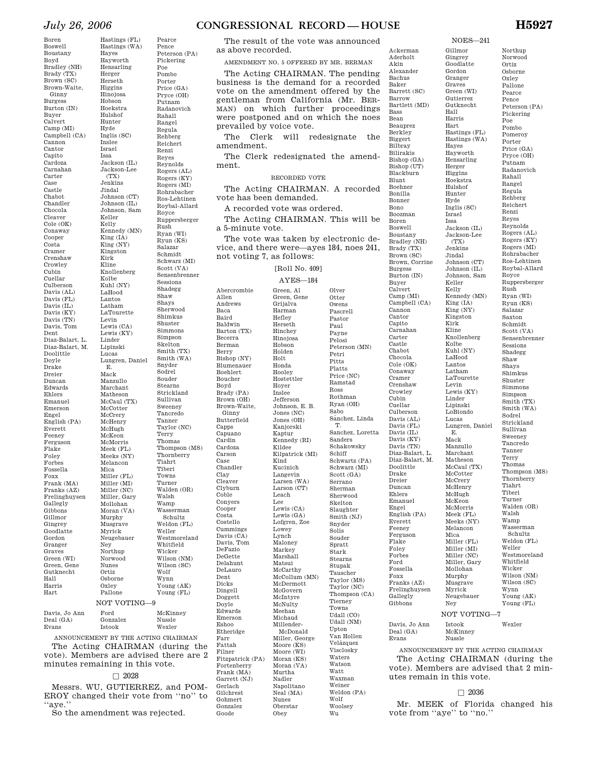Hastings (FL) Hastings (WA) Hayes Hayworth

Pearce Pence Peterson (PA) Pickering

Boren Boswell Boustany Boyd Bradley (NH) Brady (TX) Brown (SC) Brown-Waite, Ginny Burgess Burton (IN) Buyer Calvert Camp (MI) Campbell (CA) Cannon Cantor Capito Cardoza Carnahan Carter Case Castle Chabot Chandler Chocola Cleaver Cole (OK) Conaway Cooper Costa Cramer Crenshaw Crowley Cubin Cuellar Culberson Davis (AL) Davis (FL) Davis (IL) Davis (KY) Davis (TN) Davis, Tom Dent Diaz-Balart, L. Diaz-Balart, M. Doolittle Doyle Drake Dreier Duncan Edwards Ehlers Emanuel Emerson Engel English (PA) Everett Feeney Ferguson Flake Foley Forbes Fossella Foxx Frank (MA) Franks (AZ) Frelinghuysen Gallegly Gibbons Gillmor Gingrey Goodlatte Gordon Granger Graves Green (WI) Green, Gene Gutknecht Hall Harris Hart

Davis, Jo Ann Deal (GA) Evans

Hensarling Herger Herseth Higgins Hinojosa Hobson Hoekstra Hulshof Hunter Hyde Inglis (SC) Inslee Israel Issa Jackson (IL) Jackson-Lee  $(TX)$ Jenkins Jindal Johnson (CT) Johnson (IL) Johnson, Sam Keller Kelly Kennedy (MN) King (IA) King (NY) Kingston Kirk Kline Knollenberg Kolbe Kuhl (NY) LaHood Lantos Latham LaTourette Levin Lewis (CA) Lewis (KY) Linder Lipinski Lucas Lungren, Daniel E. Mack Manzullo Marchant Matheson McCaul (TX) McCotter McCrery McHenry McHugh McKeon McMorris Meek (FL) Meeks (NY) Melancon Mica Miller (FL) Miller (MI) Miller (NC) Miller, Gary Mollohan Moran (VA) Murphy Musgrave Myrick Neugebauer Ney<br>Northup Norwood Nunes Ortiz Osborne Oxley Pallone Poe Pombo Porter Price (GA) Pryce (OH) Putnam Radanovich Rahall Rangel Regula Rehberg Reichert Renzi Reyes Reynolds Rogers (AL) Rogers (KY) Rogers (MI) Rohrabacher Ros-Lehtinen Roybal-Allard Royce Ruppersberger Rush Ryan (WI) Ryun (KS) Salazar Schmidt Schwarz (MI) Scott (VA) Sensenbrenner Sessions Shadegg Shaw Shays Sherwood Shimkus Shuster Simmons Simpson Skelton Smith (TX) Smith (WA) Snyder Sodrel Souder Stearns Strickland Sullivan Sweeney Tancredo Tanner Taylor (NC) Terry Thomas Thompson (MS) Thornberry Tiahrt Tiberi Towns Turner Walden (OR) Walsh Wamp Wasserman Schultz Weldon (FL) Weller Westmoreland Whitfield Wicker Wilson (NM) Wilson (SC) Wolf Wynn Young (AK) Young (FL) NOT VOTING—9 Ford Gonzalez Istook McKinney Nussle Wexler

ANNOUNCEMENT BY THE ACTING CHAIRMAN The Acting CHAIRMAN (during the vote). Members are advised there are 2 minutes remaining in this vote.

#### $\Box$  2028

Messrs. WU, GUTIERREZ, and POM-EROY changed their vote from ''no'' to ''aye.''

So the amendment was rejected.

## *July 26, 2006* **CONGRESSIONAL RECORD— HOUSE H5927**

The result of the vote was announced as above recorded.

AMENDMENT NO. 5 OFFERED BY MR. BERMAN

The Acting CHAIRMAN. The pending business is the demand for a recorded vote on the amendment offered by the gentleman from California (Mr. BER-MAN) on which further proceedings were postponed and on which the noes prevailed by voice vote.

The Clerk will redesignate the amendment.

The Clerk redesignated the amendment.

RECORDED VOTE

The Acting CHAIRMAN. A recorded

vote has been demanded. A recorded vote was ordered.

The Acting CHAIRMAN. This will be

a 5-minute vote. The vote was taken by electronic device, and there were—ayes 184, noes 241,

not voting 7, as follows:

Baca

Case

Clay

Farr

## [Roll No. 409] AYES—184

Abercrombie Allen Andrews Baird Baldwin Barton (TX) Becerra Berman Berry Bishop (NY) Blumenauer Boehlert Boucher Boyd Brady (PA) Brown (OH) Brown-Waite, Ginny Butterfield Capps Capuano Cardin Cardoza Carson Chandler Cleaver Clyburn Coble Conyers Cooper Costa Costello Cummings Davis (CA) Davis, Tom DeFazio DeGette Delahunt DeLauro Dent Dicks Dingell Doggett Doyle Edwards Emerson Eshoo Etheridge Fattah Filner Fitzpatrick (PA) Fortenberry Frank (MA) Garrett (NJ) Gerlach Gilchrest Gohmert Gonzalez Goode Green, Al Green, Gene Grijalva Harman Hefley Herseth Hinchey Hinojosa Hobson Holden Holt Honda Hooley Hostettler Hoyer Inslee Jefferson Johnson, E. B. Jones (NC) Jones (OH) Kanjorski Kaptur Kennedy (RI) Kildee Kilpatrick (MI) Kind Kucinich Langevin Larsen (WA) Larson (CT) Leach Lee Lewis (CA) Lewis (GA) Lofgren, Zoe Lowey Lynch Maloney Markey Marshall Matsui McCarthy McCollum (MN) McDermott McGovern McIntyre McNulty Meehan Michaud Millender-Miller, George Moore (KS) Moore (WI) Moran (KS) Moran (VA) Murtha Nadler Napolitano Neal (MA) Nunes Oberstar Obey

McDonald

Olver Otter Owens Pascrell Pastor Paul Payne Pelosi Peterson (MN) Petri Pitts Platts Price (NC) Ramstad Ross Rothman Ryan (OH) Sabo Sánchez, Linda T. Sanchez, Loretta Sanders Schakowsky Schiff Schwartz (PA) Schwarz (MI) Scott (GA) Serrano Sherman Sherwood Skelton Slaughter Smith (NJ) Snyder Solis Souder Spratt Stark Stearns Stupak Tauscher Taylor (MS) Taylor (NC) Thompson (CA) Tierney Towns Udall (CO) Udall (NM) Upton Van Hollen Velázquez Visclosky Waters Watson Watt Waxman Weiner Weldon (PA) Wolf Woolsey Wu

Bachus Baker Barrett (SC) Barrow Bartlett (MD) Bass Bean Beauprez Berkley Biggert Bilbray Bilirakis Bishop (GA) Bishop (UT) Blackburn Blunt Boehner Bonilla Bonner Bono Boozman Boren Boswell Boustany Bradley (NH) Brady (TX) Brown (SC) Brown, Corrine Burgess Burton (IN) Buyer Calvert Camp (MI) Campbell (CA) Cannon Cantor Capito Carnahan Carter Castle Chabot Chocola Cole (OK) Conaway Cramer Crenshaw Crowley Cubin Cuellar Culberson Davis (AL) Davis (FL) Davis (IL) Davis (KY) Davis (TN) Diaz-Balart, L. Diaz-Balart, M. Doolittle Drake Dreier Duncan Ehlers Emanuel Engel English (PA) Everett Feeney Ferguson Flake Foley Forbes Ford Fossella Foxx Franks (AZ) Frelinghuysen Gallegly Gibbons Davis, Jo Ann Deal (GA)

E. Mack Manzullo Marchant Matheson McCaul (TX) McCotter McCrery McHenry McHugh McKeon McMorris Meek (FL) Meeks (NY) Melancon Mica Miller (FL) Miller (MI) Miller (NC) Miller, Gary Mollohan Murphy Musgrave Myrick Neugebauer Ney

Ackerman Aderholt Akin Alexander

NOES—241

Gillmor Gingrey Goodlatte Gordon Granger Graves Green (WI) Gutierrez Gutknecht Hall Harris Hart Hastings (FL) Hastings (WA) Hayes Hayworth Hensarling Herger Higgins Hoekstra Hulshof Hunter Hyde Inglis (SC) Israel Issa Jackson (IL) Jackson-Lee (TX) Jenkins Jindal Johnson (CT) Johnson (IL) Johnson, Sam Keller Kelly Kennedy (MN) King (IA) King (NY) Kingston Kirk Kline Knollenberg Kolbe Kuhl (NY) LaHood Lantos Latham LaTourette Levin Lewis (KY) Linder Lipinski LoBiondo Lucas

Lungren, Daniel Northup Norwood Ortiz Osborne Oxley Pallone Pearce Pence Peterson (PA) Pickering Poe Pombo Pomeroy Porter Price (GA) Pryce (OH) Putnam Radanovich Rahall Rangel Regula Rehberg Reichert Renzi Reyes Reynolds Rogers (AL) Rogers (KY) Rogers (MI) Rohrabacher Ros-Lehtinen Roybal-Allard Royce Ruppersberger Rush Ryan (WI) Ryun (KS) Salazar Saxton Schmidt Scott (VA) Sensenbrenner Sessions Shadegg Shaw Shays Shimkus Shuster Simmons Simpson Smith (TX) Smith (WA) Sodrel Strickland Sullivan Sweeney Tancredo Tanner Terry Thomas Thompson (MS) Thornberry Tiahrt Tiberi Turner Walden (OR) Walsh Wamp Wasserman Schultz Weldon (FL) Weller Westmoreland Whitfield Wicker Wilson (NM) Wilson (SC) Wynn Young (AK) Young (FL) NOT VOTING—7 Wexler

Evans McKinney Nussle

ANNOUNCEMENT BY THE ACTING CHAIRMAN The Acting CHAIRMAN (during the vote). Members are advised that 2 minutes remain in this vote.

Istook

## $\Box$  2036

Mr. MEEK of Florida changed his vote from ''aye'' to ''no.''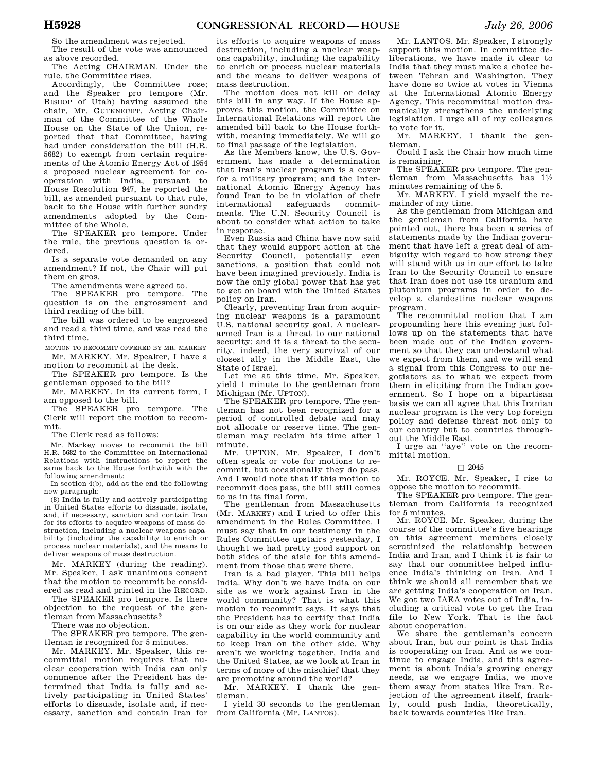So the amendment was rejected.

The result of the vote was announced as above recorded.

The Acting CHAIRMAN. Under the rule, the Committee rises.

Accordingly, the Committee rose; and the Speaker pro tempore (Mr. BISHOP of Utah) having assumed the chair, Mr. GUTKNECHT, Acting Chairman of the Committee of the Whole House on the State of the Union, reported that that Committee, having had under consideration the bill (H.R. 5682) to exempt from certain requirements of the Atomic Energy Act of 1954 a proposed nuclear agreement for cooperation with India, pursuant to House Resolution 947, he reported the bill, as amended pursuant to that rule, back to the House with further sundry amendments adopted by the Committee of the Whole.

The SPEAKER pro tempore. Under the rule, the previous question is ordered.

Is a separate vote demanded on any amendment? If not, the Chair will put them en gros.

The amendments were agreed to.

The SPEAKER pro tempore. The question is on the engrossment and third reading of the bill.

The bill was ordered to be engrossed and read a third time, and was read the third time.

MOTION TO RECOMMIT OFFERED BY MR. MARKEY Mr. MARKEY. Mr. Speaker, I have a

motion to recommit at the desk. The SPEAKER pro tempore. Is the

gentleman opposed to the bill? Mr. MARKEY. In its current form, I

am opposed to the bill.

The SPEAKER pro tempore. The Clerk will report the motion to recommit.

The Clerk read as follows:

Mr. Markey moves to recommit the bill H.R. 5682 to the Committee on International Relations with instructions to report the same back to the House forthwith with the following amendment:

In section 4(b), add at the end the following new paragraph:

(8) India is fully and actively participating in United States efforts to dissuade, isolate, and, if necessary, sanction and contain Iran for its efforts to acquire weapons of mass destruction, including a nuclear weapons capability (including the capability to enrich or process nuclear materials), and the means to deliver weapons of mass destruction.

Mr. MARKEY (during the reading). Mr. Speaker, I ask unanimous consent that the motion to recommit be considered as read and printed in the RECORD.

The SPEAKER pro tempore. Is there objection to the request of the gentleman from Massachusetts?

There was no objection.

The SPEAKER pro tempore. The gentleman is recognized for 5 minutes.

Mr. MARKEY. Mr. Speaker, this recommittal motion requires that nuclear cooperation with India can only commence after the President has determined that India is fully and actively participating in United States' efforts to dissuade, isolate and, if necessary, sanction and contain Iran for

its efforts to acquire weapons of mass destruction, including a nuclear weapons capability, including the capability to enrich or process nuclear materials and the means to deliver weapons of mass destruction.

The motion does not kill or delay this bill in any way. If the House approves this motion, the Committee on International Relations will report the amended bill back to the House forthwith, meaning immediately. We will go to final passage of the legislation.

As the Members know, the U.S. Government has made a determination that Iran's nuclear program is a cover for a military program; and the International Atomic Energy Agency has found Iran to be in violation of their international safeguards commitments. The U.N. Security Council is about to consider what action to take in response.

Even Russia and China have now said that they would support action at the Security Council, potentially even sanctions, a position that could not have been imagined previously. India is now the only global power that has yet to get on board with the United States policy on Iran.

Clearly, preventing Iran from acquiring nuclear weapons is a paramount U.S. national security goal. A nucleararmed Iran is a threat to our national security; and it is a threat to the security, indeed, the very survival of our closest ally in the Middle East, the State of Israel.

Let me at this time, Mr. Speaker, yield 1 minute to the gentleman from Michigan (Mr. UPTON).

The SPEAKER pro tempore. The gentleman has not been recognized for a period of controlled debate and may not allocate or reserve time. The gentleman may reclaim his time after 1 minute.

Mr. UPTON. Mr. Speaker, I don't often speak or vote for motions to recommit, but occasionally they do pass. And I would note that if this motion to recommit does pass, the bill still comes to us in its final form.

The gentleman from Massachusetts (Mr. MARKEY) and I tried to offer this amendment in the Rules Committee. I must say that in our testimony in the Rules Committee upstairs yesterday, I thought we had pretty good support on both sides of the aisle for this amendment from those that were there.

Iran is a bad player. This bill helps India. Why don't we have India on our side as we work against Iran in the world community? That is what this motion to recommit says. It says that the President has to certify that India is on our side as they work for nuclear capability in the world community and to keep Iran on the other side. Why aren't we working together, India and the United States, as we look at Iran in terms of more of the mischief that they are promoting around the world?

Mr. MARKEY. I thank the gentleman.

I yield 30 seconds to the gentleman from California (Mr. LANTOS).

Mr. LANTOS. Mr. Speaker, I strongly support this motion. In committee deliberations, we have made it clear to India that they must make a choice between Tehran and Washington. They have done so twice at votes in Vienna at the International Atomic Energy Agency. This recommittal motion dramatically strengthens the underlying legislation. I urge all of my colleagues to vote for it.

Mr. MARKEY. I thank the gentleman.

Could I ask the Chair how much time is remaining.

The SPEAKER pro tempore. The gentleman from Massachusetts has 11⁄2 minutes remaining of the 5.

Mr. MARKEY. I yield myself the remainder of my time.

As the gentleman from Michigan and the gentleman from California have pointed out, there has been a series of statements made by the Indian government that have left a great deal of ambiguity with regard to how strong they will stand with us in our effort to take Iran to the Security Council to ensure that Iran does not use its uranium and plutonium programs in order to develop a clandestine nuclear weapons program.

The recommittal motion that I am propounding here this evening just follows up on the statements that have been made out of the Indian government so that they can understand what we expect from them, and we will send a signal from this Congress to our negotiators as to what we expect from them in eliciting from the Indian government. So I hope on a bipartisan basis we can all agree that this Iranian nuclear program is the very top foreign policy and defense threat not only to our country but to countries throughout the Middle East.

I urge an ''aye'' vote on the recommittal motion.

#### $\square$  2045

Mr. ROYCE. Mr. Speaker, I rise to oppose the motion to recommit.

The SPEAKER pro tempore. The gentleman from California is recognized for 5 minutes.

Mr. ROYCE. Mr. Speaker, during the course of the committee's five hearings on this agreement members closely scrutinized the relationship between India and Iran, and I think it is fair to say that our committee helped influence India's thinking on Iran. And I think we should all remember that we are getting India's cooperation on Iran. We got two IAEA votes out of India, including a critical vote to get the Iran file to New York. That is the fact about cooperation.

We share the gentleman's concern about Iran, but our point is that India is cooperating on Iran. And as we continue to engage India, and this agreement is about India's growing energy needs, as we engage India, we move them away from states like Iran. Rejection of the agreement itself, frankly, could push India, theoretically, back towards countries like Iran.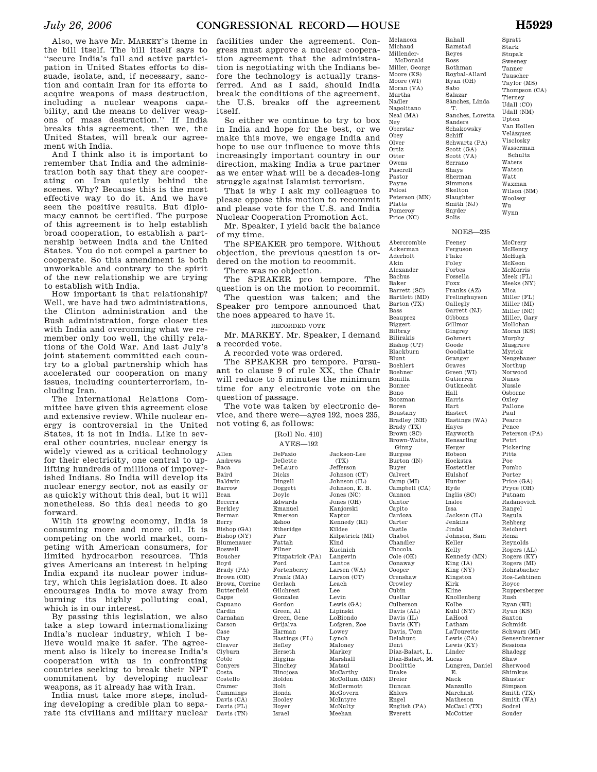Also, we have Mr. MARKEY's theme in the bill itself. The bill itself says to ''secure India's full and active participation in United States efforts to dissuade, isolate, and, if necessary, sanction and contain Iran for its efforts to acquire weapons of mass destruction, including a nuclear weapons capability, and the means to deliver weapons of mass destruction.'' If India breaks this agreement, then we, the United States, will break our agreement with India.

And I think also it is important to remember that India and the administration both say that they are cooperating on Iran quietly behind the scenes. Why? Because this is the most effective way to do it. And we have seen the positive results. But diplomacy cannot be certified. The purpose of this agreement is to help establish broad cooperation, to establish a partnership between India and the United States. You do not compel a partner to cooperate. So this amendment is both unworkable and contrary to the spirit of the new relationship we are trying to establish with India.

How important is that relationship? Well, we have had two administrations, the Clinton administration and the Bush administration, forge closer ties with India and overcoming what we remember only too well, the chilly relations of the Cold War. And last July's joint statement committed each country to a global partnership which has accelerated our cooperation on many issues, including counterterrorism, including Iran.

The International Relations Committee have given this agreement close and extensive review. While nuclear energy is controversial in the United States, it is not in India. Like in several other countries, nuclear energy is widely viewed as a critical technology for their electricity, one central to uplifting hundreds of millions of impoverished Indians. So India will develop its nuclear energy sector, not as easily or as quickly without this deal, but it will nonetheless. So this deal needs to go forward.

With its growing economy, India is consuming more and more oil. It is competing on the world market, competing with American consumers, for limited hydrocarbon resources. This gives Americans an interest in helping India expand its nuclear power industry, which this legislation does. It also encourages India to move away from burning its highly polluting coal, which is in our interest.

By passing this legislation, we also take a step toward internationalizing India's nuclear industry, which I believe would make it safer. The agreement also is likely to increase India's cooperation with us in confronting countries seeking to break their NPT commitment by developing nuclear weapons, as it already has with Iran.

India must take more steps, including developing a credible plan to sepa-Ing developing a credible plan to sepa-<br>rate its civilians and military nuclear Davis (TN)

facilities under the agreement. Congress must approve a nuclear cooperation agreement that the administration is negotiating with the Indians before the technology is actually transferred. And as I said, should India break the conditions of the agreement, the U.S. breaks off the agreement itself.

So either we continue to try to box in India and hope for the best, or we make this move, we engage India and hope to use our influence to move this increasingly important country in our direction, making India a true partner as we enter what will be a decades-long struggle against Islamist terrorism.

That is why I ask my colleagues to please oppose this motion to recommit and please vote for the U.S. and India Nuclear Cooperation Promotion Act.

Mr. Speaker, I yield back the balance of my time.

The SPEAKER pro tempore. Without objection, the previous question is ordered on the motion to recommit.

There was no objection.

The SPEAKER pro tempore. The question is on the motion to recommit.

The question was taken; and the Speaker pro tempore announced that the noes appeared to have it.

#### RECORDED VOTE

Mr. MARKEY. Mr. Speaker, I demand a recorded vote.

A recorded vote was ordered.

The SPEAKER pro tempore. Pursuant to clause 9 of rule XX, the Chair will reduce to 5 minutes the minimum time for any electronic vote on the question of passage.

The vote was taken by electronic device, and there were—ayes 192, noes 235, not voting 6, as follows:

## [Roll No. 410]

| ററ |  |
|----|--|
|    |  |

|                | ∩⊥ ലാ—⊥ാ⊿        |                 |
|----------------|------------------|-----------------|
| Allen          | DeFazio          | Jackson-Lee     |
| Andrews        | DeGette          | (TX)            |
| Baca.          | DeLauro          | Jefferson       |
| Baird          | Dicks            | Johnson (CT)    |
| Baldwin        | Dingell          | Johnson (IL)    |
| Barrow         | Doggett          | Johnson, E. B.  |
| Bean           | Doyle            | Jones (NC)      |
| Becerra        | Edwards          | Jones (OH)      |
| Berkley        | Emanuel          | Kanjorski       |
| Berman         | Emerson          | Kaptur          |
| Berry          | Eshoo            | Kennedy (RI)    |
| Bishop (GA)    | Etheridge        | Kildee          |
| Bishop (NY)    | Farr             | Kilpatrick (MI) |
| Blumenauer     | Fattah           | Kind            |
| Boswell        | Filner           | Kucinich        |
| Boucher        | Fitzpatrick (PA) | Langevin        |
| Boyd           | Ford             | Lantos          |
| Brady (PA)     | Fortenberry      | Larsen (WA)     |
| Brown (OH)     | Frank (MA)       | Larson (CT)     |
| Brown, Corrine | Gerlach          | Leach           |
| Butterfield    | Gilchrest        | Lee             |
| Capps          | Gonzalez         | Levin           |
| Capuano        | Gordon           | Lewis (GA)      |
| Cardin         | Green, Al        | Lipinski        |
| Carnahan       | Green, Gene      | LoBiondo        |
| Carson         | Grijalva         | Lofgren, Zoe    |
| Case           | Harman           | Lowey           |
| Clay           | Hastings (FL)    | Lynch           |
| Cleaver        | Hefley           | Maloney         |
| Clyburn        | Herseth          | Markey          |
| Coble          | Higgins          | Marshall        |
| Conyers        | Hinchey          | Matsui          |
| Costa          | Hinojosa         | McCarthy        |
| Costello       | Holden           | McCollum (MN)   |
| Cramer         | Holt             | McDermott       |
| Cummings       | Honda            | McGovern        |
| Davis (CA)     | Hooley           | McIntyre        |
| Davis (FL)     | Hoyer            | McNulty         |
| Davis (TN)     | Israel           | Meehan          |

Melancon Michaud Millender-McDonald Miller, George Moore (KS) Moore (WI) Moran (VA) Murtha Nadler Napolitano Neal (MA) Ney Oberstar Obey Olver Ortiz Otter Owens Pascrell Pastor Payne Pelosi Peterson (MN) Platts Pomeroy Price (NC)

Abercrombie Ackerman Aderholt Akin Alexander Bachus Baker Barrett (SC) Bartlett (MD) Barton (TX) Bass Beauprez Biggert Bilbray Bilirakis Bishop (UT) Blackburn Blunt Boehlert Boehner Bonilla Bonner Bono Boozman Boren Boustany Bradley (NH) Brady (TX) Brown (SC) Brown-Waite, Ginny Burgess Burton (IN) Buyer Calvert Camp (MI) Campbell (CA) Cannon Cantor Capito Cardoza Carter Castle Chabot Chandler Chocola Cole (OK) Conaway Cooper Crenshaw Crowley Cubin Cuellar Culberson Davis (AL) Davis (IL) Davis (KY) Davis, Tom Delahunt Dent Diaz-Balart, L. Diaz-Balart, M. Doolittle Drake Dreier Duncan Ehlers Engel  $Enclish$  (PA) Everett Feeney Ferguson Flake Foley Forbes Fossella Foxx Franks (AZ) Frelinghuysen Gallegly Garrett (NJ) Gibbons Gillmor Gingrey Gohmert Goode Goodlatte Granger Graves Green (WI) Gutierrez Gutknecht Hall Harris Hart Hastert Hastings (WA) Hayes Hayworth Hensarling Herger Hobson Hoekstra Hostettler Hulshof Hunter Hyde Inglis (SC) Inslee Issa Jackson (IL) Jenkins Jindal Johnson, Sam Keller Kelly Kennedy (MN) King (IA) King (NY) Kingston Kirk Kline Knollenberg Kolbe Kuhl (NY) LaHood Latham LaTourette Lewis (CA) Lewis (KY) Linder Lucas Lungren, Daniel Mack Manzullo Marchant Matheson McCaul (TX) McCotter

E.

Sanchez, Loretta Spratt Stark Stupak Sweeney Tanner Tauscher Taylor (MS) Thompson (CA) Tierney Udall (CO) Udall (NM) Upton Van Hollen Velázquez Visclosky Wasserman Schultz Waters Watson Watt Waxman Wilson (NM) Woolsey Wu Wynn

NOES—235

Rahall Ramstad Reyes Ross Rothman Roybal-Allard Ryan (OH) Sabo Salazar Sánchez, Linda T.

Sanders Schakowsky Schiff Schwartz (PA) Scott (GA) Scott (VA) Serrano Shays Sherman Simmons Skelton Slaughter Smith (NJ) Snyder Solis

> McCrery McHenry McHugh McKeon McMorris Meek (FL) Meeks (NY) Mica Miller (FL) Miller (MI) Miller (NC) Miller, Gary Mollohan Moran (KS) Murphy Musgrave Myrick Neugebauer Northup Norwood Nunes Nussle Osborne Oxley Pallone Paul Pearce Pence Peterson (PA) Petri Pickering Pitts Poe Pombo Porter Price (GA) Pryce (OH) Putnam Radanovich Rangel Regula Rehberg Reichert Renzi Reynolds Rogers (AL) Rogers (KY) Rogers (MI) Rohrabacher Ros-Lehtinen Royce Ruppersberger Rush Ryan (WI) Ryun (KS) Saxton Schmidt Schwarz (MI) Sensenbrenner Sessions Shadegg Shaw Sherwood Shimkus Shuster Simpson Smith (TX) Smith (WA) Sodrel Souder